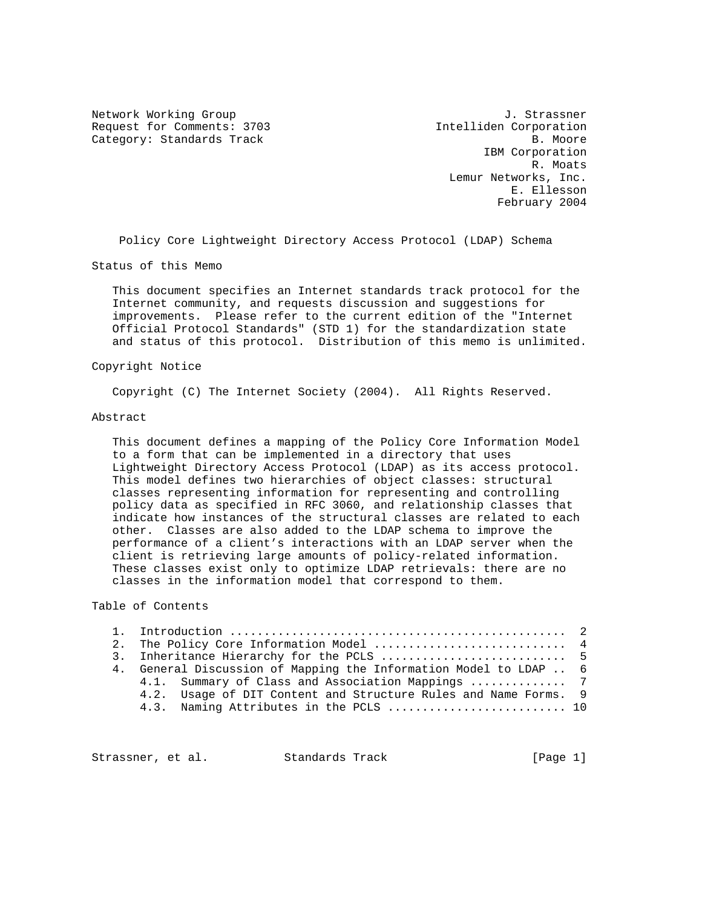Request for Comments: 3703 Intelliden Corporation Category: Standards Track B. Moore

Network Working Group and Alexander Controller and Alexander Controller and Alexander Controller and J. Strassner IBM Corporation R. Moats Lemur Networks, Inc. E. Ellesson February 2004

Policy Core Lightweight Directory Access Protocol (LDAP) Schema

Status of this Memo

 This document specifies an Internet standards track protocol for the Internet community, and requests discussion and suggestions for improvements. Please refer to the current edition of the "Internet Official Protocol Standards" (STD 1) for the standardization state and status of this protocol. Distribution of this memo is unlimited.

#### Copyright Notice

Copyright (C) The Internet Society (2004). All Rights Reserved.

#### Abstract

 This document defines a mapping of the Policy Core Information Model to a form that can be implemented in a directory that uses Lightweight Directory Access Protocol (LDAP) as its access protocol. This model defines two hierarchies of object classes: structural classes representing information for representing and controlling policy data as specified in RFC 3060, and relationship classes that indicate how instances of the structural classes are related to each other. Classes are also added to the LDAP schema to improve the performance of a client's interactions with an LDAP server when the client is retrieving large amounts of policy-related information. These classes exist only to optimize LDAP retrievals: there are no classes in the information model that correspond to them.

## Table of Contents

|  | 2. The Policy Core Information Model  4                           |
|--|-------------------------------------------------------------------|
|  |                                                                   |
|  | 4. General Discussion of Mapping the Information Model to LDAP  6 |
|  | 4.1. Summary of Class and Association Mappings  7                 |
|  | 4.2. Usage of DIT Content and Structure Rules and Name Forms. 9   |
|  | 4.3. Naming Attributes in the PCLS  10                            |
|  |                                                                   |

Strassner, et al. Standards Track [Page 1]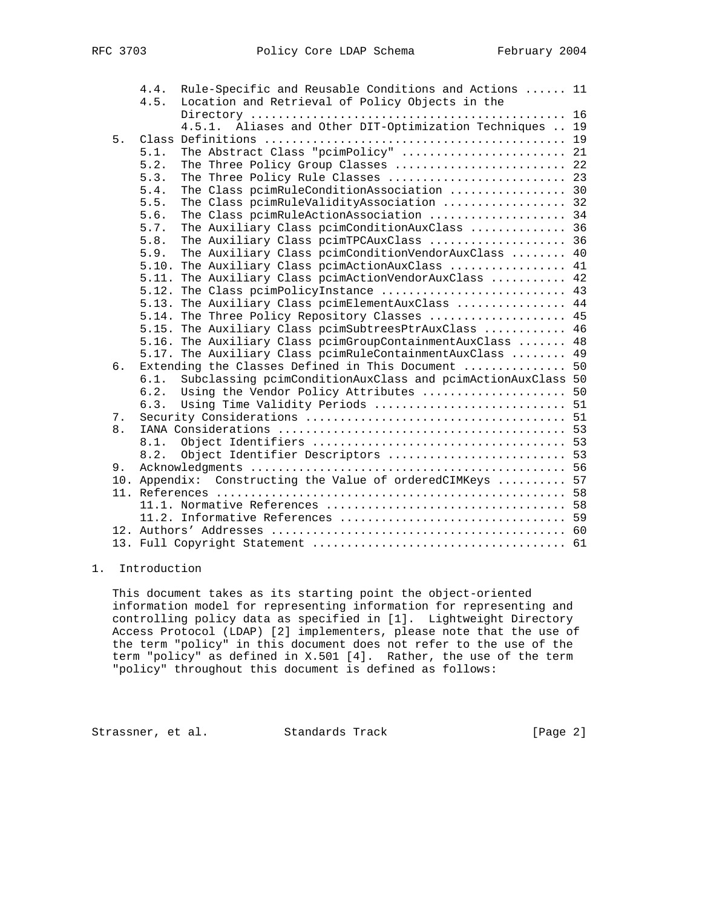|    | 4.4. | Rule-Specific and Reusable Conditions and Actions  11       |  |
|----|------|-------------------------------------------------------------|--|
|    | 4.5. | Location and Retrieval of Policy Objects in the             |  |
|    |      |                                                             |  |
|    |      | 4.5.1. Aliases and Other DIT-Optimization Techniques  19    |  |
| 5. |      |                                                             |  |
|    | 5.1. | The Abstract Class "pcimPolicy"  21                         |  |
|    | 5.2. | The Three Policy Group Classes  22                          |  |
|    | 5.3. | The Three Policy Rule Classes  23                           |  |
|    | 5.4. | The Class pcimRuleConditionAssociation  30                  |  |
|    | 5.5. | The Class pcimRuleValidityAssociation  32                   |  |
|    | 5.6. | The Class pcimRuleActionAssociation  34                     |  |
|    | 5.7. | The Auxiliary Class pcimConditionAuxClass  36               |  |
|    | 5.8. | The Auxiliary Class pcimTPCAuxClass  36                     |  |
|    | 5.9. | The Auxiliary Class pcimConditionVendorAuxClass  40         |  |
|    |      | 5.10. The Auxiliary Class pcimActionAuxClass  41            |  |
|    |      | 5.11. The Auxiliary Class pcimActionVendorAuxClass  42      |  |
|    |      | 5.12. The Class pcimPolicyInstance  43                      |  |
|    |      | 5.13. The Auxiliary Class pcimElementAuxClass  44           |  |
|    |      | 5.14. The Three Policy Repository Classes  45               |  |
|    |      | 5.15. The Auxiliary Class pcimSubtreesPtrAuxClass  46       |  |
|    |      | 5.16. The Auxiliary Class pcimGroupContainmentAuxClass  48  |  |
|    |      | 5.17. The Auxiliary Class pcimRuleContainmentAuxClass  49   |  |
| б. |      | Extending the Classes Defined in This Document  50          |  |
|    | 6.1. | Subclassing pcimConditionAuxClass and pcimActionAuxClass 50 |  |
|    | 6.2. | Using the Vendor Policy Attributes  50                      |  |
|    | 6.3. | Using Time Validity Periods  51                             |  |
| 7. |      |                                                             |  |
| 8. |      |                                                             |  |
|    | 8.1. |                                                             |  |
|    | 8.2. | Object Identifier Descriptors  53                           |  |
| 9. |      |                                                             |  |
|    |      | 10. Appendix: Constructing the Value of orderedCIMKeys  57  |  |
|    |      |                                                             |  |
|    |      |                                                             |  |
|    |      |                                                             |  |
|    |      |                                                             |  |
|    |      |                                                             |  |
|    |      |                                                             |  |

# 1. Introduction

 This document takes as its starting point the object-oriented information model for representing information for representing and controlling policy data as specified in [1]. Lightweight Directory Access Protocol (LDAP) [2] implementers, please note that the use of the term "policy" in this document does not refer to the use of the term "policy" as defined in X.501 [4]. Rather, the use of the term "policy" throughout this document is defined as follows:

Strassner, et al. Standards Track [Page 2]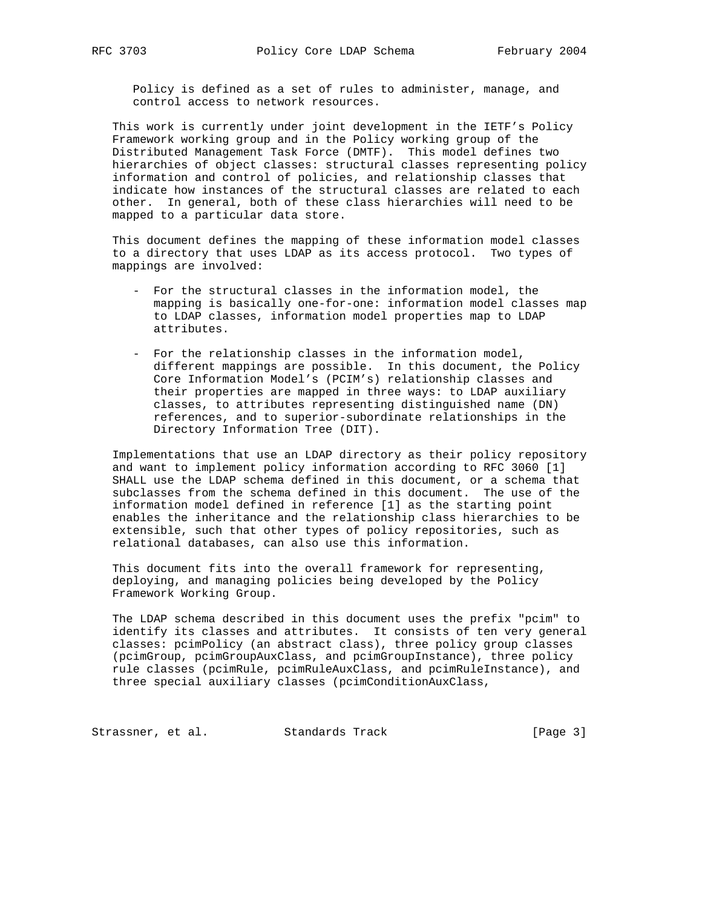Policy is defined as a set of rules to administer, manage, and control access to network resources.

 This work is currently under joint development in the IETF's Policy Framework working group and in the Policy working group of the Distributed Management Task Force (DMTF). This model defines two hierarchies of object classes: structural classes representing policy information and control of policies, and relationship classes that indicate how instances of the structural classes are related to each other. In general, both of these class hierarchies will need to be mapped to a particular data store.

 This document defines the mapping of these information model classes to a directory that uses LDAP as its access protocol. Two types of mappings are involved:

- For the structural classes in the information model, the mapping is basically one-for-one: information model classes map to LDAP classes, information model properties map to LDAP attributes.
- For the relationship classes in the information model, different mappings are possible. In this document, the Policy Core Information Model's (PCIM's) relationship classes and their properties are mapped in three ways: to LDAP auxiliary classes, to attributes representing distinguished name (DN) references, and to superior-subordinate relationships in the Directory Information Tree (DIT).

 Implementations that use an LDAP directory as their policy repository and want to implement policy information according to RFC 3060 [1] SHALL use the LDAP schema defined in this document, or a schema that subclasses from the schema defined in this document. The use of the information model defined in reference [1] as the starting point enables the inheritance and the relationship class hierarchies to be extensible, such that other types of policy repositories, such as relational databases, can also use this information.

 This document fits into the overall framework for representing, deploying, and managing policies being developed by the Policy Framework Working Group.

 The LDAP schema described in this document uses the prefix "pcim" to identify its classes and attributes. It consists of ten very general classes: pcimPolicy (an abstract class), three policy group classes (pcimGroup, pcimGroupAuxClass, and pcimGroupInstance), three policy rule classes (pcimRule, pcimRuleAuxClass, and pcimRuleInstance), and three special auxiliary classes (pcimConditionAuxClass,

Strassner, et al. Standards Track [Page 3]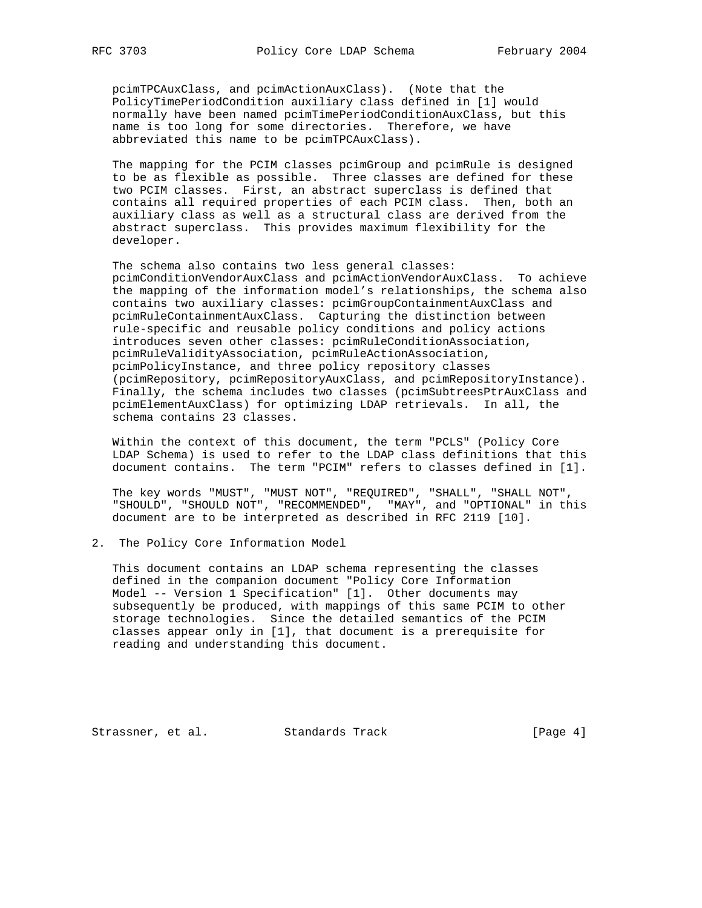pcimTPCAuxClass, and pcimActionAuxClass). (Note that the PolicyTimePeriodCondition auxiliary class defined in [1] would normally have been named pcimTimePeriodConditionAuxClass, but this name is too long for some directories. Therefore, we have abbreviated this name to be pcimTPCAuxClass).

 The mapping for the PCIM classes pcimGroup and pcimRule is designed to be as flexible as possible. Three classes are defined for these two PCIM classes. First, an abstract superclass is defined that contains all required properties of each PCIM class. Then, both an auxiliary class as well as a structural class are derived from the abstract superclass. This provides maximum flexibility for the developer.

 The schema also contains two less general classes: pcimConditionVendorAuxClass and pcimActionVendorAuxClass. To achieve the mapping of the information model's relationships, the schema also contains two auxiliary classes: pcimGroupContainmentAuxClass and pcimRuleContainmentAuxClass. Capturing the distinction between rule-specific and reusable policy conditions and policy actions introduces seven other classes: pcimRuleConditionAssociation, pcimRuleValidityAssociation, pcimRuleActionAssociation, pcimPolicyInstance, and three policy repository classes (pcimRepository, pcimRepositoryAuxClass, and pcimRepositoryInstance). Finally, the schema includes two classes (pcimSubtreesPtrAuxClass and pcimElementAuxClass) for optimizing LDAP retrievals. In all, the schema contains 23 classes.

 Within the context of this document, the term "PCLS" (Policy Core LDAP Schema) is used to refer to the LDAP class definitions that this document contains. The term "PCIM" refers to classes defined in [1].

 The key words "MUST", "MUST NOT", "REQUIRED", "SHALL", "SHALL NOT", "SHOULD", "SHOULD NOT", "RECOMMENDED", "MAY", and "OPTIONAL" in this document are to be interpreted as described in RFC 2119 [10].

2. The Policy Core Information Model

 This document contains an LDAP schema representing the classes defined in the companion document "Policy Core Information Model -- Version 1 Specification" [1]. Other documents may subsequently be produced, with mappings of this same PCIM to other storage technologies. Since the detailed semantics of the PCIM classes appear only in [1], that document is a prerequisite for reading and understanding this document.

Strassner, et al. Standards Track [Page 4]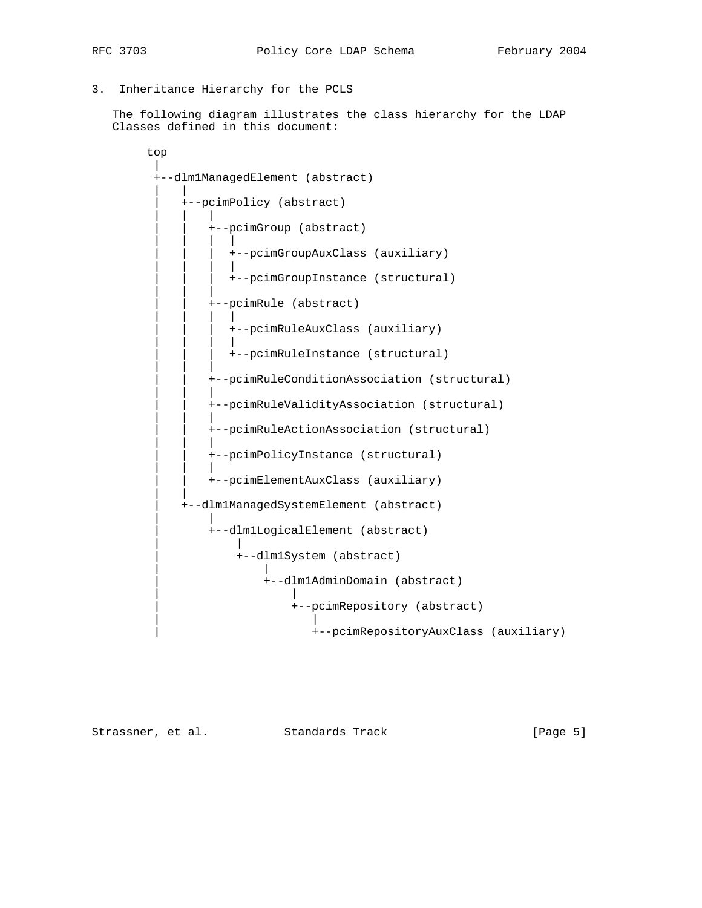- 
- 3. Inheritance Hierarchy for the PCLS

 The following diagram illustrates the class hierarchy for the LDAP Classes defined in this document:

```
 top
 |
        +--dlm1ManagedElement (abstract)
 | |
           | +--pcimPolicy (abstract)
 | | |
               | | +--pcimGroup (abstract)
 | | | |
                | | | +--pcimGroupAuxClass (auxiliary)
 | | | |
                | | | +--pcimGroupInstance (structural)
 | | |
               | | +--pcimRule (abstract)
 | | | |
                | | | +--pcimRuleAuxClass (auxiliary)
 | | | |
               | | | +--pcimRuleInstance (structural)
 | | |
               | | +--pcimRuleConditionAssociation (structural)
 | | |
               | | +--pcimRuleValidityAssociation (structural)
 | | |
              | | +--pcimRuleActionAssociation (structural)
 | | |
              | | +--pcimPolicyInstance (structural)
 | | |
              | | +--pcimElementAuxClass (auxiliary)
 | |
           | +--dlm1ManagedSystemElement (abstract)
 | |
               | +--dlm1LogicalElement (abstract)
 | |
                  | +--dlm1System (abstract)
 | |
                     | +--dlm1AdminDomain (abstract)
 | |
                         | +--pcimRepository (abstract)
 | |
                           | +--pcimRepositoryAuxClass (auxiliary)
```
Strassner, et al. Standards Track [Page 5]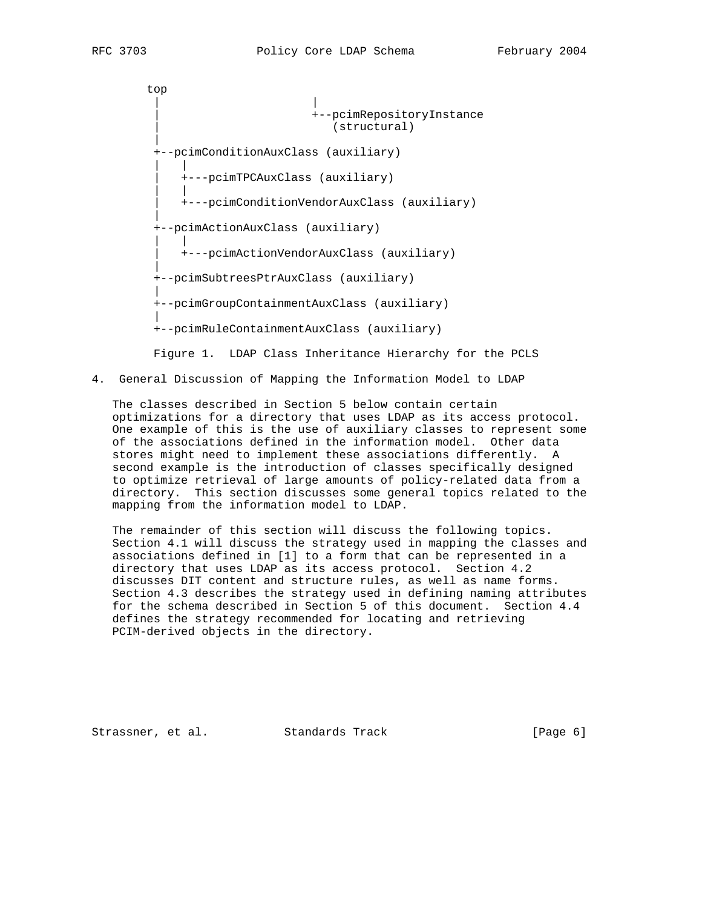top | | | +--pcimRepositoryInstance | (structural) | +--pcimConditionAuxClass (auxiliary) | | | +---pcimTPCAuxClass (auxiliary) | | | +---pcimConditionVendorAuxClass (auxiliary) | +--pcimActionAuxClass (auxiliary) | | | +---pcimActionVendorAuxClass (auxiliary) | +--pcimSubtreesPtrAuxClass (auxiliary) | +--pcimGroupContainmentAuxClass (auxiliary) | +--pcimRuleContainmentAuxClass (auxiliary)

Figure 1. LDAP Class Inheritance Hierarchy for the PCLS

4. General Discussion of Mapping the Information Model to LDAP

 The classes described in Section 5 below contain certain optimizations for a directory that uses LDAP as its access protocol. One example of this is the use of auxiliary classes to represent some of the associations defined in the information model. Other data stores might need to implement these associations differently. A second example is the introduction of classes specifically designed to optimize retrieval of large amounts of policy-related data from a directory. This section discusses some general topics related to the mapping from the information model to LDAP.

 The remainder of this section will discuss the following topics. Section 4.1 will discuss the strategy used in mapping the classes and associations defined in [1] to a form that can be represented in a directory that uses LDAP as its access protocol. Section 4.2 discusses DIT content and structure rules, as well as name forms. Section 4.3 describes the strategy used in defining naming attributes for the schema described in Section 5 of this document. Section 4.4 defines the strategy recommended for locating and retrieving PCIM-derived objects in the directory.

Strassner, et al. Standards Track [Page 6]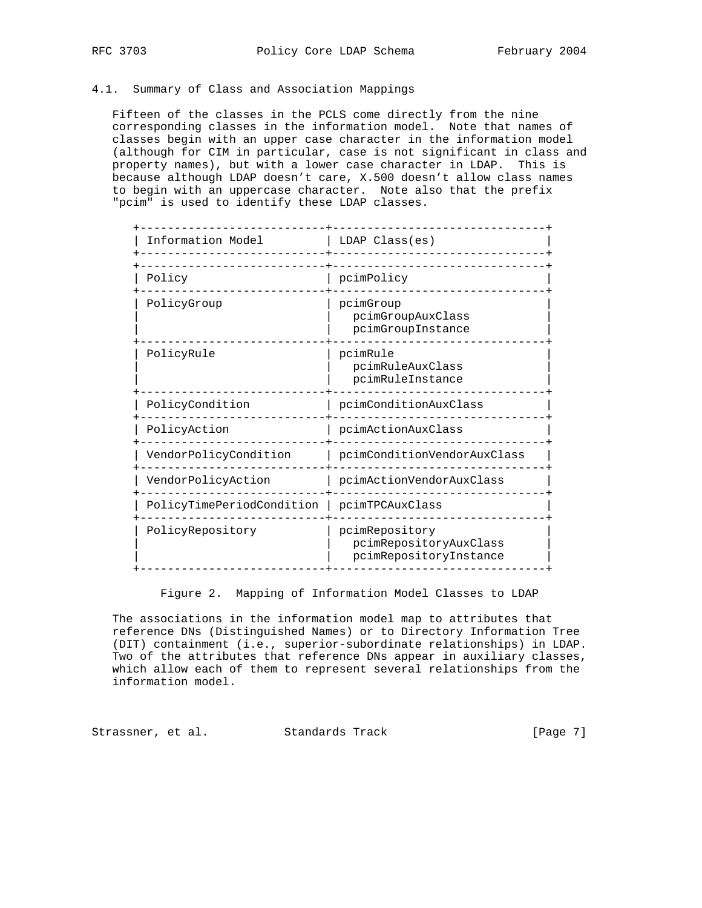## 4.1. Summary of Class and Association Mappings

 Fifteen of the classes in the PCLS come directly from the nine corresponding classes in the information model. Note that names of classes begin with an upper case character in the information model (although for CIM in particular, case is not significant in class and property names), but with a lower case character in LDAP. This is because although LDAP doesn't care, X.500 doesn't allow class names to begin with an uppercase character. Note also that the prefix "pcim" is used to identify these LDAP classes.

| Information Model         | $LDAP$ $Class(es)$                                                 |
|---------------------------|--------------------------------------------------------------------|
| Policy                    | pcimPolicy                                                         |
| PolicyGroup               | pcimGroup<br>pcimGroupAuxClass<br>pcimGroupInstance                |
| PolicyRule                | pcimRule<br>pcimRuleAuxClass<br>pcimRuleInstance                   |
| PolicyCondition           | pcimConditionAuxClass                                              |
| PolicyAction              | pcimActionAuxClass                                                 |
| VendorPolicyCondition     | pcimConditionVendorAuxClass                                        |
| VendorPolicyAction        | pcimActionVendorAuxClass                                           |
| PolicyTimePeriodCondition | pcimTPCAuxClass                                                    |
| PolicyRepository          | pcimRepository<br>pcimRepositoryAuxClass<br>pcimRepositoryInstance |

Figure 2. Mapping of Information Model Classes to LDAP

 The associations in the information model map to attributes that reference DNs (Distinguished Names) or to Directory Information Tree (DIT) containment (i.e., superior-subordinate relationships) in LDAP. Two of the attributes that reference DNs appear in auxiliary classes, which allow each of them to represent several relationships from the information model.

Strassner, et al. Standards Track [Page 7]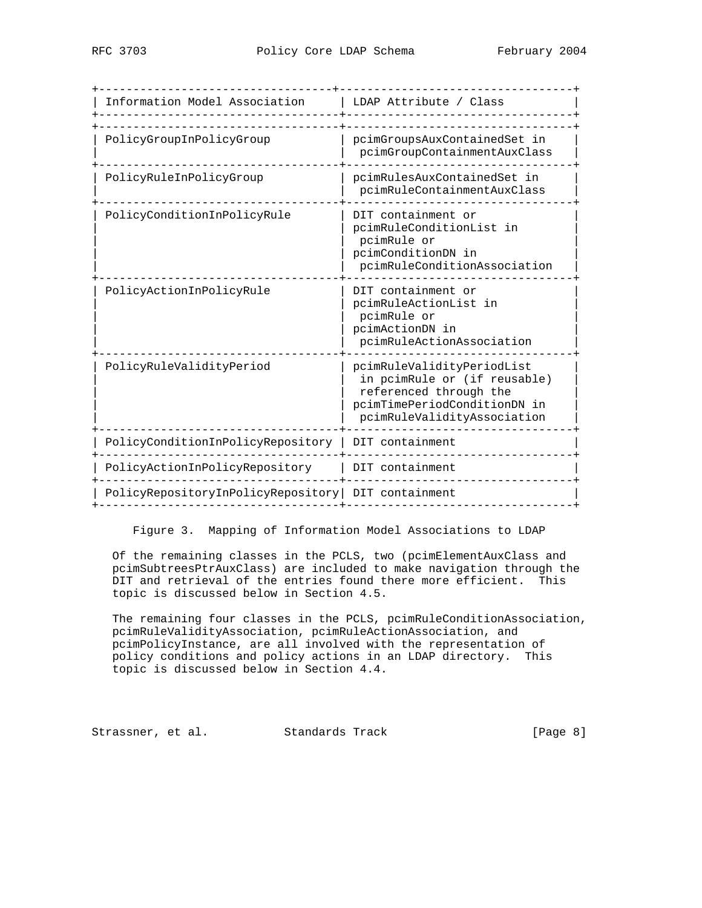| Information Model Association                      | LDAP Attribute / Class                                                                                                                              |
|----------------------------------------------------|-----------------------------------------------------------------------------------------------------------------------------------------------------|
| PolicyGroupInPolicyGroup                           | pcimGroupsAuxContainedSet in<br>pcimGroupContainmentAuxClass                                                                                        |
| PolicyRuleInPolicyGroup                            | pcimRulesAuxContainedSet in<br>pcimRuleContainmentAuxClass                                                                                          |
| PolicyConditionInPolicyRule                        | DIT containment or<br>pcimRuleConditionList in<br>pcimRule or<br>pcimConditionDN in<br>pcimRuleConditionAssociation                                 |
| PolicyActionInPolicyRule                           | DIT containment or<br>pcimRuleActionList in<br>pcimRule or<br>pcimActionDN in<br>pcimRuleActionAssociation                                          |
| PolicyRuleValidityPeriod                           | pcimRuleValidityPeriodList<br>in pcimRule or (if reusable)<br>referenced through the<br>pcimTimePeriodConditionDN in<br>pcimRuleValidityAssociation |
| PolicyConditionInPolicyRepository                  | DIT containment                                                                                                                                     |
| PolicyActionInPolicyRepository                     | DIT containment                                                                                                                                     |
| PolicyRepositoryInPolicyRepository DIT containment |                                                                                                                                                     |

Figure 3. Mapping of Information Model Associations to LDAP

 Of the remaining classes in the PCLS, two (pcimElementAuxClass and pcimSubtreesPtrAuxClass) are included to make navigation through the DIT and retrieval of the entries found there more efficient. This topic is discussed below in Section 4.5.

The remaining four classes in the PCLS, pcimRuleConditionAssociation, pcimRuleValidityAssociation, pcimRuleActionAssociation, and pcimPolicyInstance, are all involved with the representation of policy conditions and policy actions in an LDAP directory. This topic is discussed below in Section 4.4.

Strassner, et al. Standards Track [Page 8]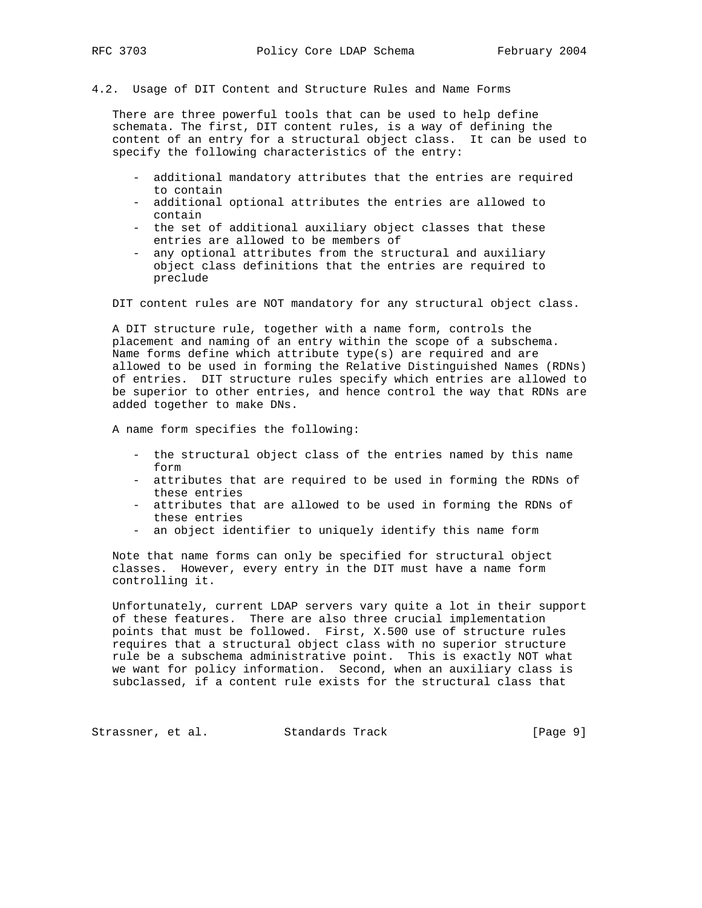## 4.2. Usage of DIT Content and Structure Rules and Name Forms

 There are three powerful tools that can be used to help define schemata. The first, DIT content rules, is a way of defining the content of an entry for a structural object class. It can be used to specify the following characteristics of the entry:

- additional mandatory attributes that the entries are required to contain
- additional optional attributes the entries are allowed to contain
- the set of additional auxiliary object classes that these entries are allowed to be members of
- any optional attributes from the structural and auxiliary object class definitions that the entries are required to preclude

DIT content rules are NOT mandatory for any structural object class.

 A DIT structure rule, together with a name form, controls the placement and naming of an entry within the scope of a subschema. Name forms define which attribute type(s) are required and are allowed to be used in forming the Relative Distinguished Names (RDNs) of entries. DIT structure rules specify which entries are allowed to be superior to other entries, and hence control the way that RDNs are added together to make DNs.

A name form specifies the following:

- the structural object class of the entries named by this name form
- attributes that are required to be used in forming the RDNs of these entries
- attributes that are allowed to be used in forming the RDNs of these entries
- an object identifier to uniquely identify this name form

 Note that name forms can only be specified for structural object classes. However, every entry in the DIT must have a name form controlling it.

 Unfortunately, current LDAP servers vary quite a lot in their support of these features. There are also three crucial implementation points that must be followed. First, X.500 use of structure rules requires that a structural object class with no superior structure rule be a subschema administrative point. This is exactly NOT what we want for policy information. Second, when an auxiliary class is subclassed, if a content rule exists for the structural class that

Strassner, et al. Standards Track [Page 9]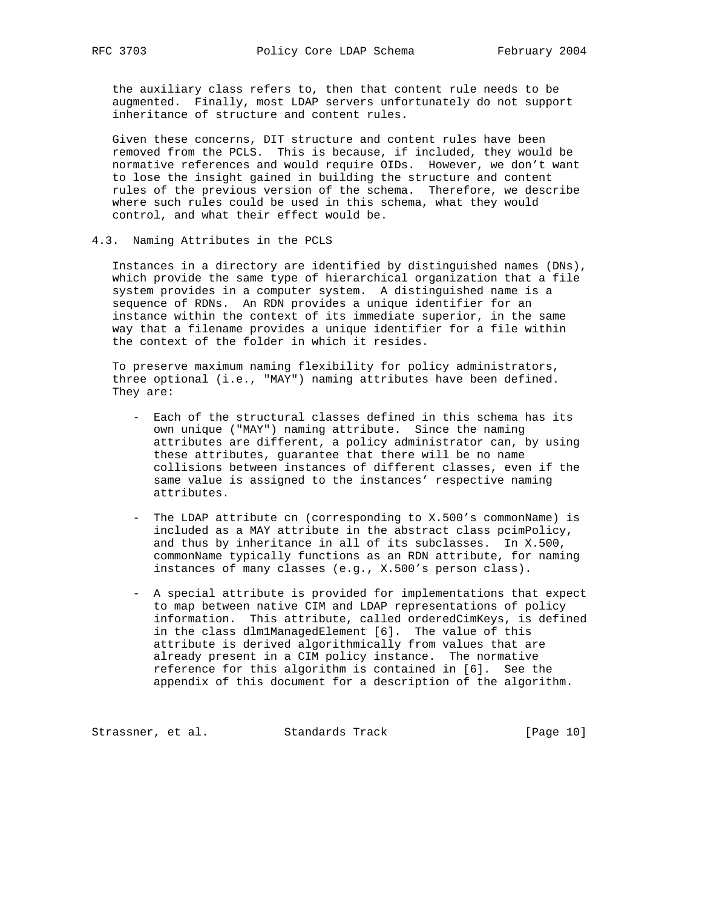the auxiliary class refers to, then that content rule needs to be augmented. Finally, most LDAP servers unfortunately do not support inheritance of structure and content rules.

 Given these concerns, DIT structure and content rules have been removed from the PCLS. This is because, if included, they would be normative references and would require OIDs. However, we don't want to lose the insight gained in building the structure and content rules of the previous version of the schema. Therefore, we describe where such rules could be used in this schema, what they would control, and what their effect would be.

## 4.3. Naming Attributes in the PCLS

 Instances in a directory are identified by distinguished names (DNs), which provide the same type of hierarchical organization that a file system provides in a computer system. A distinguished name is a sequence of RDNs. An RDN provides a unique identifier for an instance within the context of its immediate superior, in the same way that a filename provides a unique identifier for a file within the context of the folder in which it resides.

 To preserve maximum naming flexibility for policy administrators, three optional (i.e., "MAY") naming attributes have been defined. They are:

- Each of the structural classes defined in this schema has its own unique ("MAY") naming attribute. Since the naming attributes are different, a policy administrator can, by using these attributes, guarantee that there will be no name collisions between instances of different classes, even if the same value is assigned to the instances' respective naming attributes.
- The LDAP attribute cn (corresponding to X.500's commonName) is included as a MAY attribute in the abstract class pcimPolicy, and thus by inheritance in all of its subclasses. In X.500, commonName typically functions as an RDN attribute, for naming instances of many classes (e.g., X.500's person class).
- A special attribute is provided for implementations that expect to map between native CIM and LDAP representations of policy information. This attribute, called orderedCimKeys, is defined in the class dlm1ManagedElement [6]. The value of this attribute is derived algorithmically from values that are already present in a CIM policy instance. The normative reference for this algorithm is contained in [6]. See the appendix of this document for a description of the algorithm.

Strassner, et al. Standards Track [Page 10]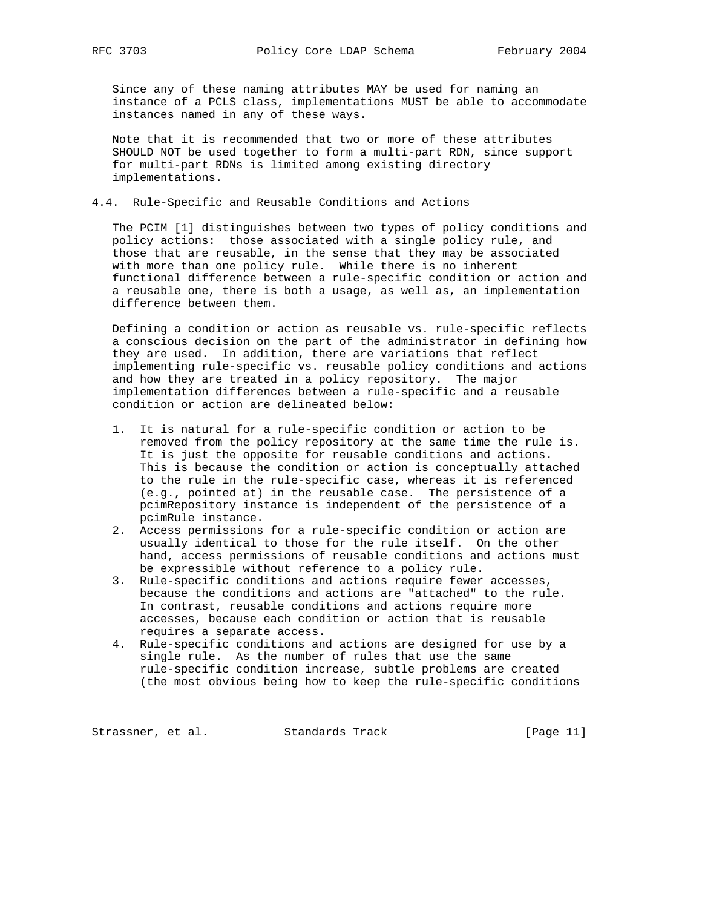Since any of these naming attributes MAY be used for naming an instance of a PCLS class, implementations MUST be able to accommodate instances named in any of these ways.

 Note that it is recommended that two or more of these attributes SHOULD NOT be used together to form a multi-part RDN, since support for multi-part RDNs is limited among existing directory implementations.

## 4.4. Rule-Specific and Reusable Conditions and Actions

 The PCIM [1] distinguishes between two types of policy conditions and policy actions: those associated with a single policy rule, and those that are reusable, in the sense that they may be associated with more than one policy rule. While there is no inherent functional difference between a rule-specific condition or action and a reusable one, there is both a usage, as well as, an implementation difference between them.

 Defining a condition or action as reusable vs. rule-specific reflects a conscious decision on the part of the administrator in defining how they are used. In addition, there are variations that reflect implementing rule-specific vs. reusable policy conditions and actions and how they are treated in a policy repository. The major implementation differences between a rule-specific and a reusable condition or action are delineated below:

- 1. It is natural for a rule-specific condition or action to be removed from the policy repository at the same time the rule is. It is just the opposite for reusable conditions and actions. This is because the condition or action is conceptually attached to the rule in the rule-specific case, whereas it is referenced (e.g., pointed at) in the reusable case. The persistence of a pcimRepository instance is independent of the persistence of a pcimRule instance.
- 2. Access permissions for a rule-specific condition or action are usually identical to those for the rule itself. On the other hand, access permissions of reusable conditions and actions must be expressible without reference to a policy rule.
- 3. Rule-specific conditions and actions require fewer accesses, because the conditions and actions are "attached" to the rule. In contrast, reusable conditions and actions require more accesses, because each condition or action that is reusable requires a separate access.
- 4. Rule-specific conditions and actions are designed for use by a single rule. As the number of rules that use the same rule-specific condition increase, subtle problems are created (the most obvious being how to keep the rule-specific conditions

Strassner, et al. Standards Track [Page 11]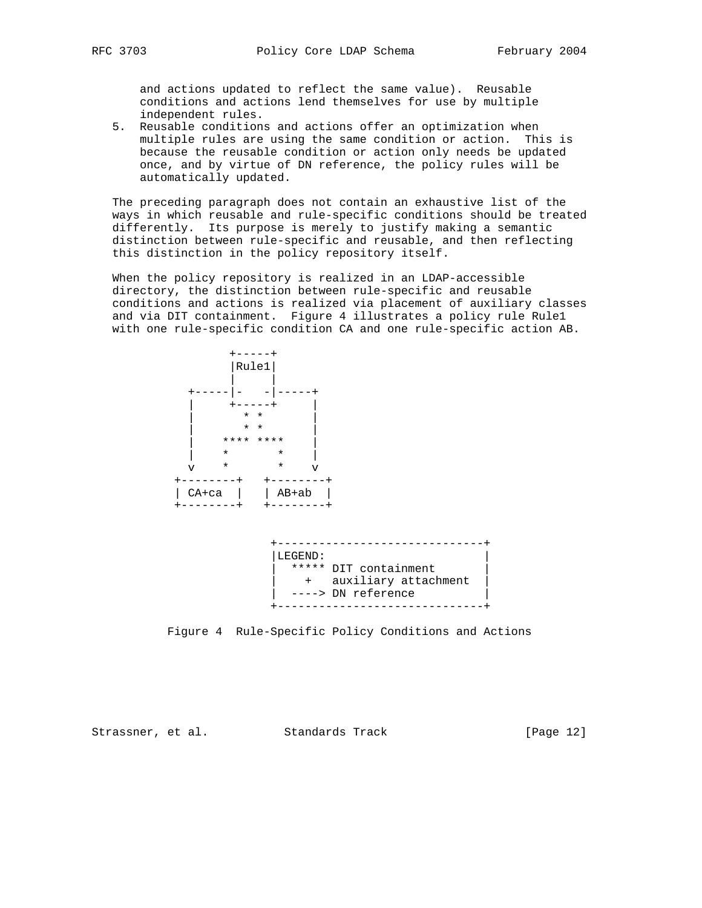and actions updated to reflect the same value). Reusable conditions and actions lend themselves for use by multiple independent rules.

 5. Reusable conditions and actions offer an optimization when multiple rules are using the same condition or action. This is because the reusable condition or action only needs be updated once, and by virtue of DN reference, the policy rules will be automatically updated.

 The preceding paragraph does not contain an exhaustive list of the ways in which reusable and rule-specific conditions should be treated differently. Its purpose is merely to justify making a semantic distinction between rule-specific and reusable, and then reflecting this distinction in the policy repository itself.

 When the policy repository is realized in an LDAP-accessible directory, the distinction between rule-specific and reusable conditions and actions is realized via placement of auxiliary classes and via DIT containment. Figure 4 illustrates a policy rule Rule1 with one rule-specific condition CA and one rule-specific action AB.





Figure 4 Rule-Specific Policy Conditions and Actions

Strassner, et al. Standards Track [Page 12]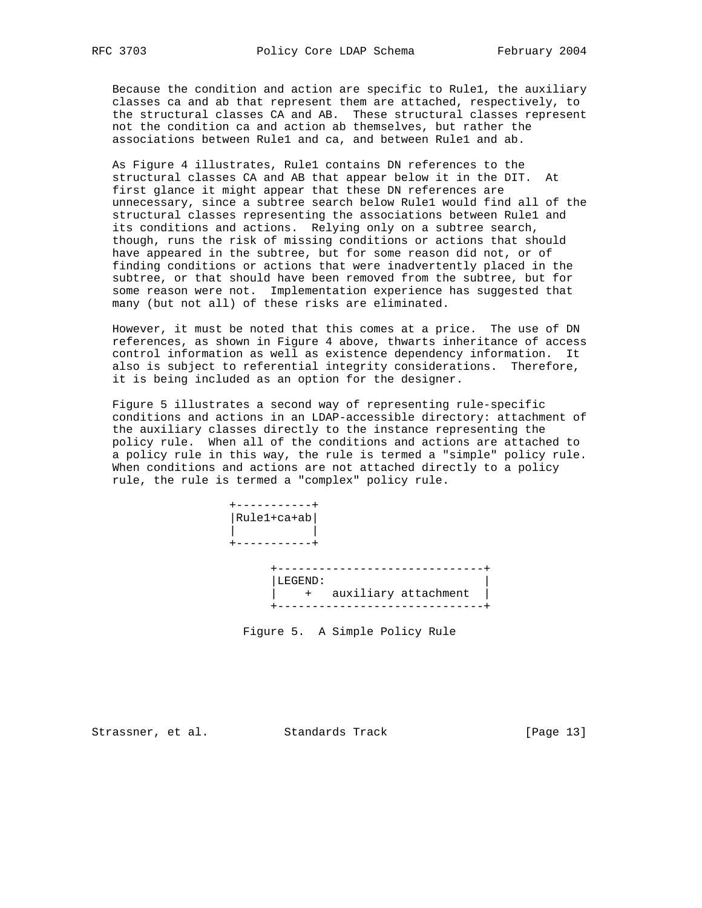Because the condition and action are specific to Rule1, the auxiliary classes ca and ab that represent them are attached, respectively, to the structural classes CA and AB. These structural classes represent not the condition ca and action ab themselves, but rather the associations between Rule1 and ca, and between Rule1 and ab.

 As Figure 4 illustrates, Rule1 contains DN references to the structural classes CA and AB that appear below it in the DIT. At first glance it might appear that these DN references are unnecessary, since a subtree search below Rule1 would find all of the structural classes representing the associations between Rule1 and its conditions and actions. Relying only on a subtree search, though, runs the risk of missing conditions or actions that should have appeared in the subtree, but for some reason did not, or of finding conditions or actions that were inadvertently placed in the subtree, or that should have been removed from the subtree, but for some reason were not. Implementation experience has suggested that many (but not all) of these risks are eliminated.

 However, it must be noted that this comes at a price. The use of DN references, as shown in Figure 4 above, thwarts inheritance of access control information as well as existence dependency information. It also is subject to referential integrity considerations. Therefore, it is being included as an option for the designer.

 Figure 5 illustrates a second way of representing rule-specific conditions and actions in an LDAP-accessible directory: attachment of the auxiliary classes directly to the instance representing the policy rule. When all of the conditions and actions are attached to a policy rule in this way, the rule is termed a "simple" policy rule. When conditions and actions are not attached directly to a policy rule, the rule is termed a "complex" policy rule.



Figure 5. A Simple Policy Rule

Strassner, et al. Standards Track [Page 13]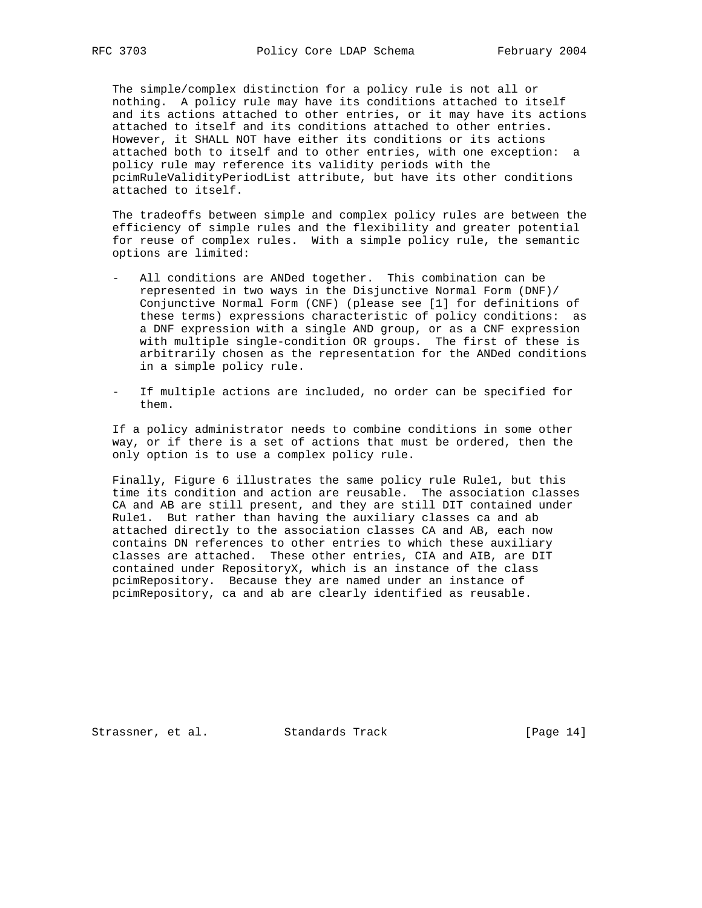The simple/complex distinction for a policy rule is not all or nothing. A policy rule may have its conditions attached to itself and its actions attached to other entries, or it may have its actions attached to itself and its conditions attached to other entries. However, it SHALL NOT have either its conditions or its actions attached both to itself and to other entries, with one exception: a policy rule may reference its validity periods with the pcimRuleValidityPeriodList attribute, but have its other conditions attached to itself.

 The tradeoffs between simple and complex policy rules are between the efficiency of simple rules and the flexibility and greater potential for reuse of complex rules. With a simple policy rule, the semantic options are limited:

- All conditions are ANDed together. This combination can be represented in two ways in the Disjunctive Normal Form (DNF)/ Conjunctive Normal Form (CNF) (please see [1] for definitions of these terms) expressions characteristic of policy conditions: as a DNF expression with a single AND group, or as a CNF expression with multiple single-condition OR groups. The first of these is arbitrarily chosen as the representation for the ANDed conditions in a simple policy rule.
- If multiple actions are included, no order can be specified for them.

 If a policy administrator needs to combine conditions in some other way, or if there is a set of actions that must be ordered, then the only option is to use a complex policy rule.

 Finally, Figure 6 illustrates the same policy rule Rule1, but this time its condition and action are reusable. The association classes CA and AB are still present, and they are still DIT contained under Rule1. But rather than having the auxiliary classes ca and ab attached directly to the association classes CA and AB, each now contains DN references to other entries to which these auxiliary classes are attached. These other entries, CIA and AIB, are DIT contained under RepositoryX, which is an instance of the class pcimRepository. Because they are named under an instance of pcimRepository, ca and ab are clearly identified as reusable.

Strassner, et al. Standards Track [Page 14]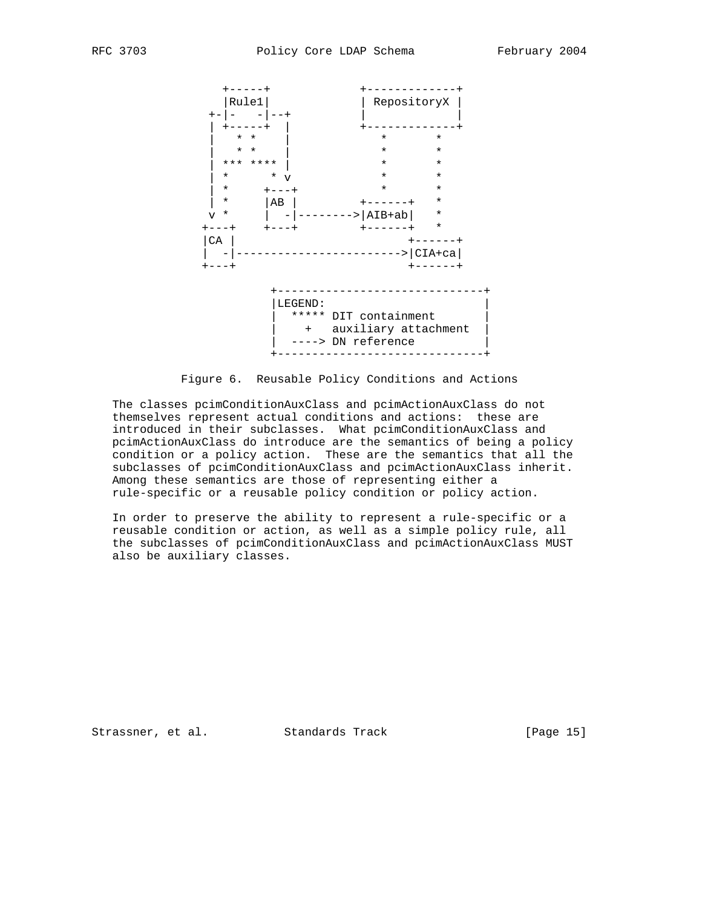

Figure 6. Reusable Policy Conditions and Actions

 The classes pcimConditionAuxClass and pcimActionAuxClass do not themselves represent actual conditions and actions: these are introduced in their subclasses. What pcimConditionAuxClass and pcimActionAuxClass do introduce are the semantics of being a policy condition or a policy action. These are the semantics that all the subclasses of pcimConditionAuxClass and pcimActionAuxClass inherit. Among these semantics are those of representing either a rule-specific or a reusable policy condition or policy action.

 In order to preserve the ability to represent a rule-specific or a reusable condition or action, as well as a simple policy rule, all the subclasses of pcimConditionAuxClass and pcimActionAuxClass MUST also be auxiliary classes.

Strassner, et al. Standards Track [Page 15]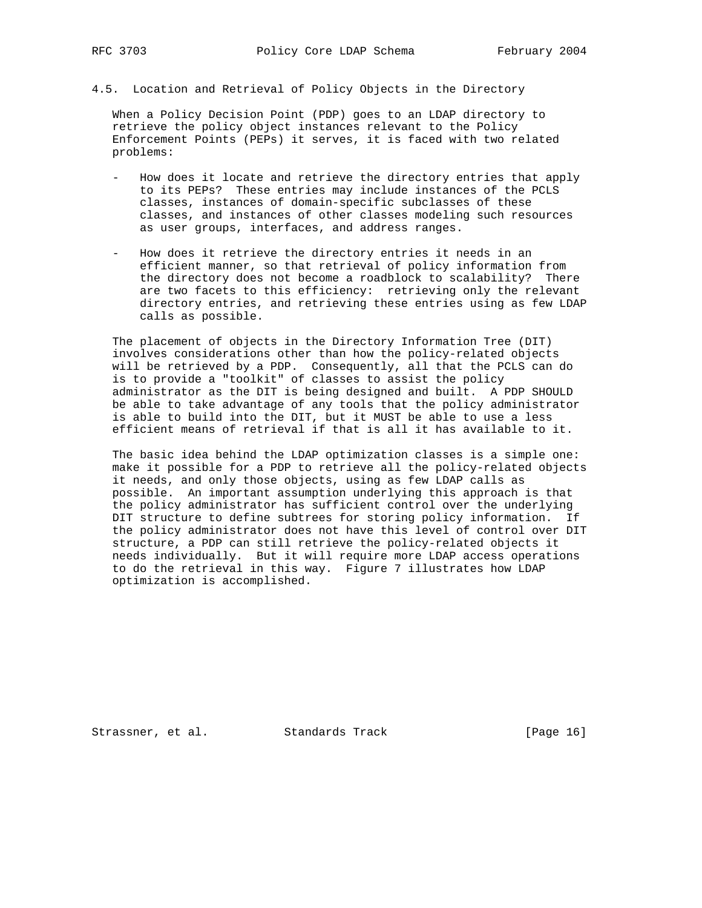4.5. Location and Retrieval of Policy Objects in the Directory

 When a Policy Decision Point (PDP) goes to an LDAP directory to retrieve the policy object instances relevant to the Policy Enforcement Points (PEPs) it serves, it is faced with two related problems:

- How does it locate and retrieve the directory entries that apply to its PEPs? These entries may include instances of the PCLS classes, instances of domain-specific subclasses of these classes, and instances of other classes modeling such resources as user groups, interfaces, and address ranges.
- How does it retrieve the directory entries it needs in an efficient manner, so that retrieval of policy information from the directory does not become a roadblock to scalability? There are two facets to this efficiency: retrieving only the relevant directory entries, and retrieving these entries using as few LDAP calls as possible.

 The placement of objects in the Directory Information Tree (DIT) involves considerations other than how the policy-related objects will be retrieved by a PDP. Consequently, all that the PCLS can do is to provide a "toolkit" of classes to assist the policy administrator as the DIT is being designed and built. A PDP SHOULD be able to take advantage of any tools that the policy administrator is able to build into the DIT, but it MUST be able to use a less efficient means of retrieval if that is all it has available to it.

 The basic idea behind the LDAP optimization classes is a simple one: make it possible for a PDP to retrieve all the policy-related objects it needs, and only those objects, using as few LDAP calls as possible. An important assumption underlying this approach is that the policy administrator has sufficient control over the underlying DIT structure to define subtrees for storing policy information. If the policy administrator does not have this level of control over DIT structure, a PDP can still retrieve the policy-related objects it needs individually. But it will require more LDAP access operations to do the retrieval in this way. Figure 7 illustrates how LDAP optimization is accomplished.

Strassner, et al. Standards Track [Page 16]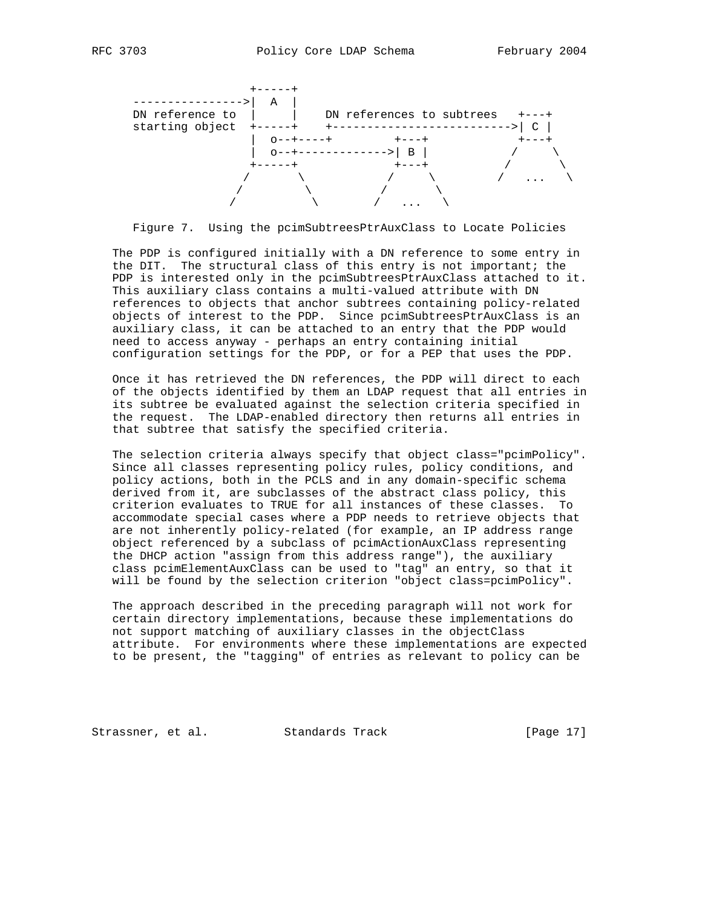

Figure 7. Using the pcimSubtreesPtrAuxClass to Locate Policies

 The PDP is configured initially with a DN reference to some entry in the DIT. The structural class of this entry is not important; the PDP is interested only in the pcimSubtreesPtrAuxClass attached to it. This auxiliary class contains a multi-valued attribute with DN references to objects that anchor subtrees containing policy-related objects of interest to the PDP. Since pcimSubtreesPtrAuxClass is an auxiliary class, it can be attached to an entry that the PDP would need to access anyway - perhaps an entry containing initial configuration settings for the PDP, or for a PEP that uses the PDP.

 Once it has retrieved the DN references, the PDP will direct to each of the objects identified by them an LDAP request that all entries in its subtree be evaluated against the selection criteria specified in the request. The LDAP-enabled directory then returns all entries in that subtree that satisfy the specified criteria.

 The selection criteria always specify that object class="pcimPolicy". Since all classes representing policy rules, policy conditions, and policy actions, both in the PCLS and in any domain-specific schema derived from it, are subclasses of the abstract class policy, this criterion evaluates to TRUE for all instances of these classes. To accommodate special cases where a PDP needs to retrieve objects that are not inherently policy-related (for example, an IP address range object referenced by a subclass of pcimActionAuxClass representing the DHCP action "assign from this address range"), the auxiliary class pcimElementAuxClass can be used to "tag" an entry, so that it will be found by the selection criterion "object class=pcimPolicy".

 The approach described in the preceding paragraph will not work for certain directory implementations, because these implementations do not support matching of auxiliary classes in the objectClass attribute. For environments where these implementations are expected to be present, the "tagging" of entries as relevant to policy can be

Strassner, et al. Standards Track [Page 17]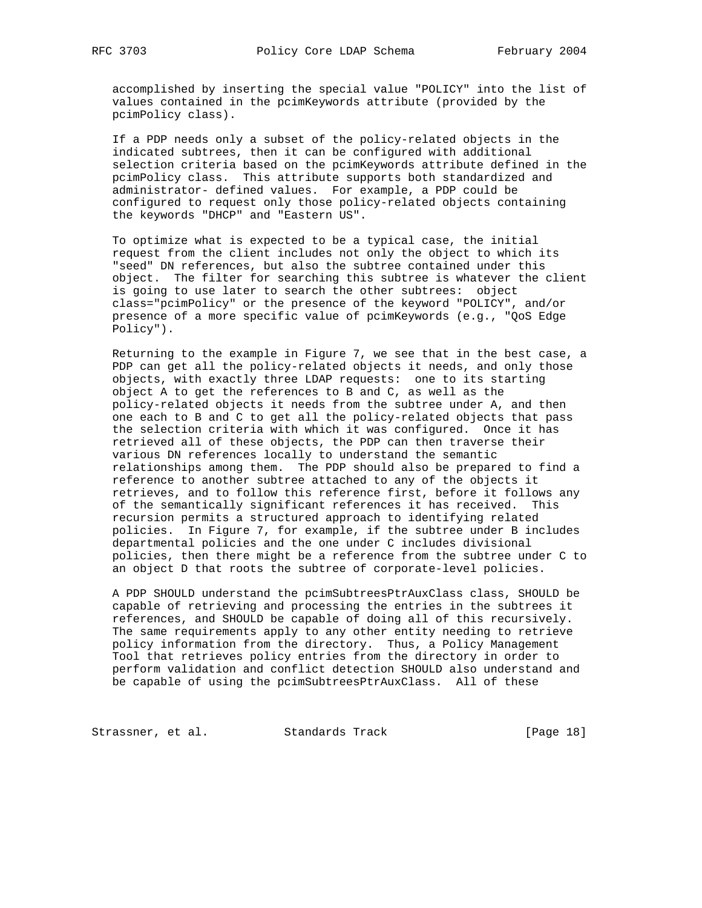accomplished by inserting the special value "POLICY" into the list of values contained in the pcimKeywords attribute (provided by the pcimPolicy class).

 If a PDP needs only a subset of the policy-related objects in the indicated subtrees, then it can be configured with additional selection criteria based on the pcimKeywords attribute defined in the pcimPolicy class. This attribute supports both standardized and administrator- defined values. For example, a PDP could be configured to request only those policy-related objects containing the keywords "DHCP" and "Eastern US".

 To optimize what is expected to be a typical case, the initial request from the client includes not only the object to which its "seed" DN references, but also the subtree contained under this object. The filter for searching this subtree is whatever the client is going to use later to search the other subtrees: object class="pcimPolicy" or the presence of the keyword "POLICY", and/or presence of a more specific value of pcimKeywords (e.g., "QoS Edge Policy").

 Returning to the example in Figure 7, we see that in the best case, a PDP can get all the policy-related objects it needs, and only those objects, with exactly three LDAP requests: one to its starting object A to get the references to B and C, as well as the policy-related objects it needs from the subtree under A, and then one each to B and C to get all the policy-related objects that pass the selection criteria with which it was configured. Once it has retrieved all of these objects, the PDP can then traverse their various DN references locally to understand the semantic relationships among them. The PDP should also be prepared to find a reference to another subtree attached to any of the objects it retrieves, and to follow this reference first, before it follows any of the semantically significant references it has received. This recursion permits a structured approach to identifying related policies. In Figure 7, for example, if the subtree under B includes departmental policies and the one under C includes divisional policies, then there might be a reference from the subtree under C to an object D that roots the subtree of corporate-level policies.

 A PDP SHOULD understand the pcimSubtreesPtrAuxClass class, SHOULD be capable of retrieving and processing the entries in the subtrees it references, and SHOULD be capable of doing all of this recursively. The same requirements apply to any other entity needing to retrieve policy information from the directory. Thus, a Policy Management Tool that retrieves policy entries from the directory in order to perform validation and conflict detection SHOULD also understand and be capable of using the pcimSubtreesPtrAuxClass. All of these

Strassner, et al. Standards Track [Page 18]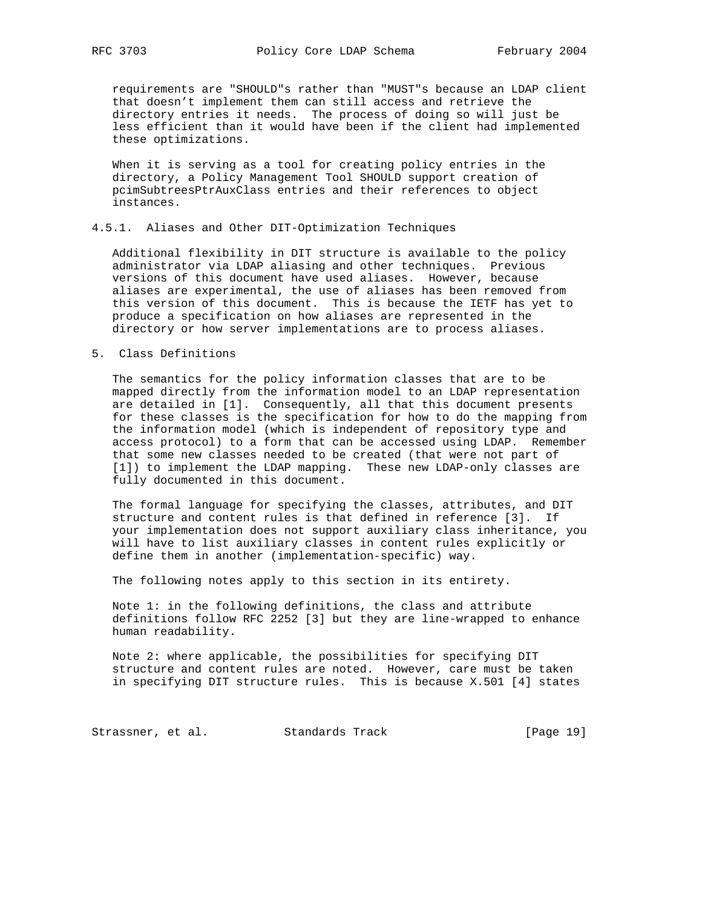requirements are "SHOULD"s rather than "MUST"s because an LDAP client that doesn't implement them can still access and retrieve the directory entries it needs. The process of doing so will just be less efficient than it would have been if the client had implemented these optimizations.

 When it is serving as a tool for creating policy entries in the directory, a Policy Management Tool SHOULD support creation of pcimSubtreesPtrAuxClass entries and their references to object instances.

## 4.5.1. Aliases and Other DIT-Optimization Techniques

 Additional flexibility in DIT structure is available to the policy administrator via LDAP aliasing and other techniques. Previous versions of this document have used aliases. However, because aliases are experimental, the use of aliases has been removed from this version of this document. This is because the IETF has yet to produce a specification on how aliases are represented in the directory or how server implementations are to process aliases.

## 5. Class Definitions

 The semantics for the policy information classes that are to be mapped directly from the information model to an LDAP representation are detailed in [1]. Consequently, all that this document presents for these classes is the specification for how to do the mapping from the information model (which is independent of repository type and access protocol) to a form that can be accessed using LDAP. Remember that some new classes needed to be created (that were not part of [1]) to implement the LDAP mapping. These new LDAP-only classes are fully documented in this document.

 The formal language for specifying the classes, attributes, and DIT structure and content rules is that defined in reference [3]. If your implementation does not support auxiliary class inheritance, you will have to list auxiliary classes in content rules explicitly or define them in another (implementation-specific) way.

The following notes apply to this section in its entirety.

 Note 1: in the following definitions, the class and attribute definitions follow RFC 2252 [3] but they are line-wrapped to enhance human readability.

 Note 2: where applicable, the possibilities for specifying DIT structure and content rules are noted. However, care must be taken in specifying DIT structure rules. This is because X.501 [4] states

Strassner, et al. Standards Track [Page 19]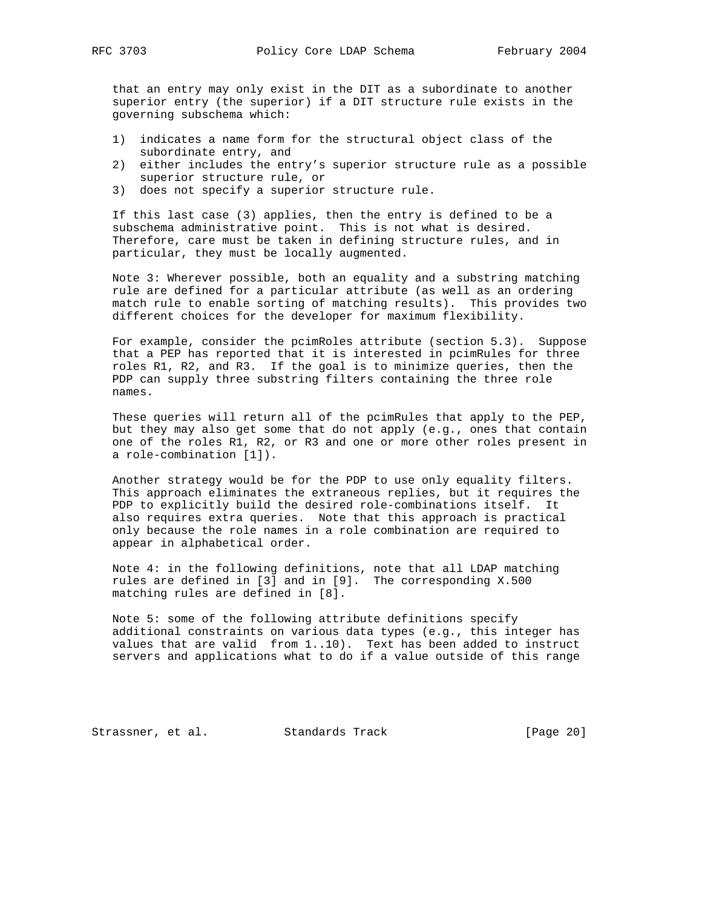that an entry may only exist in the DIT as a subordinate to another superior entry (the superior) if a DIT structure rule exists in the governing subschema which:

- 1) indicates a name form for the structural object class of the subordinate entry, and
- 2) either includes the entry's superior structure rule as a possible superior structure rule, or
- 3) does not specify a superior structure rule.

 If this last case (3) applies, then the entry is defined to be a subschema administrative point. This is not what is desired. Therefore, care must be taken in defining structure rules, and in particular, they must be locally augmented.

 Note 3: Wherever possible, both an equality and a substring matching rule are defined for a particular attribute (as well as an ordering match rule to enable sorting of matching results). This provides two different choices for the developer for maximum flexibility.

 For example, consider the pcimRoles attribute (section 5.3). Suppose that a PEP has reported that it is interested in pcimRules for three roles R1, R2, and R3. If the goal is to minimize queries, then the PDP can supply three substring filters containing the three role names.

 These queries will return all of the pcimRules that apply to the PEP, but they may also get some that do not apply (e.g., ones that contain one of the roles R1, R2, or R3 and one or more other roles present in a role-combination [1]).

 Another strategy would be for the PDP to use only equality filters. This approach eliminates the extraneous replies, but it requires the PDP to explicitly build the desired role-combinations itself. It also requires extra queries. Note that this approach is practical only because the role names in a role combination are required to appear in alphabetical order.

 Note 4: in the following definitions, note that all LDAP matching rules are defined in [3] and in [9]. The corresponding X.500 matching rules are defined in [8].

 Note 5: some of the following attribute definitions specify additional constraints on various data types (e.g., this integer has values that are valid from 1..10). Text has been added to instruct servers and applications what to do if a value outside of this range

Strassner, et al. Standards Track [Page 20]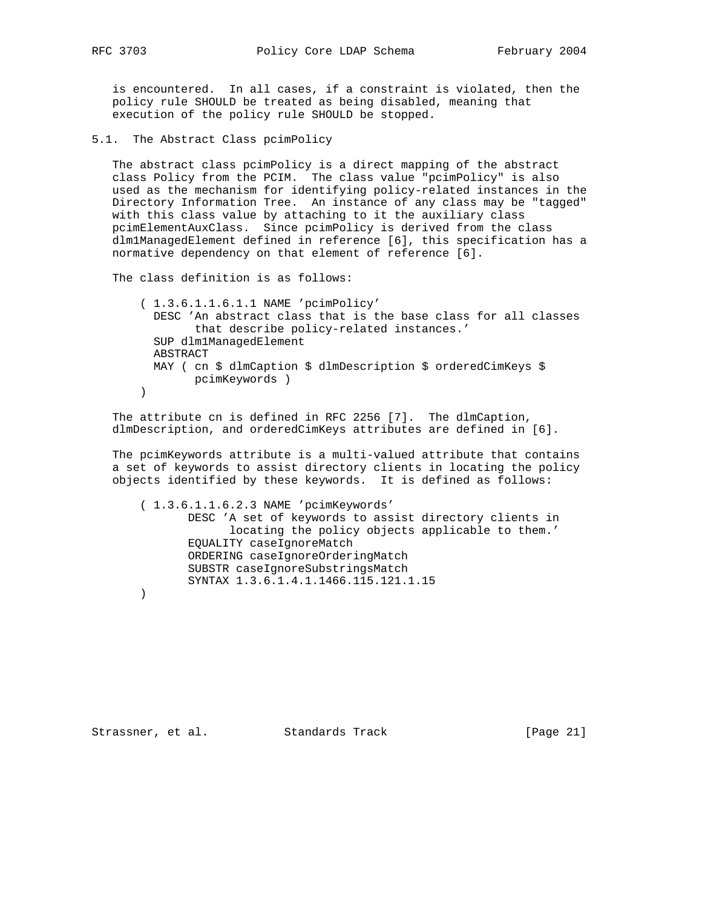is encountered. In all cases, if a constraint is violated, then the policy rule SHOULD be treated as being disabled, meaning that execution of the policy rule SHOULD be stopped.

5.1. The Abstract Class pcimPolicy

 The abstract class pcimPolicy is a direct mapping of the abstract class Policy from the PCIM. The class value "pcimPolicy" is also used as the mechanism for identifying policy-related instances in the Directory Information Tree. An instance of any class may be "tagged" with this class value by attaching to it the auxiliary class pcimElementAuxClass. Since pcimPolicy is derived from the class dlm1ManagedElement defined in reference [6], this specification has a normative dependency on that element of reference [6].

The class definition is as follows:

 ( 1.3.6.1.1.6.1.1 NAME 'pcimPolicy' DESC 'An abstract class that is the base class for all classes that describe policy-related instances.' SUP dlm1ManagedElement ABSTRACT MAY ( cn \$ dlmCaption \$ dlmDescription \$ orderedCimKeys \$ pcimKeywords ) )

 The attribute cn is defined in RFC 2256 [7]. The dlmCaption, dlmDescription, and orderedCimKeys attributes are defined in [6].

 The pcimKeywords attribute is a multi-valued attribute that contains a set of keywords to assist directory clients in locating the policy objects identified by these keywords. It is defined as follows:

 ( 1.3.6.1.1.6.2.3 NAME 'pcimKeywords' DESC 'A set of keywords to assist directory clients in locating the policy objects applicable to them.' EQUALITY caseIgnoreMatch ORDERING caseIgnoreOrderingMatch SUBSTR caseIgnoreSubstringsMatch SYNTAX 1.3.6.1.4.1.1466.115.121.1.15 )

Strassner, et al. Standards Track [Page 21]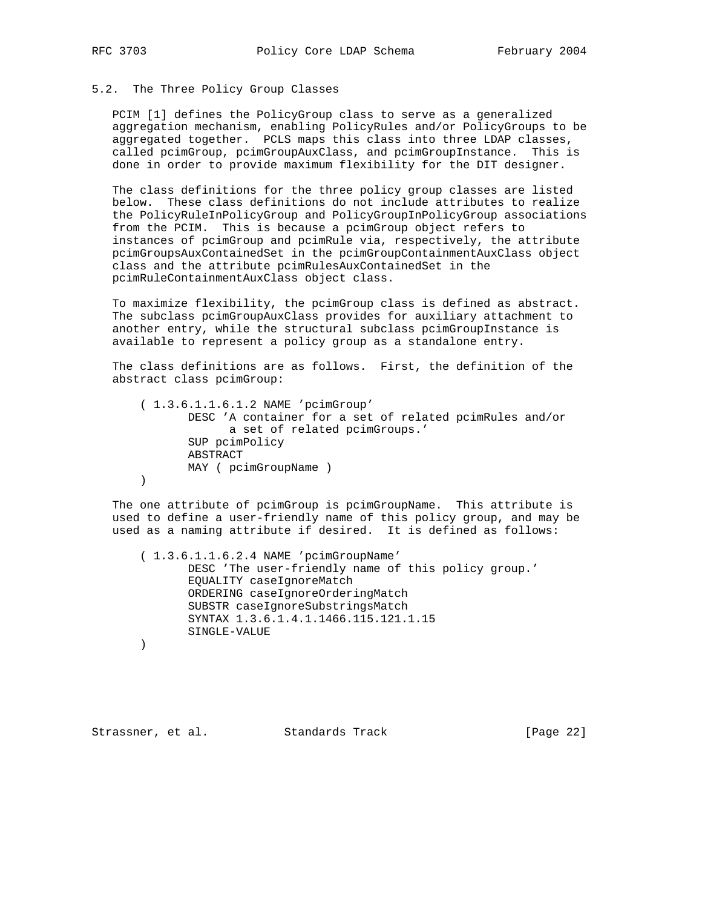## 5.2. The Three Policy Group Classes

 PCIM [1] defines the PolicyGroup class to serve as a generalized aggregation mechanism, enabling PolicyRules and/or PolicyGroups to be aggregated together. PCLS maps this class into three LDAP classes, called pcimGroup, pcimGroupAuxClass, and pcimGroupInstance. This is done in order to provide maximum flexibility for the DIT designer.

 The class definitions for the three policy group classes are listed below. These class definitions do not include attributes to realize the PolicyRuleInPolicyGroup and PolicyGroupInPolicyGroup associations from the PCIM. This is because a pcimGroup object refers to instances of pcimGroup and pcimRule via, respectively, the attribute pcimGroupsAuxContainedSet in the pcimGroupContainmentAuxClass object class and the attribute pcimRulesAuxContainedSet in the pcimRuleContainmentAuxClass object class.

 To maximize flexibility, the pcimGroup class is defined as abstract. The subclass pcimGroupAuxClass provides for auxiliary attachment to another entry, while the structural subclass pcimGroupInstance is available to represent a policy group as a standalone entry.

 The class definitions are as follows. First, the definition of the abstract class pcimGroup:

 ( 1.3.6.1.1.6.1.2 NAME 'pcimGroup' DESC 'A container for a set of related pcimRules and/or a set of related pcimGroups.' SUP pcimPolicy ABSTRACT MAY ( pcimGroupName ) )

 The one attribute of pcimGroup is pcimGroupName. This attribute is used to define a user-friendly name of this policy group, and may be used as a naming attribute if desired. It is defined as follows:

 ( 1.3.6.1.1.6.2.4 NAME 'pcimGroupName' DESC 'The user-friendly name of this policy group.' EQUALITY caseIgnoreMatch ORDERING caseIgnoreOrderingMatch SUBSTR caseIgnoreSubstringsMatch SYNTAX 1.3.6.1.4.1.1466.115.121.1.15 SINGLE-VALUE

)

Strassner, et al. Standards Track [Page 22]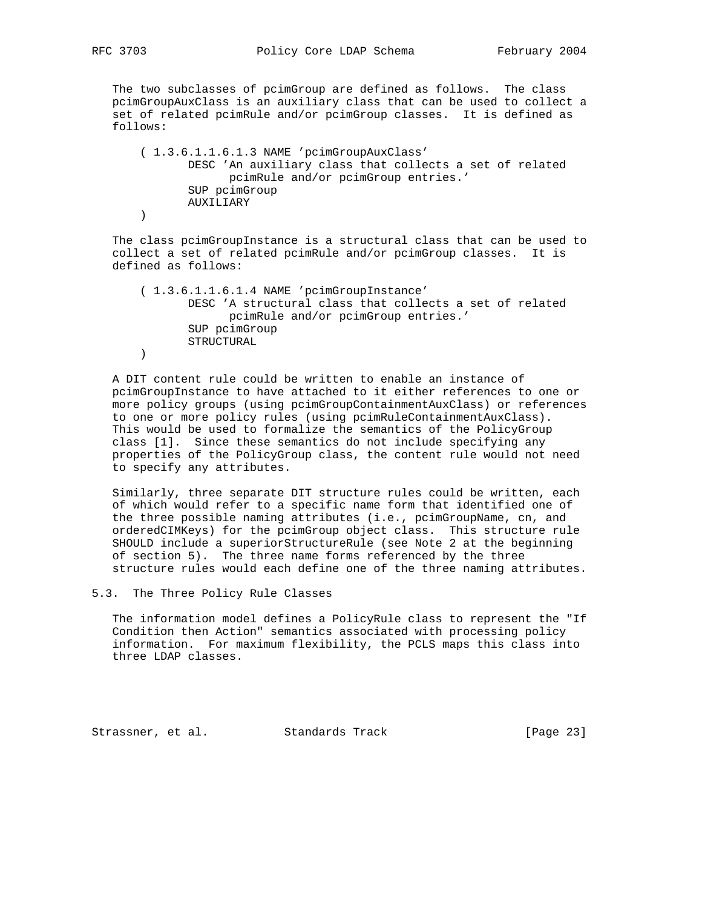The two subclasses of pcimGroup are defined as follows. The class pcimGroupAuxClass is an auxiliary class that can be used to collect a set of related pcimRule and/or pcimGroup classes. It is defined as follows:

```
 ( 1.3.6.1.1.6.1.3 NAME 'pcimGroupAuxClass'
        DESC 'An auxiliary class that collects a set of related
             pcimRule and/or pcimGroup entries.'
        SUP pcimGroup
        AUXILIARY
 )
```
 The class pcimGroupInstance is a structural class that can be used to collect a set of related pcimRule and/or pcimGroup classes. It is defined as follows:

 ( 1.3.6.1.1.6.1.4 NAME 'pcimGroupInstance' DESC 'A structural class that collects a set of related pcimRule and/or pcimGroup entries.' SUP pcimGroup STRUCTURAL )

 A DIT content rule could be written to enable an instance of pcimGroupInstance to have attached to it either references to one or more policy groups (using pcimGroupContainmentAuxClass) or references to one or more policy rules (using pcimRuleContainmentAuxClass). This would be used to formalize the semantics of the PolicyGroup class [1]. Since these semantics do not include specifying any properties of the PolicyGroup class, the content rule would not need to specify any attributes.

 Similarly, three separate DIT structure rules could be written, each of which would refer to a specific name form that identified one of the three possible naming attributes (i.e., pcimGroupName, cn, and orderedCIMKeys) for the pcimGroup object class. This structure rule SHOULD include a superiorStructureRule (see Note 2 at the beginning of section 5). The three name forms referenced by the three structure rules would each define one of the three naming attributes.

5.3. The Three Policy Rule Classes

 The information model defines a PolicyRule class to represent the "If Condition then Action" semantics associated with processing policy information. For maximum flexibility, the PCLS maps this class into three LDAP classes.

Strassner, et al. Standards Track [Page 23]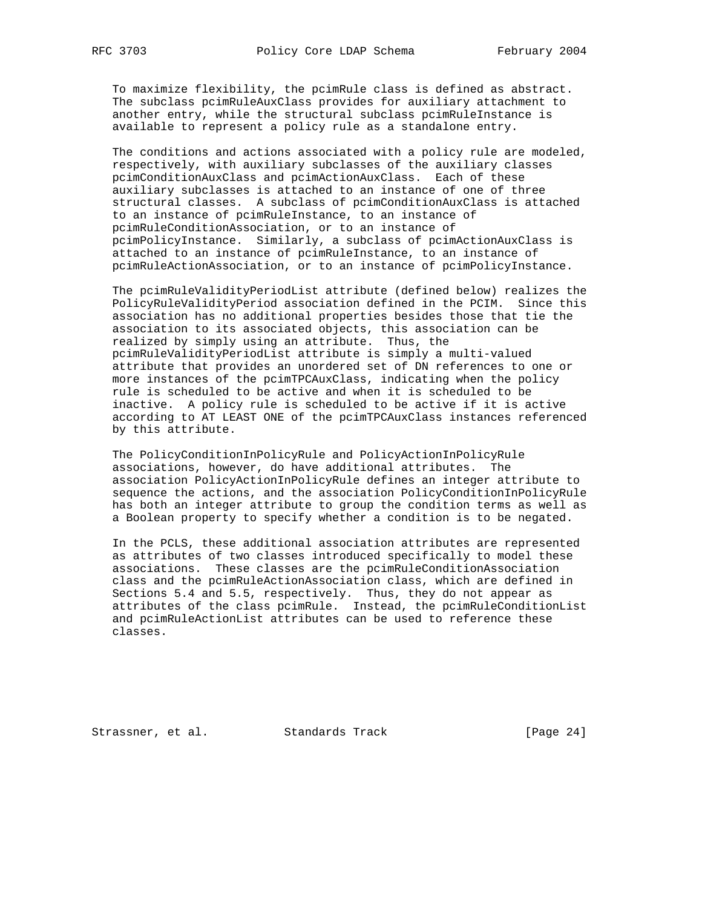To maximize flexibility, the pcimRule class is defined as abstract. The subclass pcimRuleAuxClass provides for auxiliary attachment to another entry, while the structural subclass pcimRuleInstance is available to represent a policy rule as a standalone entry.

 The conditions and actions associated with a policy rule are modeled, respectively, with auxiliary subclasses of the auxiliary classes pcimConditionAuxClass and pcimActionAuxClass. Each of these auxiliary subclasses is attached to an instance of one of three structural classes. A subclass of pcimConditionAuxClass is attached to an instance of pcimRuleInstance, to an instance of pcimRuleConditionAssociation, or to an instance of pcimPolicyInstance. Similarly, a subclass of pcimActionAuxClass is attached to an instance of pcimRuleInstance, to an instance of pcimRuleActionAssociation, or to an instance of pcimPolicyInstance.

 The pcimRuleValidityPeriodList attribute (defined below) realizes the PolicyRuleValidityPeriod association defined in the PCIM. Since this association has no additional properties besides those that tie the association to its associated objects, this association can be realized by simply using an attribute. Thus, the pcimRuleValidityPeriodList attribute is simply a multi-valued attribute that provides an unordered set of DN references to one or more instances of the pcimTPCAuxClass, indicating when the policy rule is scheduled to be active and when it is scheduled to be inactive. A policy rule is scheduled to be active if it is active according to AT LEAST ONE of the pcimTPCAuxClass instances referenced by this attribute.

 The PolicyConditionInPolicyRule and PolicyActionInPolicyRule associations, however, do have additional attributes. The association PolicyActionInPolicyRule defines an integer attribute to sequence the actions, and the association PolicyConditionInPolicyRule has both an integer attribute to group the condition terms as well as a Boolean property to specify whether a condition is to be negated.

 In the PCLS, these additional association attributes are represented as attributes of two classes introduced specifically to model these associations. These classes are the pcimRuleConditionAssociation class and the pcimRuleActionAssociation class, which are defined in Sections 5.4 and 5.5, respectively. Thus, they do not appear as attributes of the class pcimRule. Instead, the pcimRuleConditionList and pcimRuleActionList attributes can be used to reference these classes.

Strassner, et al. Standards Track [Page 24]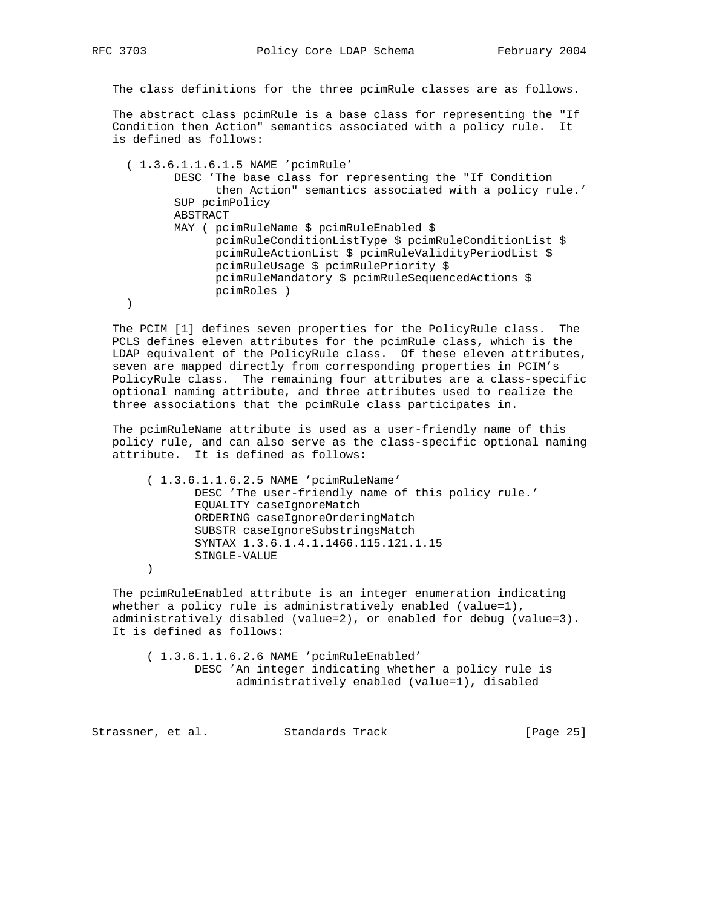The class definitions for the three pcimRule classes are as follows.

 The abstract class pcimRule is a base class for representing the "If Condition then Action" semantics associated with a policy rule. It is defined as follows:

 ( 1.3.6.1.1.6.1.5 NAME 'pcimRule' DESC 'The base class for representing the "If Condition then Action" semantics associated with a policy rule.' SUP pcimPolicy ABSTRACT MAY ( pcimRuleName \$ pcimRuleEnabled \$ pcimRuleConditionListType \$ pcimRuleConditionList \$ pcimRuleActionList \$ pcimRuleValidityPeriodList \$ pcimRuleUsage \$ pcimRulePriority \$ pcimRuleMandatory \$ pcimRuleSequencedActions \$ pcimRoles ) )

 The PCIM [1] defines seven properties for the PolicyRule class. The PCLS defines eleven attributes for the pcimRule class, which is the LDAP equivalent of the PolicyRule class. Of these eleven attributes, seven are mapped directly from corresponding properties in PCIM's PolicyRule class. The remaining four attributes are a class-specific optional naming attribute, and three attributes used to realize the three associations that the pcimRule class participates in.

 The pcimRuleName attribute is used as a user-friendly name of this policy rule, and can also serve as the class-specific optional naming attribute. It is defined as follows:

 ( 1.3.6.1.1.6.2.5 NAME 'pcimRuleName' DESC 'The user-friendly name of this policy rule.' EQUALITY caseIgnoreMatch ORDERING caseIgnoreOrderingMatch SUBSTR caseIgnoreSubstringsMatch SYNTAX 1.3.6.1.4.1.1466.115.121.1.15 SINGLE-VALUE  $\overline{\phantom{a}}$ 

 The pcimRuleEnabled attribute is an integer enumeration indicating whether a policy rule is administratively enabled (value=1), administratively disabled (value=2), or enabled for debug (value=3). It is defined as follows:

 ( 1.3.6.1.1.6.2.6 NAME 'pcimRuleEnabled' DESC 'An integer indicating whether a policy rule is administratively enabled (value=1), disabled

Strassner, et al. Standards Track [Page 25]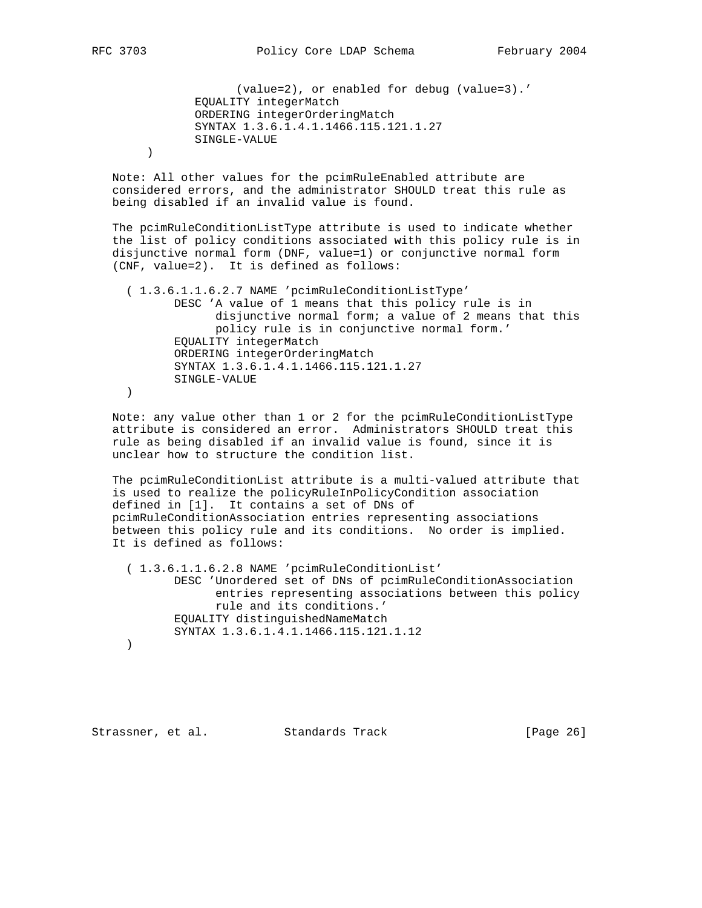(value=2), or enabled for debug (value=3).' EQUALITY integerMatch ORDERING integerOrderingMatch SYNTAX 1.3.6.1.4.1.1466.115.121.1.27 SINGLE-VALUE

 Note: All other values for the pcimRuleEnabled attribute are considered errors, and the administrator SHOULD treat this rule as being disabled if an invalid value is found.

 The pcimRuleConditionListType attribute is used to indicate whether the list of policy conditions associated with this policy rule is in disjunctive normal form (DNF, value=1) or conjunctive normal form (CNF, value=2). It is defined as follows:

 ( 1.3.6.1.1.6.2.7 NAME 'pcimRuleConditionListType' DESC 'A value of 1 means that this policy rule is in disjunctive normal form; a value of 2 means that this policy rule is in conjunctive normal form.' EQUALITY integerMatch ORDERING integerOrderingMatch SYNTAX 1.3.6.1.4.1.1466.115.121.1.27 SINGLE-VALUE )

 Note: any value other than 1 or 2 for the pcimRuleConditionListType attribute is considered an error. Administrators SHOULD treat this rule as being disabled if an invalid value is found, since it is unclear how to structure the condition list.

 The pcimRuleConditionList attribute is a multi-valued attribute that is used to realize the policyRuleInPolicyCondition association defined in [1]. It contains a set of DNs of pcimRuleConditionAssociation entries representing associations between this policy rule and its conditions. No order is implied. It is defined as follows:

 ( 1.3.6.1.1.6.2.8 NAME 'pcimRuleConditionList' DESC 'Unordered set of DNs of pcimRuleConditionAssociation entries representing associations between this policy rule and its conditions.' EQUALITY distinguishedNameMatch SYNTAX 1.3.6.1.4.1.1466.115.121.1.12 )

Strassner, et al. Standards Track [Page 26]

 $\overline{\phantom{a}}$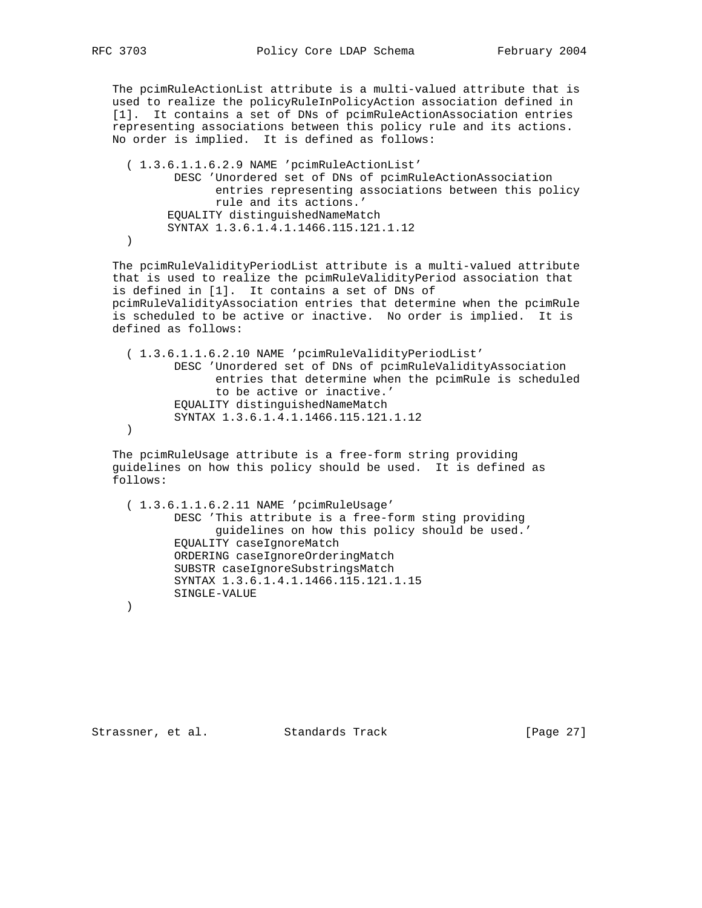The pcimRuleActionList attribute is a multi-valued attribute that is used to realize the policyRuleInPolicyAction association defined in [1]. It contains a set of DNs of pcimRuleActionAssociation entries representing associations between this policy rule and its actions. No order is implied. It is defined as follows:

 ( 1.3.6.1.1.6.2.9 NAME 'pcimRuleActionList' DESC 'Unordered set of DNs of pcimRuleActionAssociation entries representing associations between this policy rule and its actions.' EQUALITY distinguishedNameMatch SYNTAX 1.3.6.1.4.1.1466.115.121.1.12 )

 The pcimRuleValidityPeriodList attribute is a multi-valued attribute that is used to realize the pcimRuleValidityPeriod association that is defined in [1]. It contains a set of DNs of pcimRuleValidityAssociation entries that determine when the pcimRule is scheduled to be active or inactive. No order is implied. It is defined as follows:

 ( 1.3.6.1.1.6.2.10 NAME 'pcimRuleValidityPeriodList' DESC 'Unordered set of DNs of pcimRuleValidityAssociation entries that determine when the pcimRule is scheduled to be active or inactive.' EQUALITY distinguishedNameMatch SYNTAX 1.3.6.1.4.1.1466.115.121.1.12 )

 The pcimRuleUsage attribute is a free-form string providing guidelines on how this policy should be used. It is defined as follows:

 ( 1.3.6.1.1.6.2.11 NAME 'pcimRuleUsage' DESC 'This attribute is a free-form sting providing guidelines on how this policy should be used.' EQUALITY caseIgnoreMatch ORDERING caseIgnoreOrderingMatch SUBSTR caseIgnoreSubstringsMatch SYNTAX 1.3.6.1.4.1.1466.115.121.1.15 SINGLE-VALUE )

Strassner, et al. Standards Track [Page 27]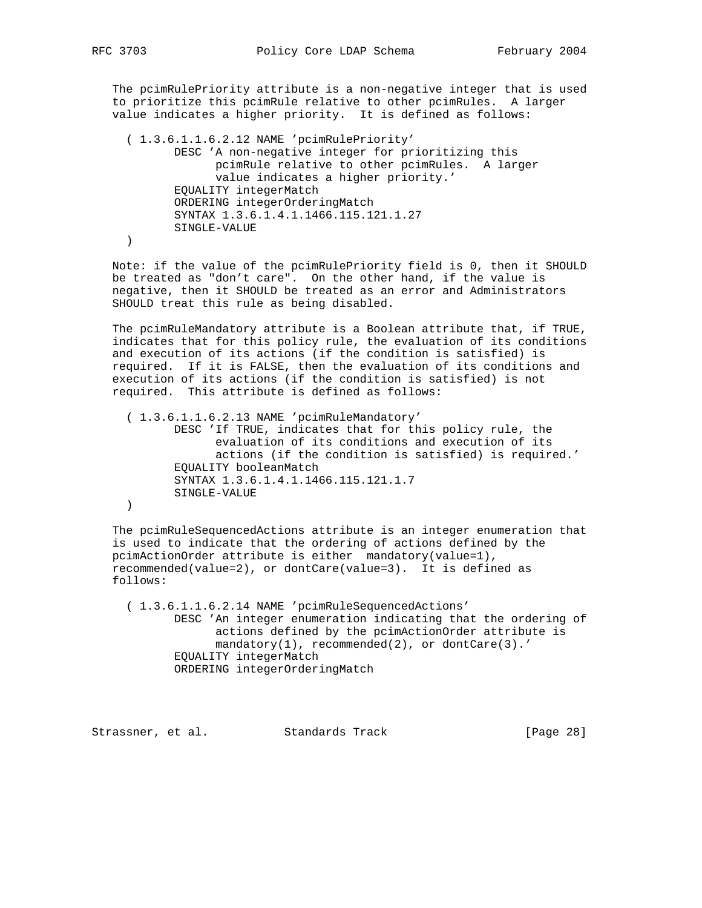The pcimRulePriority attribute is a non-negative integer that is used to prioritize this pcimRule relative to other pcimRules. A larger value indicates a higher priority. It is defined as follows:

```
 ( 1.3.6.1.1.6.2.12 NAME 'pcimRulePriority'
        DESC 'A non-negative integer for prioritizing this
              pcimRule relative to other pcimRules. A larger
              value indicates a higher priority.'
        EQUALITY integerMatch
        ORDERING integerOrderingMatch
        SYNTAX 1.3.6.1.4.1.1466.115.121.1.27
        SINGLE-VALUE
 )
```
 Note: if the value of the pcimRulePriority field is 0, then it SHOULD be treated as "don't care". On the other hand, if the value is negative, then it SHOULD be treated as an error and Administrators SHOULD treat this rule as being disabled.

 The pcimRuleMandatory attribute is a Boolean attribute that, if TRUE, indicates that for this policy rule, the evaluation of its conditions and execution of its actions (if the condition is satisfied) is required. If it is FALSE, then the evaluation of its conditions and execution of its actions (if the condition is satisfied) is not required. This attribute is defined as follows:

```
 ( 1.3.6.1.1.6.2.13 NAME 'pcimRuleMandatory'
        DESC 'If TRUE, indicates that for this policy rule, the
              evaluation of its conditions and execution of its
              actions (if the condition is satisfied) is required.'
        EQUALITY booleanMatch
        SYNTAX 1.3.6.1.4.1.1466.115.121.1.7
        SINGLE-VALUE
 )
```
 The pcimRuleSequencedActions attribute is an integer enumeration that is used to indicate that the ordering of actions defined by the pcimActionOrder attribute is either mandatory(value=1), recommended(value=2), or dontCare(value=3). It is defined as follows:

 ( 1.3.6.1.1.6.2.14 NAME 'pcimRuleSequencedActions' DESC 'An integer enumeration indicating that the ordering of actions defined by the pcimActionOrder attribute is mandatory(1), recommended(2), or dontCare(3).' EQUALITY integerMatch ORDERING integerOrderingMatch

Strassner, et al. Standards Track [Page 28]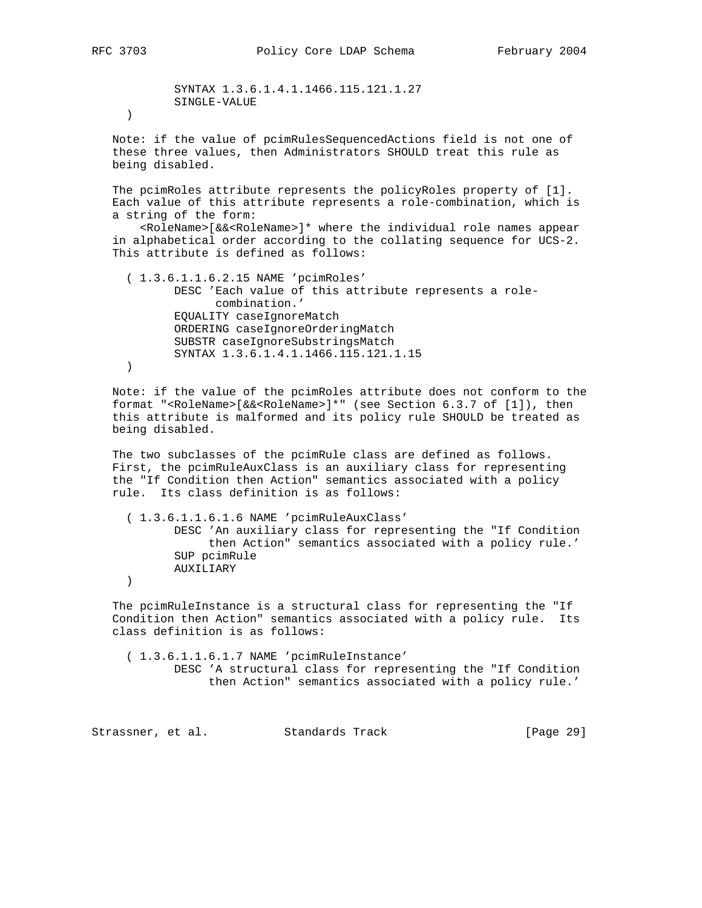SYNTAX 1.3.6.1.4.1.1466.115.121.1.27 SINGLE-VALUE

)

 Note: if the value of pcimRulesSequencedActions field is not one of these three values, then Administrators SHOULD treat this rule as being disabled.

 The pcimRoles attribute represents the policyRoles property of [1]. Each value of this attribute represents a role-combination, which is a string of the form:

 <RoleName>[&&<RoleName>]\* where the individual role names appear in alphabetical order according to the collating sequence for UCS-2. This attribute is defined as follows:

 ( 1.3.6.1.1.6.2.15 NAME 'pcimRoles' DESC 'Each value of this attribute represents a role combination.' EQUALITY caseIgnoreMatch ORDERING caseIgnoreOrderingMatch SUBSTR caseIgnoreSubstringsMatch SYNTAX 1.3.6.1.4.1.1466.115.121.1.15 )

 Note: if the value of the pcimRoles attribute does not conform to the format "<RoleName>[&&<RoleName>]\*" (see Section 6.3.7 of [1]), then this attribute is malformed and its policy rule SHOULD be treated as being disabled.

 The two subclasses of the pcimRule class are defined as follows. First, the pcimRuleAuxClass is an auxiliary class for representing the "If Condition then Action" semantics associated with a policy rule. Its class definition is as follows:

 ( 1.3.6.1.1.6.1.6 NAME 'pcimRuleAuxClass' DESC 'An auxiliary class for representing the "If Condition then Action" semantics associated with a policy rule.' SUP pcimRule AUXILIARY

)

 The pcimRuleInstance is a structural class for representing the "If Condition then Action" semantics associated with a policy rule. Its class definition is as follows:

 ( 1.3.6.1.1.6.1.7 NAME 'pcimRuleInstance' DESC 'A structural class for representing the "If Condition then Action" semantics associated with a policy rule.'

Strassner, et al. Standards Track [Page 29]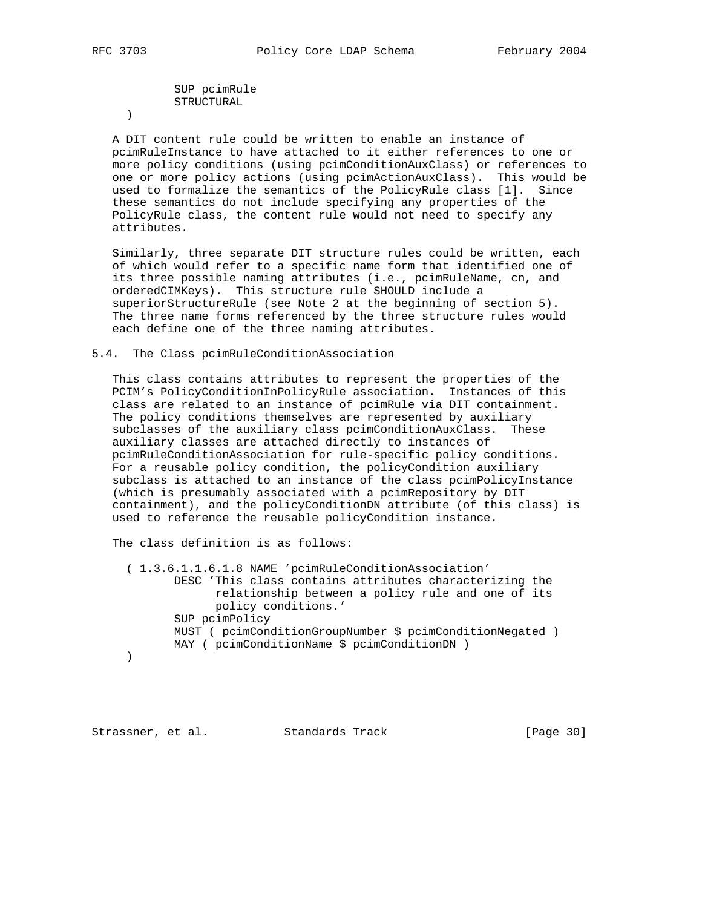SUP pcimRule STRUCTURAL

)

 A DIT content rule could be written to enable an instance of pcimRuleInstance to have attached to it either references to one or more policy conditions (using pcimConditionAuxClass) or references to one or more policy actions (using pcimActionAuxClass). This would be used to formalize the semantics of the PolicyRule class [1]. Since these semantics do not include specifying any properties of the PolicyRule class, the content rule would not need to specify any attributes.

 Similarly, three separate DIT structure rules could be written, each of which would refer to a specific name form that identified one of its three possible naming attributes (i.e., pcimRuleName, cn, and orderedCIMKeys). This structure rule SHOULD include a superiorStructureRule (see Note 2 at the beginning of section 5). The three name forms referenced by the three structure rules would each define one of the three naming attributes.

## 5.4. The Class pcimRuleConditionAssociation

 This class contains attributes to represent the properties of the PCIM's PolicyConditionInPolicyRule association. Instances of this class are related to an instance of pcimRule via DIT containment. The policy conditions themselves are represented by auxiliary subclasses of the auxiliary class pcimConditionAuxClass. These auxiliary classes are attached directly to instances of pcimRuleConditionAssociation for rule-specific policy conditions. For a reusable policy condition, the policyCondition auxiliary subclass is attached to an instance of the class pcimPolicyInstance (which is presumably associated with a pcimRepository by DIT containment), and the policyConditionDN attribute (of this class) is used to reference the reusable policyCondition instance.

The class definition is as follows:

 ( 1.3.6.1.1.6.1.8 NAME 'pcimRuleConditionAssociation' DESC 'This class contains attributes characterizing the relationship between a policy rule and one of its policy conditions.' SUP pcimPolicy MUST ( pcimConditionGroupNumber \$ pcimConditionNegated ) MAY ( pcimConditionName \$ pcimConditionDN ) )

Strassner, et al. Standards Track [Page 30]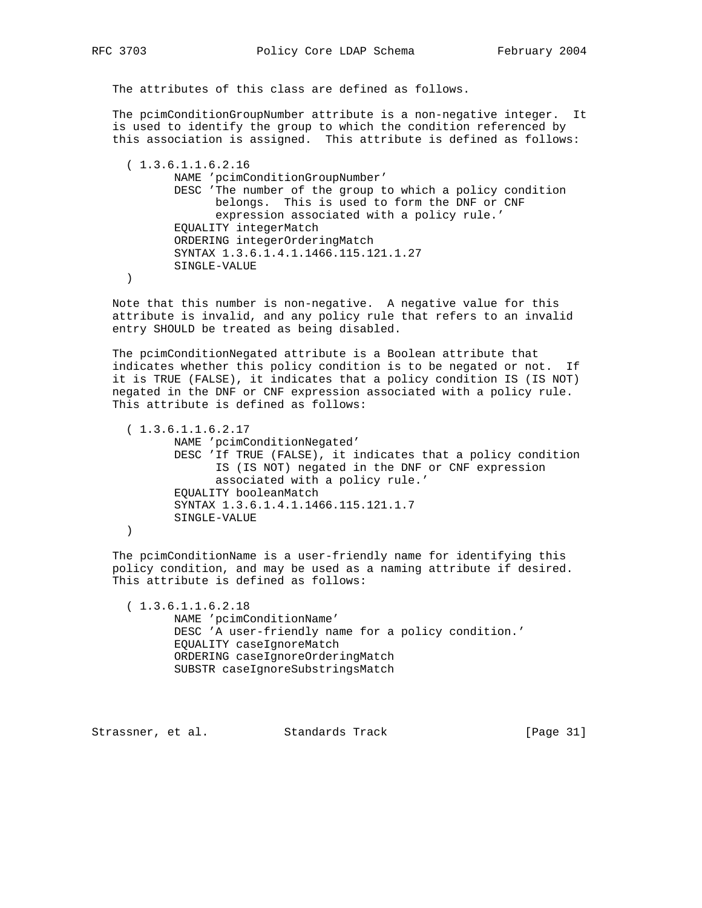The attributes of this class are defined as follows.

 The pcimConditionGroupNumber attribute is a non-negative integer. It is used to identify the group to which the condition referenced by this association is assigned. This attribute is defined as follows:

 ( 1.3.6.1.1.6.2.16 NAME 'pcimConditionGroupNumber' DESC 'The number of the group to which a policy condition belongs. This is used to form the DNF or CNF expression associated with a policy rule.' EQUALITY integerMatch ORDERING integerOrderingMatch SYNTAX 1.3.6.1.4.1.1466.115.121.1.27 SINGLE-VALUE

)

 Note that this number is non-negative. A negative value for this attribute is invalid, and any policy rule that refers to an invalid entry SHOULD be treated as being disabled.

 The pcimConditionNegated attribute is a Boolean attribute that indicates whether this policy condition is to be negated or not. If it is TRUE (FALSE), it indicates that a policy condition IS (IS NOT) negated in the DNF or CNF expression associated with a policy rule. This attribute is defined as follows:

 ( 1.3.6.1.1.6.2.17 NAME 'pcimConditionNegated' DESC 'If TRUE (FALSE), it indicates that a policy condition IS (IS NOT) negated in the DNF or CNF expression associated with a policy rule.' EQUALITY booleanMatch SYNTAX 1.3.6.1.4.1.1466.115.121.1.7 SINGLE-VALUE )

 The pcimConditionName is a user-friendly name for identifying this policy condition, and may be used as a naming attribute if desired. This attribute is defined as follows:

 ( 1.3.6.1.1.6.2.18 NAME 'pcimConditionName' DESC 'A user-friendly name for a policy condition.' EQUALITY caseIgnoreMatch ORDERING caseIgnoreOrderingMatch SUBSTR caseIgnoreSubstringsMatch

Strassner, et al. Standards Track [Page 31]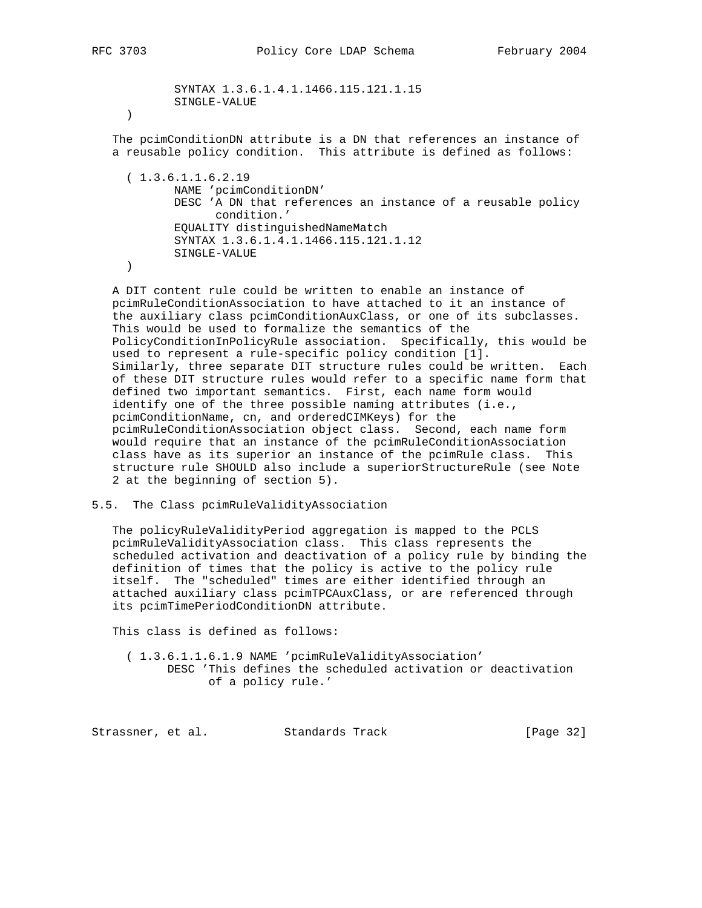SYNTAX 1.3.6.1.4.1.1466.115.121.1.15 SINGLE-VALUE ) The pcimConditionDN attribute is a DN that references an instance of a reusable policy condition. This attribute is defined as follows: ( 1.3.6.1.1.6.2.19 NAME 'pcimConditionDN' DESC 'A DN that references an instance of a reusable policy condition.' EQUALITY distinguishedNameMatch SYNTAX 1.3.6.1.4.1.1466.115.121.1.12 SINGLE-VALUE )

 A DIT content rule could be written to enable an instance of pcimRuleConditionAssociation to have attached to it an instance of the auxiliary class pcimConditionAuxClass, or one of its subclasses. This would be used to formalize the semantics of the PolicyConditionInPolicyRule association. Specifically, this would be used to represent a rule-specific policy condition [1]. Similarly, three separate DIT structure rules could be written. Each of these DIT structure rules would refer to a specific name form that defined two important semantics. First, each name form would identify one of the three possible naming attributes (i.e., pcimConditionName, cn, and orderedCIMKeys) for the pcimRuleConditionAssociation object class. Second, each name form would require that an instance of the pcimRuleConditionAssociation class have as its superior an instance of the pcimRule class. This structure rule SHOULD also include a superiorStructureRule (see Note 2 at the beginning of section 5).

## 5.5. The Class pcimRuleValidityAssociation

 The policyRuleValidityPeriod aggregation is mapped to the PCLS pcimRuleValidityAssociation class. This class represents the scheduled activation and deactivation of a policy rule by binding the definition of times that the policy is active to the policy rule itself. The "scheduled" times are either identified through an attached auxiliary class pcimTPCAuxClass, or are referenced through its pcimTimePeriodConditionDN attribute.

This class is defined as follows:

 ( 1.3.6.1.1.6.1.9 NAME 'pcimRuleValidityAssociation' DESC 'This defines the scheduled activation or deactivation of a policy rule.'

Strassner, et al. Standards Track [Page 32]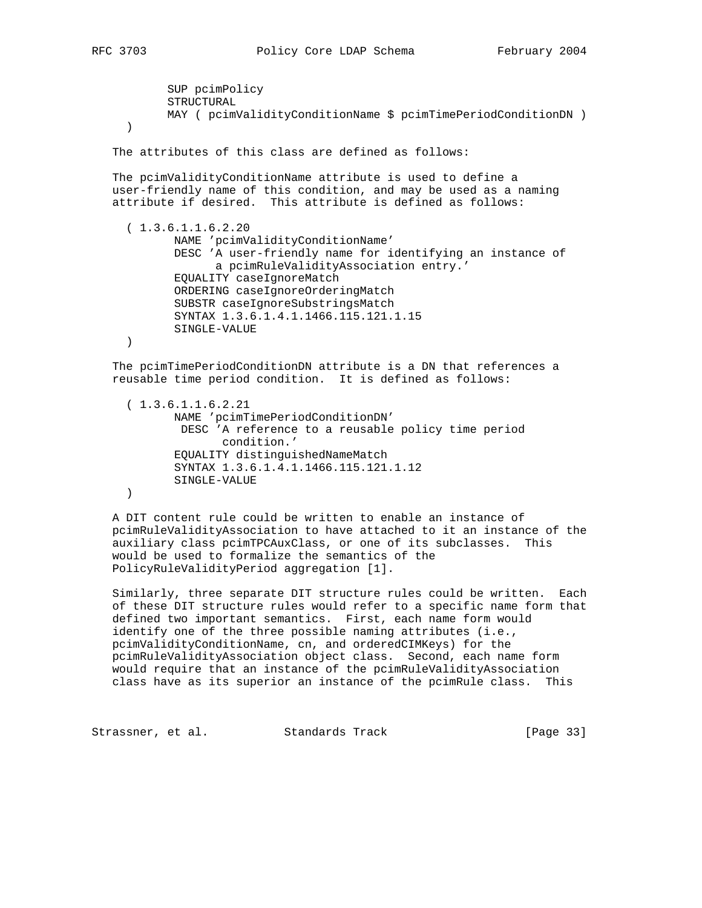SUP pcimPolicy STRUCTURAL MAY ( pcimValidityConditionName \$ pcimTimePeriodConditionDN ) ) The attributes of this class are defined as follows: The pcimValidityConditionName attribute is used to define a user-friendly name of this condition, and may be used as a naming attribute if desired. This attribute is defined as follows:  $(1.3.6.1.1.6.2.20)$  NAME 'pcimValidityConditionName' DESC 'A user-friendly name for identifying an instance of a pcimRuleValidityAssociation entry.' EQUALITY caseIgnoreMatch ORDERING caseIgnoreOrderingMatch SUBSTR caseIgnoreSubstringsMatch SYNTAX 1.3.6.1.4.1.1466.115.121.1.15 SINGLE-VALUE ) The pcimTimePeriodConditionDN attribute is a DN that references a reusable time period condition. It is defined as follows: ( 1.3.6.1.1.6.2.21 NAME 'pcimTimePeriodConditionDN' DESC 'A reference to a reusable policy time period condition.' EQUALITY distinguishedNameMatch

 SYNTAX 1.3.6.1.4.1.1466.115.121.1.12 SINGLE-VALUE

)

 A DIT content rule could be written to enable an instance of pcimRuleValidityAssociation to have attached to it an instance of the auxiliary class pcimTPCAuxClass, or one of its subclasses. This would be used to formalize the semantics of the PolicyRuleValidityPeriod aggregation [1].

 Similarly, three separate DIT structure rules could be written. Each of these DIT structure rules would refer to a specific name form that defined two important semantics. First, each name form would identify one of the three possible naming attributes (i.e., pcimValidityConditionName, cn, and orderedCIMKeys) for the pcimRuleValidityAssociation object class. Second, each name form would require that an instance of the pcimRuleValidityAssociation class have as its superior an instance of the pcimRule class. This

Strassner, et al. Standards Track [Page 33]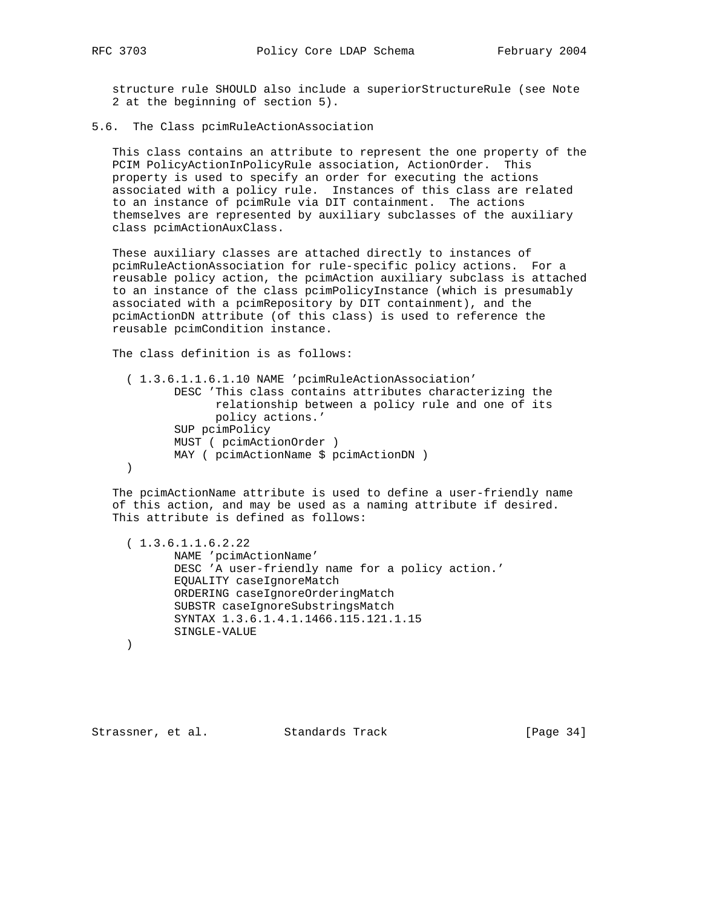structure rule SHOULD also include a superiorStructureRule (see Note 2 at the beginning of section 5).

5.6. The Class pcimRuleActionAssociation

 This class contains an attribute to represent the one property of the PCIM PolicyActionInPolicyRule association, ActionOrder. This property is used to specify an order for executing the actions associated with a policy rule. Instances of this class are related to an instance of pcimRule via DIT containment. The actions themselves are represented by auxiliary subclasses of the auxiliary class pcimActionAuxClass.

 These auxiliary classes are attached directly to instances of pcimRuleActionAssociation for rule-specific policy actions. For a reusable policy action, the pcimAction auxiliary subclass is attached to an instance of the class pcimPolicyInstance (which is presumably associated with a pcimRepository by DIT containment), and the pcimActionDN attribute (of this class) is used to reference the reusable pcimCondition instance.

The class definition is as follows:

 ( 1.3.6.1.1.6.1.10 NAME 'pcimRuleActionAssociation' DESC 'This class contains attributes characterizing the relationship between a policy rule and one of its policy actions.' SUP pcimPolicy MUST ( pcimActionOrder ) MAY ( pcimActionName \$ pcimActionDN ) )

 The pcimActionName attribute is used to define a user-friendly name of this action, and may be used as a naming attribute if desired. This attribute is defined as follows:

 ( 1.3.6.1.1.6.2.22 NAME 'pcimActionName' DESC 'A user-friendly name for a policy action.' EQUALITY caseIgnoreMatch ORDERING caseIgnoreOrderingMatch SUBSTR caseIgnoreSubstringsMatch SYNTAX 1.3.6.1.4.1.1466.115.121.1.15 SINGLE-VALUE

)

Strassner, et al. Standards Track [Page 34]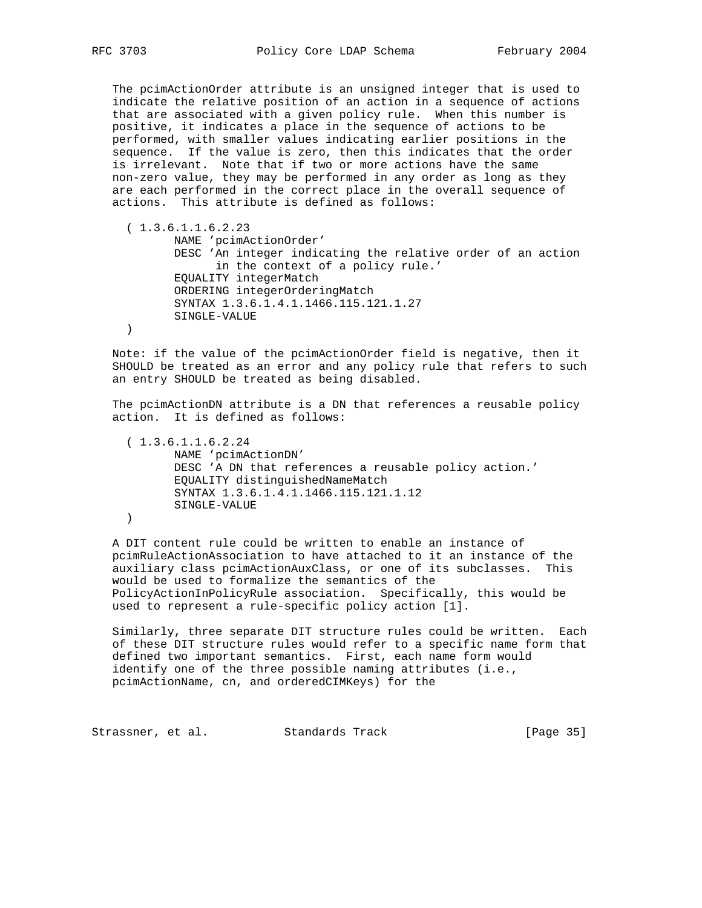The pcimActionOrder attribute is an unsigned integer that is used to indicate the relative position of an action in a sequence of actions that are associated with a given policy rule. When this number is positive, it indicates a place in the sequence of actions to be performed, with smaller values indicating earlier positions in the sequence. If the value is zero, then this indicates that the order is irrelevant. Note that if two or more actions have the same non-zero value, they may be performed in any order as long as they are each performed in the correct place in the overall sequence of actions. This attribute is defined as follows:

 $(1.3.6.1.1.6.2.23)$  NAME 'pcimActionOrder' DESC 'An integer indicating the relative order of an action in the context of a policy rule.' EQUALITY integerMatch ORDERING integerOrderingMatch SYNTAX 1.3.6.1.4.1.1466.115.121.1.27 SINGLE-VALUE )

 Note: if the value of the pcimActionOrder field is negative, then it SHOULD be treated as an error and any policy rule that refers to such an entry SHOULD be treated as being disabled.

 The pcimActionDN attribute is a DN that references a reusable policy action. It is defined as follows:

 ( 1.3.6.1.1.6.2.24 NAME 'pcimActionDN' DESC 'A DN that references a reusable policy action.' EQUALITY distinguishedNameMatch SYNTAX 1.3.6.1.4.1.1466.115.121.1.12 SINGLE-VALUE )

 A DIT content rule could be written to enable an instance of pcimRuleActionAssociation to have attached to it an instance of the auxiliary class pcimActionAuxClass, or one of its subclasses. This would be used to formalize the semantics of the PolicyActionInPolicyRule association. Specifically, this would be used to represent a rule-specific policy action [1].

 Similarly, three separate DIT structure rules could be written. Each of these DIT structure rules would refer to a specific name form that defined two important semantics. First, each name form would identify one of the three possible naming attributes (i.e., pcimActionName, cn, and orderedCIMKeys) for the

Strassner, et al. Standards Track [Page 35]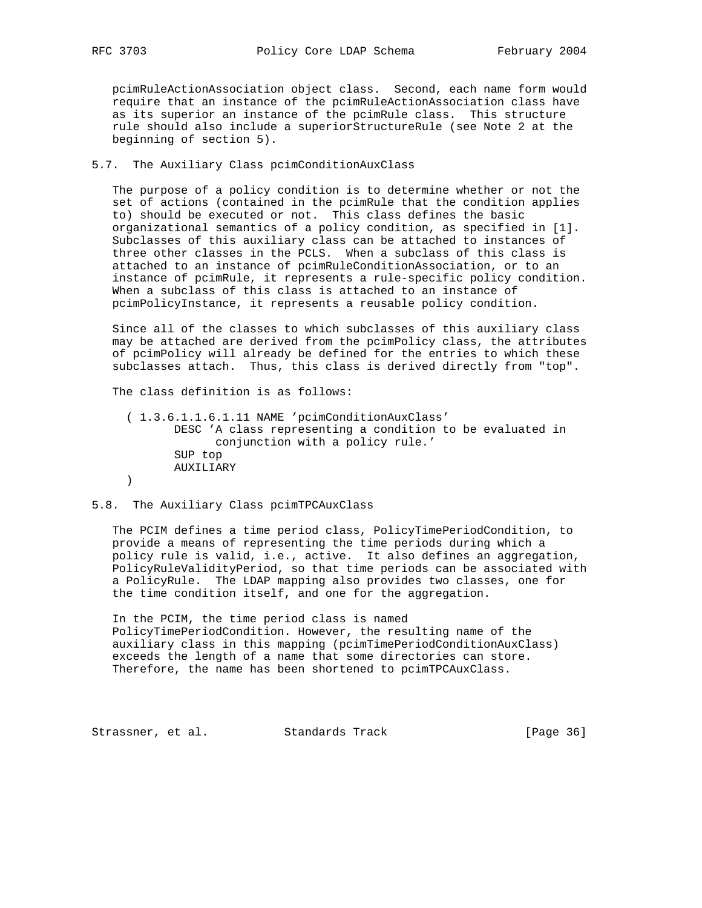pcimRuleActionAssociation object class. Second, each name form would require that an instance of the pcimRuleActionAssociation class have as its superior an instance of the pcimRule class. This structure rule should also include a superiorStructureRule (see Note 2 at the beginning of section 5).

## 5.7. The Auxiliary Class pcimConditionAuxClass

 The purpose of a policy condition is to determine whether or not the set of actions (contained in the pcimRule that the condition applies to) should be executed or not. This class defines the basic organizational semantics of a policy condition, as specified in [1]. Subclasses of this auxiliary class can be attached to instances of three other classes in the PCLS. When a subclass of this class is attached to an instance of pcimRuleConditionAssociation, or to an instance of pcimRule, it represents a rule-specific policy condition. When a subclass of this class is attached to an instance of pcimPolicyInstance, it represents a reusable policy condition.

 Since all of the classes to which subclasses of this auxiliary class may be attached are derived from the pcimPolicy class, the attributes of pcimPolicy will already be defined for the entries to which these subclasses attach. Thus, this class is derived directly from "top".

The class definition is as follows:

 ( 1.3.6.1.1.6.1.11 NAME 'pcimConditionAuxClass' DESC 'A class representing a condition to be evaluated in conjunction with a policy rule.' SUP top AUXILIARY )

#### 5.8. The Auxiliary Class pcimTPCAuxClass

 The PCIM defines a time period class, PolicyTimePeriodCondition, to provide a means of representing the time periods during which a policy rule is valid, i.e., active. It also defines an aggregation, PolicyRuleValidityPeriod, so that time periods can be associated with a PolicyRule. The LDAP mapping also provides two classes, one for the time condition itself, and one for the aggregation.

 In the PCIM, the time period class is named PolicyTimePeriodCondition. However, the resulting name of the auxiliary class in this mapping (pcimTimePeriodConditionAuxClass) exceeds the length of a name that some directories can store. Therefore, the name has been shortened to pcimTPCAuxClass.

Strassner, et al. Standards Track [Page 36]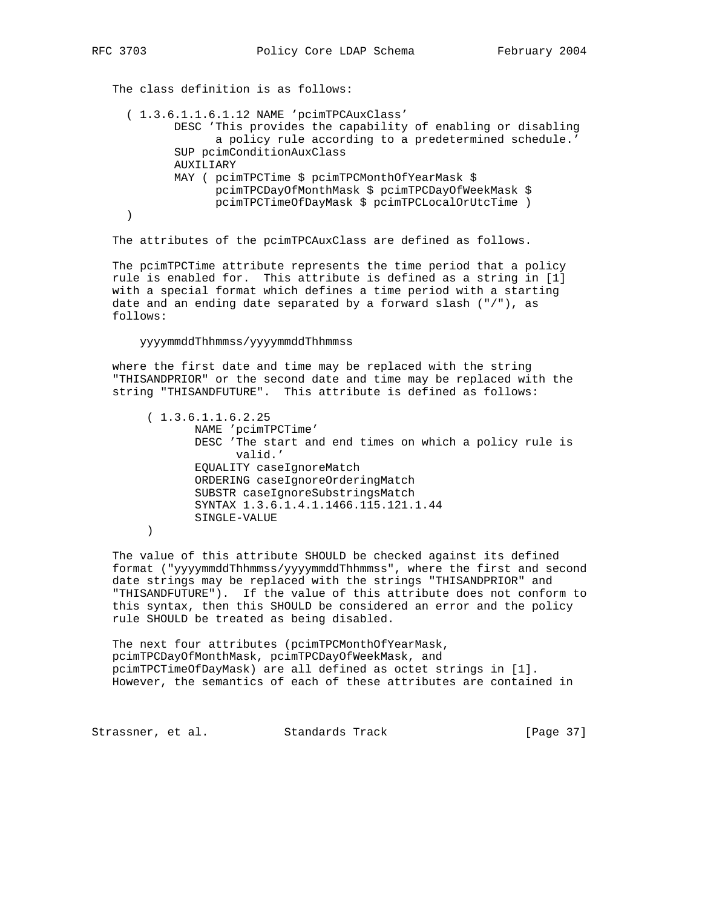The class definition is as follows: ( 1.3.6.1.1.6.1.12 NAME 'pcimTPCAuxClass' DESC 'This provides the capability of enabling or disabling a policy rule according to a predetermined schedule.' SUP pcimConditionAuxClass AUXILIARY MAY ( pcimTPCTime \$ pcimTPCMonthOfYearMask \$ pcimTPCDayOfMonthMask \$ pcimTPCDayOfWeekMask \$ pcimTPCTimeOfDayMask \$ pcimTPCLocalOrUtcTime ) )

The attributes of the pcimTPCAuxClass are defined as follows.

 The pcimTPCTime attribute represents the time period that a policy rule is enabled for. This attribute is defined as a string in [1] with a special format which defines a time period with a starting date and an ending date separated by a forward slash ("/"), as follows:

yyyymmddThhmmss/yyyymmddThhmmss

 where the first date and time may be replaced with the string "THISANDPRIOR" or the second date and time may be replaced with the string "THISANDFUTURE". This attribute is defined as follows:

 ( 1.3.6.1.1.6.2.25 NAME 'pcimTPCTime' DESC 'The start and end times on which a policy rule is valid.' EQUALITY caseIgnoreMatch ORDERING caseIgnoreOrderingMatch SUBSTR caseIgnoreSubstringsMatch SYNTAX 1.3.6.1.4.1.1466.115.121.1.44 SINGLE-VALUE  $\overline{\phantom{a}}$ 

 The value of this attribute SHOULD be checked against its defined format ("yyyymmddThhmmss/yyyymmddThhmmss", where the first and second date strings may be replaced with the strings "THISANDPRIOR" and "THISANDFUTURE"). If the value of this attribute does not conform to this syntax, then this SHOULD be considered an error and the policy rule SHOULD be treated as being disabled.

 The next four attributes (pcimTPCMonthOfYearMask, pcimTPCDayOfMonthMask, pcimTPCDayOfWeekMask, and pcimTPCTimeOfDayMask) are all defined as octet strings in [1]. However, the semantics of each of these attributes are contained in

Strassner, et al. Standards Track [Page 37]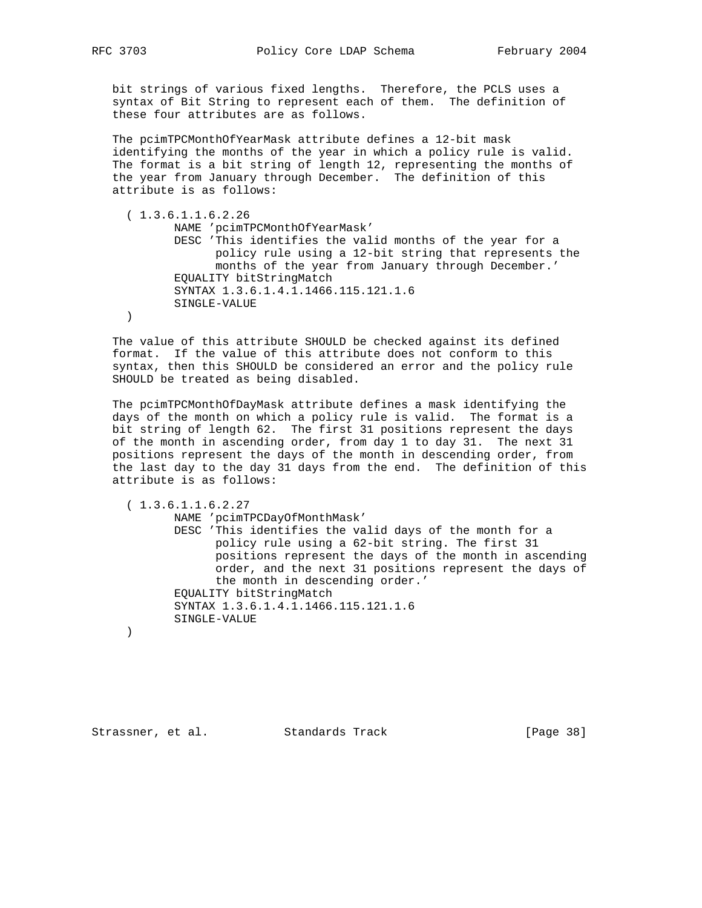bit strings of various fixed lengths. Therefore, the PCLS uses a syntax of Bit String to represent each of them. The definition of these four attributes are as follows.

 The pcimTPCMonthOfYearMask attribute defines a 12-bit mask identifying the months of the year in which a policy rule is valid. The format is a bit string of length 12, representing the months of the year from January through December. The definition of this attribute is as follows:

```
 ( 1.3.6.1.1.6.2.26
        NAME 'pcimTPCMonthOfYearMask'
        DESC 'This identifies the valid months of the year for a
              policy rule using a 12-bit string that represents the
              months of the year from January through December.'
        EQUALITY bitStringMatch
        SYNTAX 1.3.6.1.4.1.1466.115.121.1.6
        SINGLE-VALUE
 )
```
 The value of this attribute SHOULD be checked against its defined format. If the value of this attribute does not conform to this syntax, then this SHOULD be considered an error and the policy rule SHOULD be treated as being disabled.

 The pcimTPCMonthOfDayMask attribute defines a mask identifying the days of the month on which a policy rule is valid. The format is a bit string of length 62. The first 31 positions represent the days of the month in ascending order, from day 1 to day 31. The next 31 positions represent the days of the month in descending order, from the last day to the day 31 days from the end. The definition of this attribute is as follows:

( 1.3.6.1.1.6.2.27

 NAME 'pcimTPCDayOfMonthMask' DESC 'This identifies the valid days of the month for a policy rule using a 62-bit string. The first 31 positions represent the days of the month in ascending order, and the next 31 positions represent the days of the month in descending order.' EQUALITY bitStringMatch SYNTAX 1.3.6.1.4.1.1466.115.121.1.6 SINGLE-VALUE

Strassner, et al. Standards Track [Page 38]

)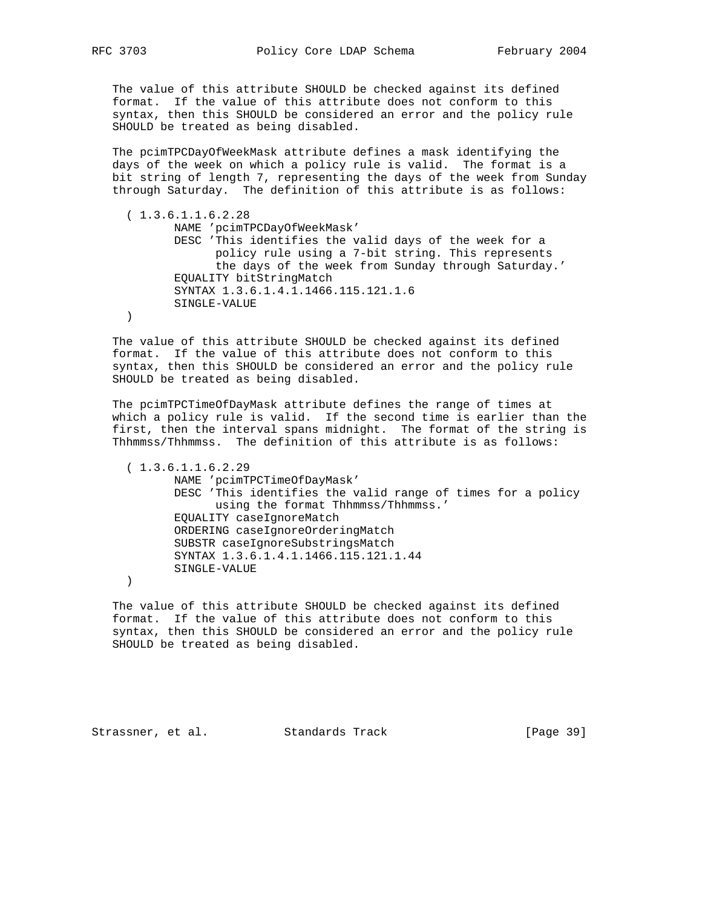The value of this attribute SHOULD be checked against its defined format. If the value of this attribute does not conform to this syntax, then this SHOULD be considered an error and the policy rule SHOULD be treated as being disabled.

 The pcimTPCDayOfWeekMask attribute defines a mask identifying the days of the week on which a policy rule is valid. The format is a bit string of length 7, representing the days of the week from Sunday through Saturday. The definition of this attribute is as follows:

 ( 1.3.6.1.1.6.2.28 NAME 'pcimTPCDayOfWeekMask' DESC 'This identifies the valid days of the week for a policy rule using a 7-bit string. This represents the days of the week from Sunday through Saturday.' EQUALITY bitStringMatch SYNTAX 1.3.6.1.4.1.1466.115.121.1.6 SINGLE-VALUE )

 The value of this attribute SHOULD be checked against its defined format. If the value of this attribute does not conform to this syntax, then this SHOULD be considered an error and the policy rule SHOULD be treated as being disabled.

 The pcimTPCTimeOfDayMask attribute defines the range of times at which a policy rule is valid. If the second time is earlier than the first, then the interval spans midnight. The format of the string is Thhmmss/Thhmmss. The definition of this attribute is as follows:

 $(1.3.6.1.1.6.2.29)$  NAME 'pcimTPCTimeOfDayMask' DESC 'This identifies the valid range of times for a policy using the format Thhmmss/Thhmmss.' EQUALITY caseIgnoreMatch ORDERING caseIgnoreOrderingMatch SUBSTR caseIgnoreSubstringsMatch SYNTAX 1.3.6.1.4.1.1466.115.121.1.44 SINGLE-VALUE

)

 The value of this attribute SHOULD be checked against its defined format. If the value of this attribute does not conform to this syntax, then this SHOULD be considered an error and the policy rule SHOULD be treated as being disabled.

Strassner, et al. Standards Track [Page 39]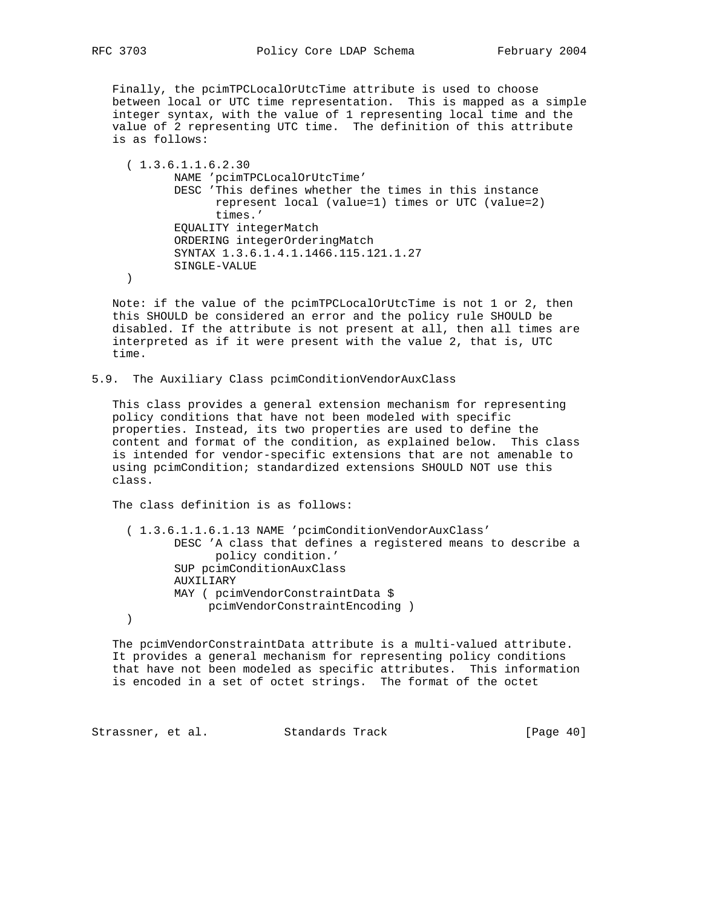Finally, the pcimTPCLocalOrUtcTime attribute is used to choose between local or UTC time representation. This is mapped as a simple integer syntax, with the value of 1 representing local time and the value of 2 representing UTC time. The definition of this attribute is as follows:

 ( 1.3.6.1.1.6.2.30 NAME 'pcimTPCLocalOrUtcTime' DESC 'This defines whether the times in this instance represent local (value=1) times or UTC (value=2) times.' EQUALITY integerMatch ORDERING integerOrderingMatch SYNTAX 1.3.6.1.4.1.1466.115.121.1.27 SINGLE-VALUE )

 Note: if the value of the pcimTPCLocalOrUtcTime is not 1 or 2, then this SHOULD be considered an error and the policy rule SHOULD be disabled. If the attribute is not present at all, then all times are interpreted as if it were present with the value 2, that is, UTC time.

5.9. The Auxiliary Class pcimConditionVendorAuxClass

 This class provides a general extension mechanism for representing policy conditions that have not been modeled with specific properties. Instead, its two properties are used to define the content and format of the condition, as explained below. This class is intended for vendor-specific extensions that are not amenable to using pcimCondition; standardized extensions SHOULD NOT use this class.

The class definition is as follows:

```
 ( 1.3.6.1.1.6.1.13 NAME 'pcimConditionVendorAuxClass'
       DESC 'A class that defines a registered means to describe a
              policy condition.'
        SUP pcimConditionAuxClass
        AUXILIARY
       MAY ( pcimVendorConstraintData $
           pcimVendorConstraintEncoding )
)
```
 The pcimVendorConstraintData attribute is a multi-valued attribute. It provides a general mechanism for representing policy conditions that have not been modeled as specific attributes. This information is encoded in a set of octet strings. The format of the octet

Strassner, et al. Standards Track [Page 40]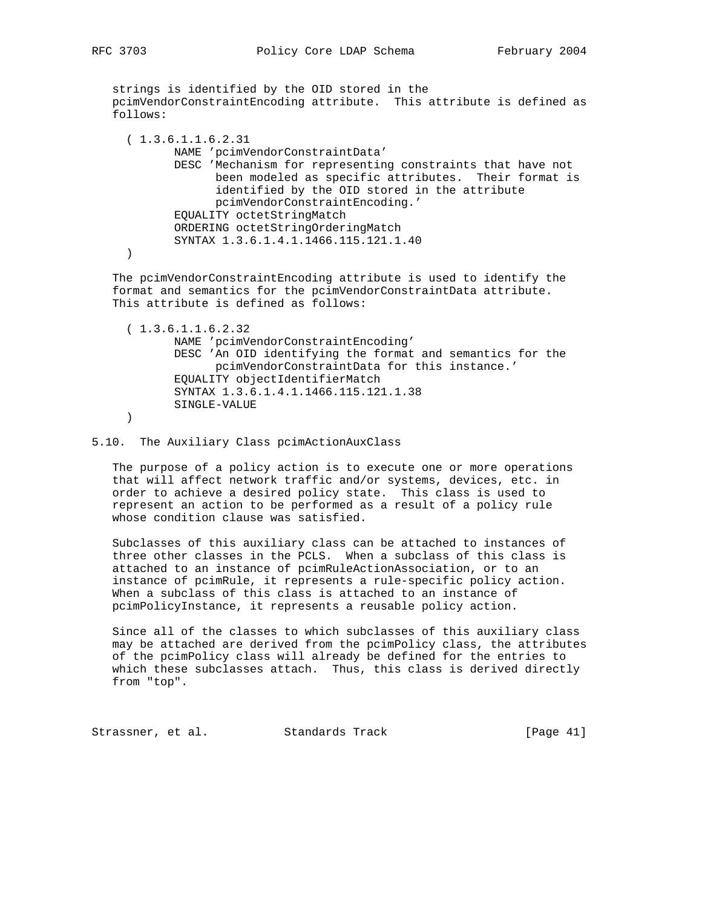strings is identified by the OID stored in the pcimVendorConstraintEncoding attribute. This attribute is defined as follows:

| (1.3.6.1.1.6.2.31                                          |
|------------------------------------------------------------|
| NAME 'pcimVendorConstraintData'                            |
| DESC 'Mechanism for representing constraints that have not |
| been modeled as specific attributes. Their format is       |
| identified by the OID stored in the attribute              |
| pcimVendorConstraintEncoding.'                             |
| EQUALITY octetStringMatch                                  |
| ORDERING octetStringOrderingMatch                          |
| SYNTAX 1.3.6.1.4.1.1466.115.121.1.40                       |
|                                                            |
|                                                            |

 The pcimVendorConstraintEncoding attribute is used to identify the format and semantics for the pcimVendorConstraintData attribute. This attribute is defined as follows:

```
 ( 1.3.6.1.1.6.2.32
        NAME 'pcimVendorConstraintEncoding'
        DESC 'An OID identifying the format and semantics for the
              pcimVendorConstraintData for this instance.'
        EQUALITY objectIdentifierMatch
        SYNTAX 1.3.6.1.4.1.1466.115.121.1.38
        SINGLE-VALUE
 )
```
#### 5.10. The Auxiliary Class pcimActionAuxClass

 The purpose of a policy action is to execute one or more operations that will affect network traffic and/or systems, devices, etc. in order to achieve a desired policy state. This class is used to represent an action to be performed as a result of a policy rule whose condition clause was satisfied.

 Subclasses of this auxiliary class can be attached to instances of three other classes in the PCLS. When a subclass of this class is attached to an instance of pcimRuleActionAssociation, or to an instance of pcimRule, it represents a rule-specific policy action. When a subclass of this class is attached to an instance of pcimPolicyInstance, it represents a reusable policy action.

 Since all of the classes to which subclasses of this auxiliary class may be attached are derived from the pcimPolicy class, the attributes of the pcimPolicy class will already be defined for the entries to which these subclasses attach. Thus, this class is derived directly from "top".

Strassner, et al. Standards Track [Page 41]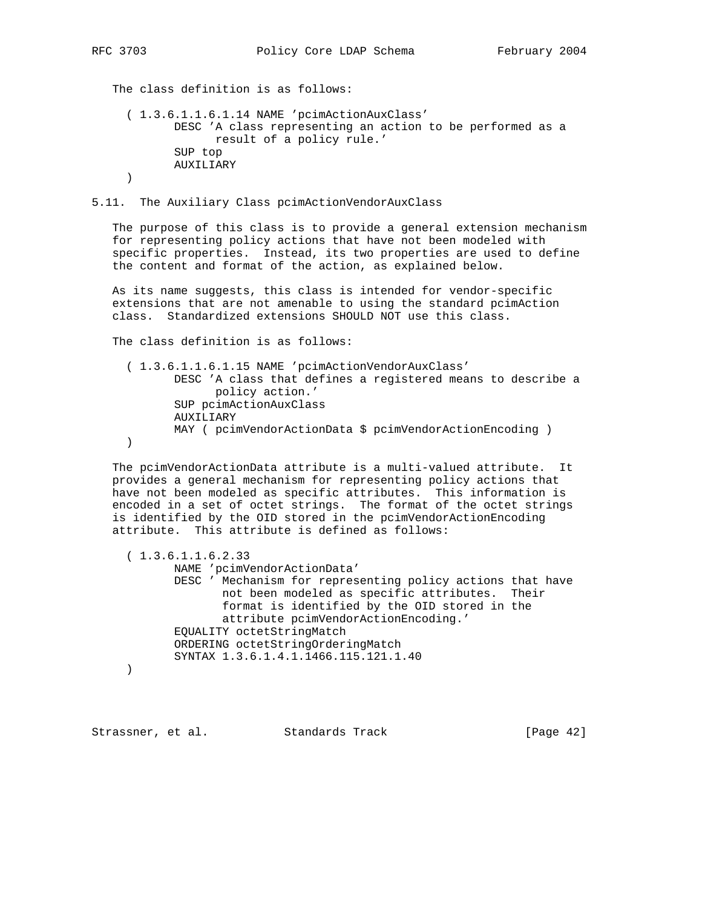The class definition is as follows:

```
 ( 1.3.6.1.1.6.1.14 NAME 'pcimActionAuxClass'
        DESC 'A class representing an action to be performed as a
              result of a policy rule.'
        SUP top
        AUXILIARY
 )
```
5.11. The Auxiliary Class pcimActionVendorAuxClass

 The purpose of this class is to provide a general extension mechanism for representing policy actions that have not been modeled with specific properties. Instead, its two properties are used to define the content and format of the action, as explained below.

 As its name suggests, this class is intended for vendor-specific extensions that are not amenable to using the standard pcimAction class. Standardized extensions SHOULD NOT use this class.

The class definition is as follows:

 ( 1.3.6.1.1.6.1.15 NAME 'pcimActionVendorAuxClass' DESC 'A class that defines a registered means to describe a policy action.' SUP pcimActionAuxClass AUXILIARY MAY ( pcimVendorActionData \$ pcimVendorActionEncoding ) )

 The pcimVendorActionData attribute is a multi-valued attribute. It provides a general mechanism for representing policy actions that have not been modeled as specific attributes. This information is encoded in a set of octet strings. The format of the octet strings is identified by the OID stored in the pcimVendorActionEncoding attribute. This attribute is defined as follows:

 ( 1.3.6.1.1.6.2.33 NAME 'pcimVendorActionData' DESC ' Mechanism for representing policy actions that have not been modeled as specific attributes. Their format is identified by the OID stored in the attribute pcimVendorActionEncoding.' EQUALITY octetStringMatch ORDERING octetStringOrderingMatch SYNTAX 1.3.6.1.4.1.1466.115.121.1.40 )

Strassner, et al. Standards Track [Page 42]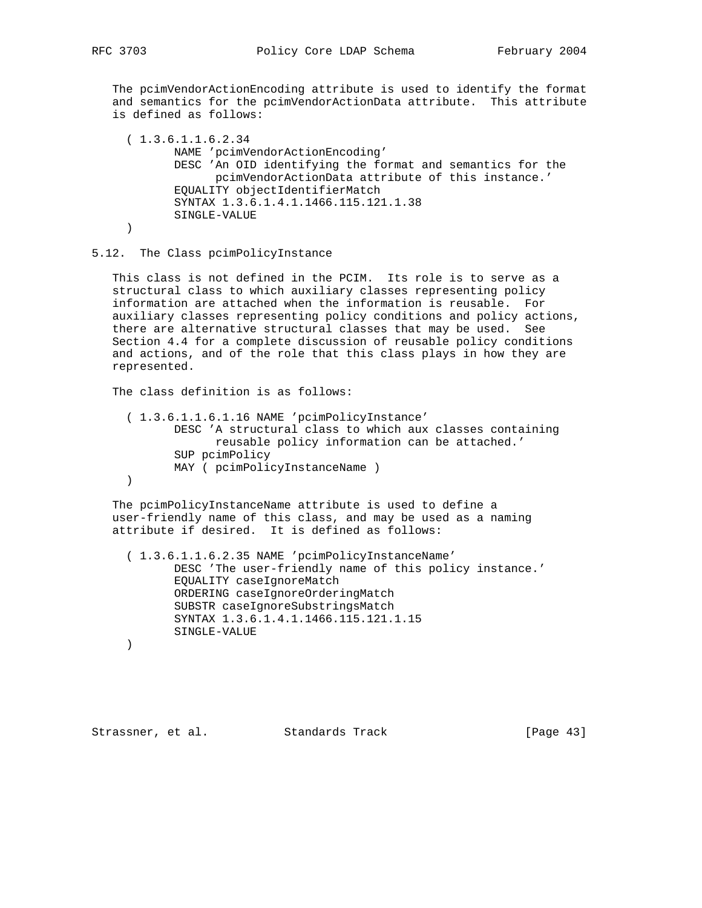The pcimVendorActionEncoding attribute is used to identify the format and semantics for the pcimVendorActionData attribute. This attribute is defined as follows:

 ( 1.3.6.1.1.6.2.34 NAME 'pcimVendorActionEncoding' DESC 'An OID identifying the format and semantics for the pcimVendorActionData attribute of this instance.' EQUALITY objectIdentifierMatch SYNTAX 1.3.6.1.4.1.1466.115.121.1.38 SINGLE-VALUE )

#### 5.12. The Class pcimPolicyInstance

 This class is not defined in the PCIM. Its role is to serve as a structural class to which auxiliary classes representing policy information are attached when the information is reusable. For auxiliary classes representing policy conditions and policy actions, there are alternative structural classes that may be used. See Section 4.4 for a complete discussion of reusable policy conditions and actions, and of the role that this class plays in how they are represented.

The class definition is as follows:

 ( 1.3.6.1.1.6.1.16 NAME 'pcimPolicyInstance' DESC 'A structural class to which aux classes containing reusable policy information can be attached.' SUP pcimPolicy MAY ( pcimPolicyInstanceName ) )

 The pcimPolicyInstanceName attribute is used to define a user-friendly name of this class, and may be used as a naming attribute if desired. It is defined as follows:

 ( 1.3.6.1.1.6.2.35 NAME 'pcimPolicyInstanceName' DESC 'The user-friendly name of this policy instance.' EQUALITY caseIgnoreMatch ORDERING caseIgnoreOrderingMatch SUBSTR caseIgnoreSubstringsMatch SYNTAX 1.3.6.1.4.1.1466.115.121.1.15 SINGLE-VALUE

```
 )
```
Strassner, et al. Standards Track [Page 43]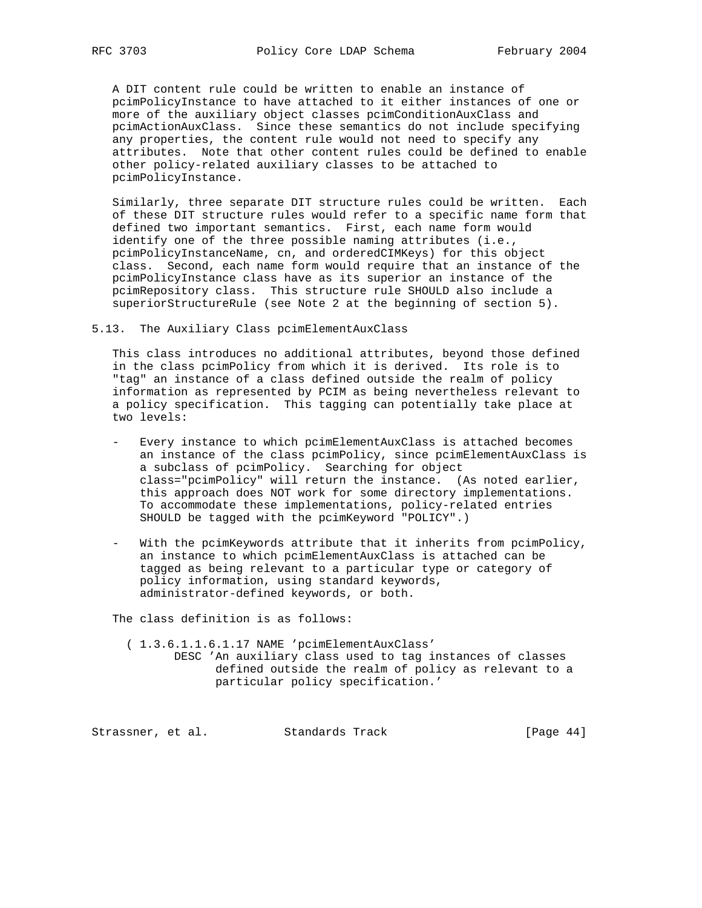A DIT content rule could be written to enable an instance of pcimPolicyInstance to have attached to it either instances of one or more of the auxiliary object classes pcimConditionAuxClass and pcimActionAuxClass. Since these semantics do not include specifying any properties, the content rule would not need to specify any attributes. Note that other content rules could be defined to enable other policy-related auxiliary classes to be attached to pcimPolicyInstance.

 Similarly, three separate DIT structure rules could be written. Each of these DIT structure rules would refer to a specific name form that defined two important semantics. First, each name form would identify one of the three possible naming attributes (i.e., pcimPolicyInstanceName, cn, and orderedCIMKeys) for this object class. Second, each name form would require that an instance of the pcimPolicyInstance class have as its superior an instance of the pcimRepository class. This structure rule SHOULD also include a superiorStructureRule (see Note 2 at the beginning of section 5).

5.13. The Auxiliary Class pcimElementAuxClass

 This class introduces no additional attributes, beyond those defined in the class pcimPolicy from which it is derived. Its role is to "tag" an instance of a class defined outside the realm of policy information as represented by PCIM as being nevertheless relevant to a policy specification. This tagging can potentially take place at two levels:

- Every instance to which pcimElementAuxClass is attached becomes an instance of the class pcimPolicy, since pcimElementAuxClass is a subclass of pcimPolicy. Searching for object class="pcimPolicy" will return the instance. (As noted earlier, this approach does NOT work for some directory implementations. To accommodate these implementations, policy-related entries SHOULD be tagged with the pcimKeyword "POLICY".)
- With the pcimKeywords attribute that it inherits from pcimPolicy, an instance to which pcimElementAuxClass is attached can be tagged as being relevant to a particular type or category of policy information, using standard keywords, administrator-defined keywords, or both.

The class definition is as follows:

 ( 1.3.6.1.1.6.1.17 NAME 'pcimElementAuxClass' DESC 'An auxiliary class used to tag instances of classes defined outside the realm of policy as relevant to a particular policy specification.'

Strassner, et al. Standards Track [Page 44]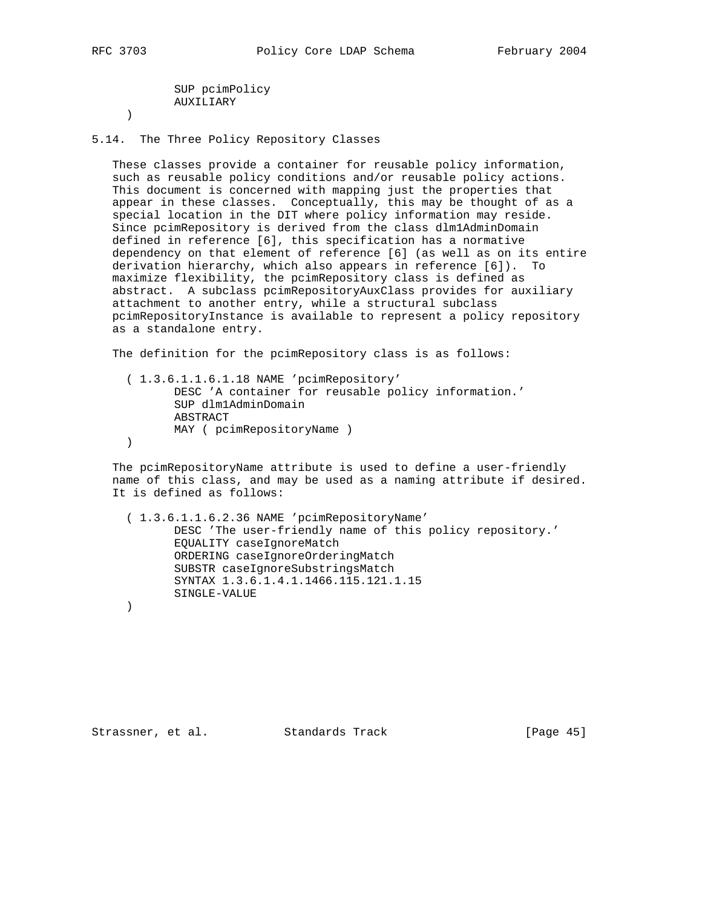SUP pcimPolicy AUXILIARY

)

5.14. The Three Policy Repository Classes

 These classes provide a container for reusable policy information, such as reusable policy conditions and/or reusable policy actions. This document is concerned with mapping just the properties that appear in these classes. Conceptually, this may be thought of as a special location in the DIT where policy information may reside. Since pcimRepository is derived from the class dlm1AdminDomain defined in reference [6], this specification has a normative dependency on that element of reference [6] (as well as on its entire derivation hierarchy, which also appears in reference [6]). To maximize flexibility, the pcimRepository class is defined as abstract. A subclass pcimRepositoryAuxClass provides for auxiliary attachment to another entry, while a structural subclass pcimRepositoryInstance is available to represent a policy repository as a standalone entry.

The definition for the pcimRepository class is as follows:

 ( 1.3.6.1.1.6.1.18 NAME 'pcimRepository' DESC 'A container for reusable policy information.' SUP dlm1AdminDomain ABSTRACT MAY ( pcimRepositoryName ) )

 The pcimRepositoryName attribute is used to define a user-friendly name of this class, and may be used as a naming attribute if desired. It is defined as follows:

 ( 1.3.6.1.1.6.2.36 NAME 'pcimRepositoryName' DESC 'The user-friendly name of this policy repository.' EQUALITY caseIgnoreMatch ORDERING caseIgnoreOrderingMatch SUBSTR caseIgnoreSubstringsMatch SYNTAX 1.3.6.1.4.1.1466.115.121.1.15 SINGLE-VALUE

)

Strassner, et al. Standards Track [Page 45]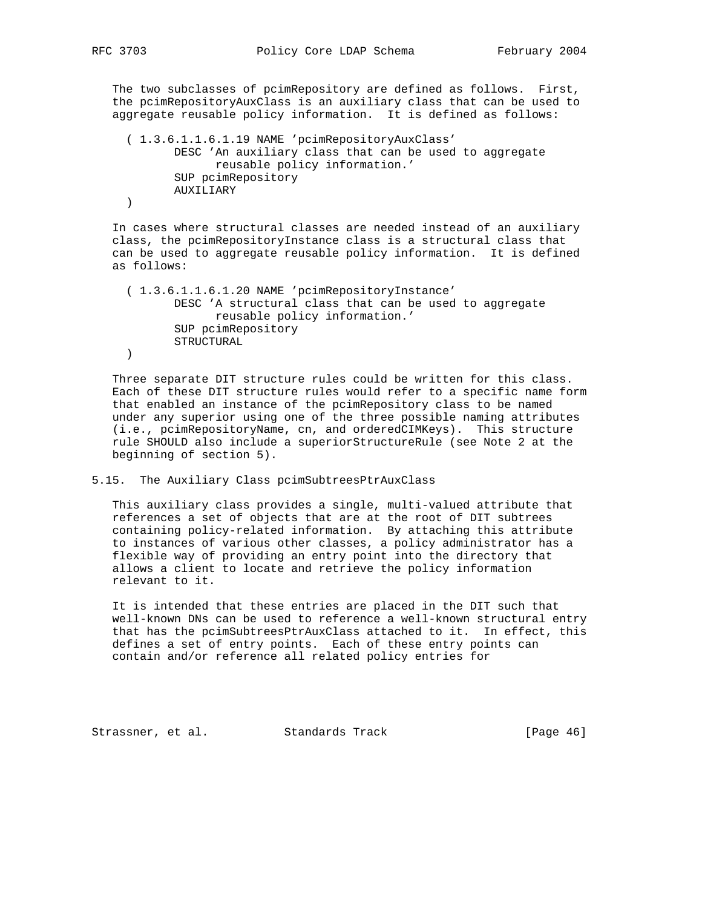The two subclasses of pcimRepository are defined as follows. First, the pcimRepositoryAuxClass is an auxiliary class that can be used to aggregate reusable policy information. It is defined as follows:

```
 ( 1.3.6.1.1.6.1.19 NAME 'pcimRepositoryAuxClass'
        DESC 'An auxiliary class that can be used to aggregate
             reusable policy information.'
        SUP pcimRepository
        AUXILIARY
 )
```
 In cases where structural classes are needed instead of an auxiliary class, the pcimRepositoryInstance class is a structural class that can be used to aggregate reusable policy information. It is defined as follows:

```
 ( 1.3.6.1.1.6.1.20 NAME 'pcimRepositoryInstance'
        DESC 'A structural class that can be used to aggregate
             reusable policy information.'
        SUP pcimRepository
        STRUCTURAL
 )
```
 Three separate DIT structure rules could be written for this class. Each of these DIT structure rules would refer to a specific name form that enabled an instance of the pcimRepository class to be named under any superior using one of the three possible naming attributes (i.e., pcimRepositoryName, cn, and orderedCIMKeys). This structure rule SHOULD also include a superiorStructureRule (see Note 2 at the beginning of section 5).

5.15. The Auxiliary Class pcimSubtreesPtrAuxClass

 This auxiliary class provides a single, multi-valued attribute that references a set of objects that are at the root of DIT subtrees containing policy-related information. By attaching this attribute to instances of various other classes, a policy administrator has a flexible way of providing an entry point into the directory that allows a client to locate and retrieve the policy information relevant to it.

 It is intended that these entries are placed in the DIT such that well-known DNs can be used to reference a well-known structural entry that has the pcimSubtreesPtrAuxClass attached to it. In effect, this defines a set of entry points. Each of these entry points can contain and/or reference all related policy entries for

Strassner, et al. Standards Track [Page 46]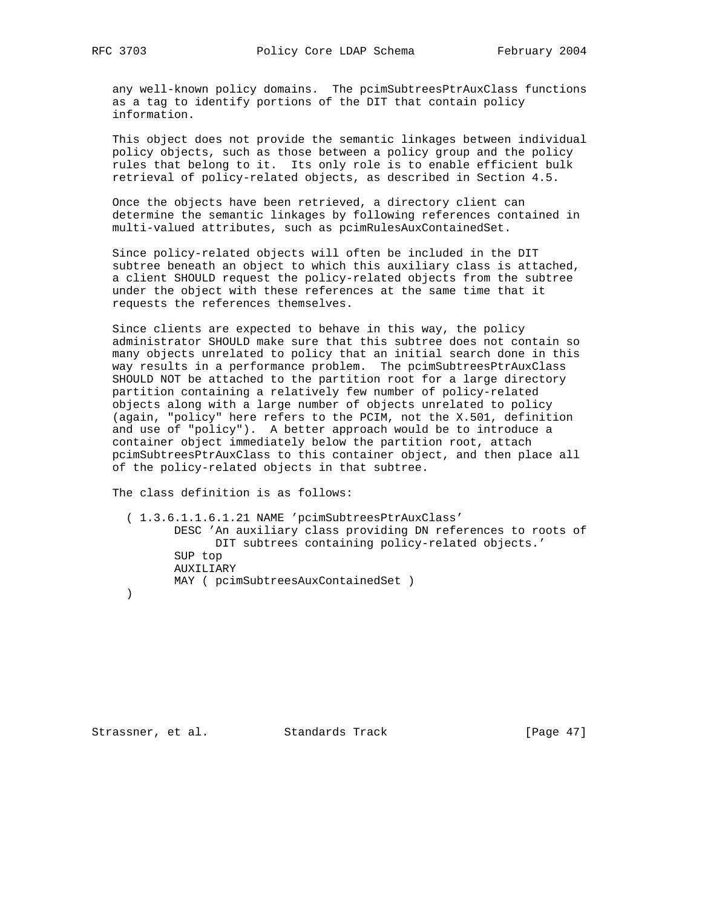any well-known policy domains. The pcimSubtreesPtrAuxClass functions as a tag to identify portions of the DIT that contain policy information.

 This object does not provide the semantic linkages between individual policy objects, such as those between a policy group and the policy rules that belong to it. Its only role is to enable efficient bulk retrieval of policy-related objects, as described in Section 4.5.

 Once the objects have been retrieved, a directory client can determine the semantic linkages by following references contained in multi-valued attributes, such as pcimRulesAuxContainedSet.

 Since policy-related objects will often be included in the DIT subtree beneath an object to which this auxiliary class is attached, a client SHOULD request the policy-related objects from the subtree under the object with these references at the same time that it requests the references themselves.

 Since clients are expected to behave in this way, the policy administrator SHOULD make sure that this subtree does not contain so many objects unrelated to policy that an initial search done in this way results in a performance problem. The pcimSubtreesPtrAuxClass SHOULD NOT be attached to the partition root for a large directory partition containing a relatively few number of policy-related objects along with a large number of objects unrelated to policy (again, "policy" here refers to the PCIM, not the X.501, definition and use of "policy"). A better approach would be to introduce a container object immediately below the partition root, attach pcimSubtreesPtrAuxClass to this container object, and then place all of the policy-related objects in that subtree.

The class definition is as follows:

 ( 1.3.6.1.1.6.1.21 NAME 'pcimSubtreesPtrAuxClass' DESC 'An auxiliary class providing DN references to roots of DIT subtrees containing policy-related objects.' SUP top AUXILIARY MAY ( pcimSubtreesAuxContainedSet ) )

Strassner, et al. Standards Track [Page 47]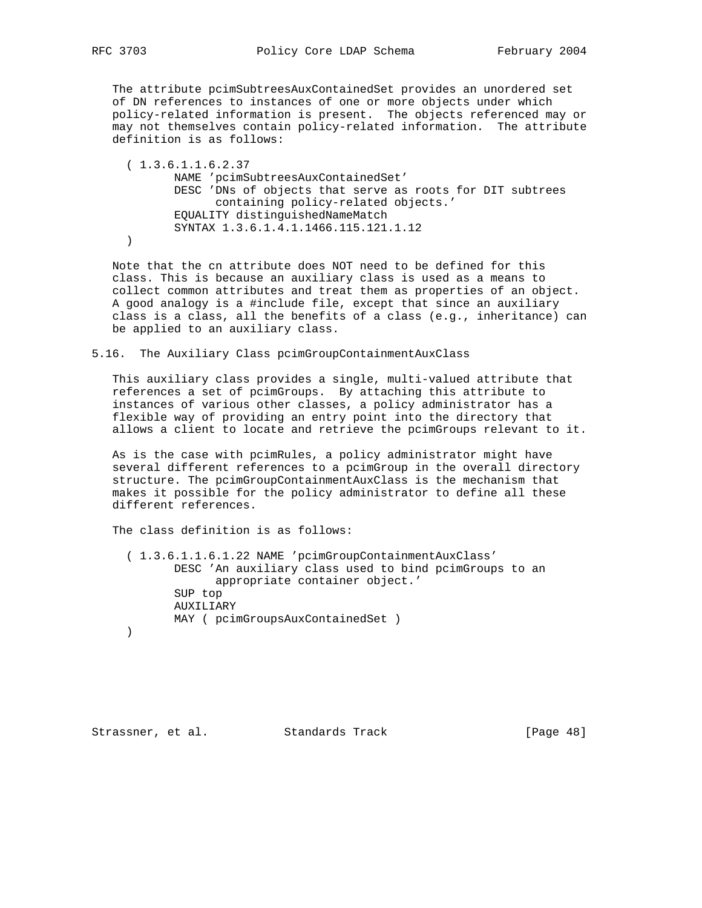The attribute pcimSubtreesAuxContainedSet provides an unordered set of DN references to instances of one or more objects under which policy-related information is present. The objects referenced may or may not themselves contain policy-related information. The attribute definition is as follows:

 ( 1.3.6.1.1.6.2.37 NAME 'pcimSubtreesAuxContainedSet' DESC 'DNs of objects that serve as roots for DIT subtrees containing policy-related objects.' EQUALITY distinguishedNameMatch SYNTAX 1.3.6.1.4.1.1466.115.121.1.12 )

 Note that the cn attribute does NOT need to be defined for this class. This is because an auxiliary class is used as a means to collect common attributes and treat them as properties of an object. A good analogy is a #include file, except that since an auxiliary class is a class, all the benefits of a class (e.g., inheritance) can be applied to an auxiliary class.

5.16. The Auxiliary Class pcimGroupContainmentAuxClass

 This auxiliary class provides a single, multi-valued attribute that references a set of pcimGroups. By attaching this attribute to instances of various other classes, a policy administrator has a flexible way of providing an entry point into the directory that allows a client to locate and retrieve the pcimGroups relevant to it.

 As is the case with pcimRules, a policy administrator might have several different references to a pcimGroup in the overall directory structure. The pcimGroupContainmentAuxClass is the mechanism that makes it possible for the policy administrator to define all these different references.

The class definition is as follows:

 ( 1.3.6.1.1.6.1.22 NAME 'pcimGroupContainmentAuxClass' DESC 'An auxiliary class used to bind pcimGroups to an appropriate container object.' SUP top AUXILIARY MAY ( pcimGroupsAuxContainedSet ) )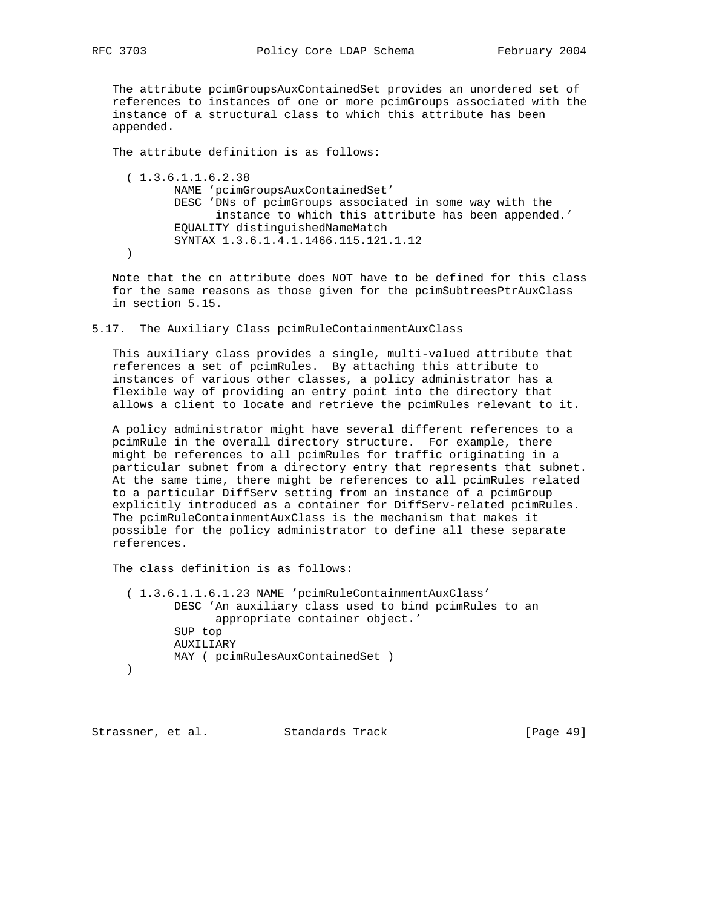The attribute pcimGroupsAuxContainedSet provides an unordered set of references to instances of one or more pcimGroups associated with the instance of a structural class to which this attribute has been appended.

The attribute definition is as follows:

 ( 1.3.6.1.1.6.2.38 NAME 'pcimGroupsAuxContainedSet' DESC 'DNs of pcimGroups associated in some way with the instance to which this attribute has been appended.' EQUALITY distinguishedNameMatch SYNTAX 1.3.6.1.4.1.1466.115.121.1.12 )

 Note that the cn attribute does NOT have to be defined for this class for the same reasons as those given for the pcimSubtreesPtrAuxClass in section 5.15.

5.17. The Auxiliary Class pcimRuleContainmentAuxClass

 This auxiliary class provides a single, multi-valued attribute that references a set of pcimRules. By attaching this attribute to instances of various other classes, a policy administrator has a flexible way of providing an entry point into the directory that allows a client to locate and retrieve the pcimRules relevant to it.

 A policy administrator might have several different references to a pcimRule in the overall directory structure. For example, there might be references to all pcimRules for traffic originating in a particular subnet from a directory entry that represents that subnet. At the same time, there might be references to all pcimRules related to a particular DiffServ setting from an instance of a pcimGroup explicitly introduced as a container for DiffServ-related pcimRules. The pcimRuleContainmentAuxClass is the mechanism that makes it possible for the policy administrator to define all these separate references.

The class definition is as follows:

 ( 1.3.6.1.1.6.1.23 NAME 'pcimRuleContainmentAuxClass' DESC 'An auxiliary class used to bind pcimRules to an appropriate container object.' SUP top AUXILIARY MAY ( pcimRulesAuxContainedSet ) )

Strassner, et al. Standards Track [Page 49]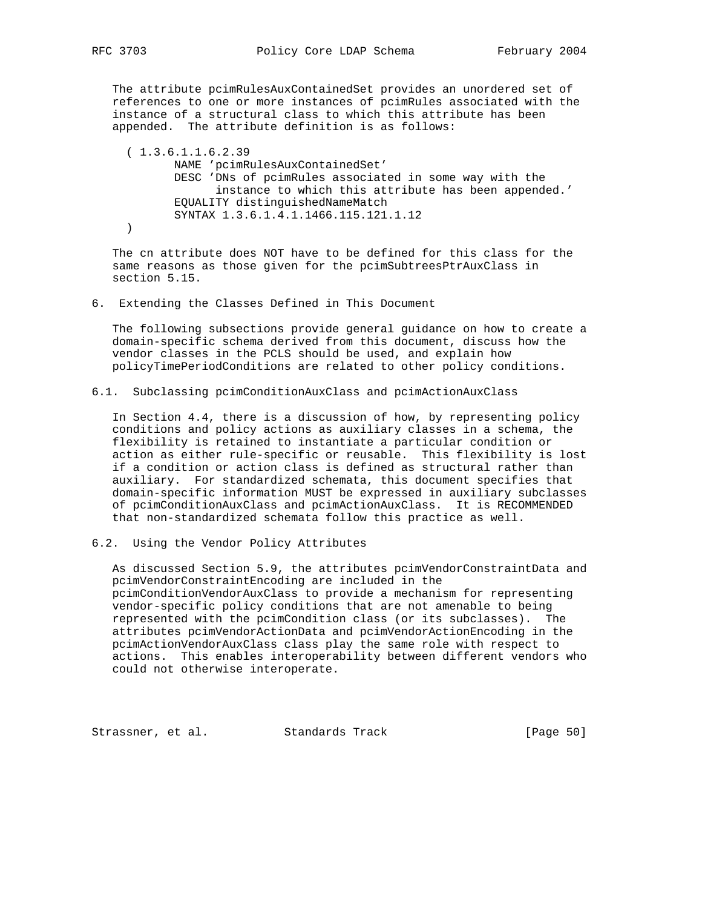The attribute pcimRulesAuxContainedSet provides an unordered set of references to one or more instances of pcimRules associated with the instance of a structural class to which this attribute has been appended. The attribute definition is as follows:

 ( 1.3.6.1.1.6.2.39 NAME 'pcimRulesAuxContainedSet' DESC 'DNs of pcimRules associated in some way with the instance to which this attribute has been appended.' EQUALITY distinguishedNameMatch SYNTAX 1.3.6.1.4.1.1466.115.121.1.12 )

 The cn attribute does NOT have to be defined for this class for the same reasons as those given for the pcimSubtreesPtrAuxClass in section 5.15.

6. Extending the Classes Defined in This Document

 The following subsections provide general guidance on how to create a domain-specific schema derived from this document, discuss how the vendor classes in the PCLS should be used, and explain how policyTimePeriodConditions are related to other policy conditions.

6.1. Subclassing pcimConditionAuxClass and pcimActionAuxClass

 In Section 4.4, there is a discussion of how, by representing policy conditions and policy actions as auxiliary classes in a schema, the flexibility is retained to instantiate a particular condition or action as either rule-specific or reusable. This flexibility is lost if a condition or action class is defined as structural rather than auxiliary. For standardized schemata, this document specifies that domain-specific information MUST be expressed in auxiliary subclasses of pcimConditionAuxClass and pcimActionAuxClass. It is RECOMMENDED that non-standardized schemata follow this practice as well.

6.2. Using the Vendor Policy Attributes

 As discussed Section 5.9, the attributes pcimVendorConstraintData and pcimVendorConstraintEncoding are included in the pcimConditionVendorAuxClass to provide a mechanism for representing vendor-specific policy conditions that are not amenable to being represented with the pcimCondition class (or its subclasses). The attributes pcimVendorActionData and pcimVendorActionEncoding in the pcimActionVendorAuxClass class play the same role with respect to actions. This enables interoperability between different vendors who could not otherwise interoperate.

Strassner, et al. Standards Track [Page 50]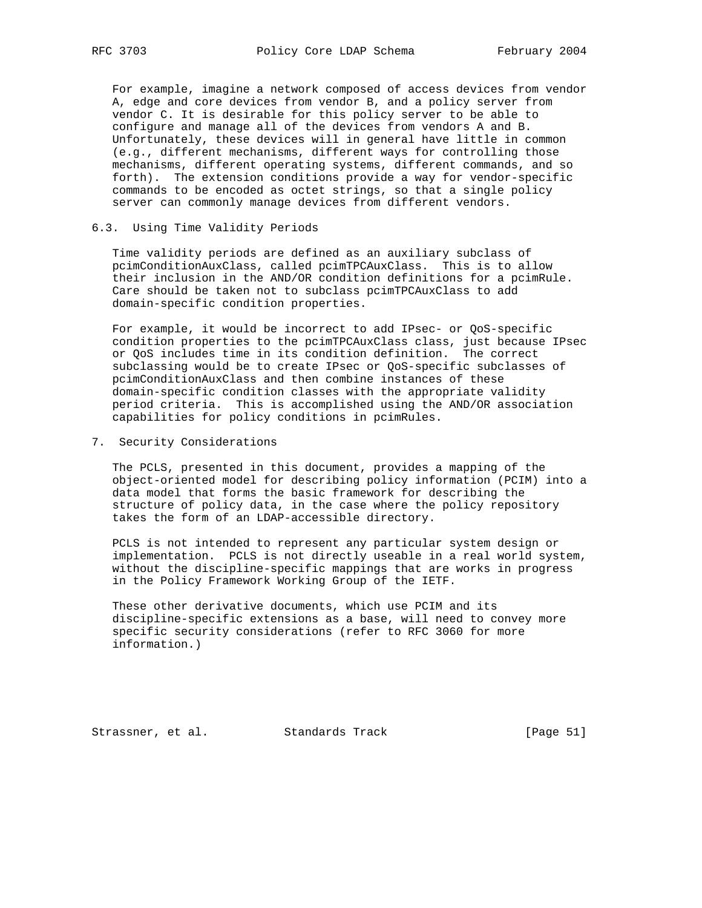For example, imagine a network composed of access devices from vendor A, edge and core devices from vendor B, and a policy server from vendor C. It is desirable for this policy server to be able to configure and manage all of the devices from vendors A and B. Unfortunately, these devices will in general have little in common (e.g., different mechanisms, different ways for controlling those mechanisms, different operating systems, different commands, and so forth). The extension conditions provide a way for vendor-specific commands to be encoded as octet strings, so that a single policy server can commonly manage devices from different vendors.

#### 6.3. Using Time Validity Periods

 Time validity periods are defined as an auxiliary subclass of pcimConditionAuxClass, called pcimTPCAuxClass. This is to allow their inclusion in the AND/OR condition definitions for a pcimRule. Care should be taken not to subclass pcimTPCAuxClass to add domain-specific condition properties.

 For example, it would be incorrect to add IPsec- or QoS-specific condition properties to the pcimTPCAuxClass class, just because IPsec or QoS includes time in its condition definition. The correct subclassing would be to create IPsec or QoS-specific subclasses of pcimConditionAuxClass and then combine instances of these domain-specific condition classes with the appropriate validity period criteria. This is accomplished using the AND/OR association capabilities for policy conditions in pcimRules.

7. Security Considerations

 The PCLS, presented in this document, provides a mapping of the object-oriented model for describing policy information (PCIM) into a data model that forms the basic framework for describing the structure of policy data, in the case where the policy repository takes the form of an LDAP-accessible directory.

 PCLS is not intended to represent any particular system design or implementation. PCLS is not directly useable in a real world system, without the discipline-specific mappings that are works in progress in the Policy Framework Working Group of the IETF.

 These other derivative documents, which use PCIM and its discipline-specific extensions as a base, will need to convey more specific security considerations (refer to RFC 3060 for more information.)

Strassner, et al. Standards Track [Page 51]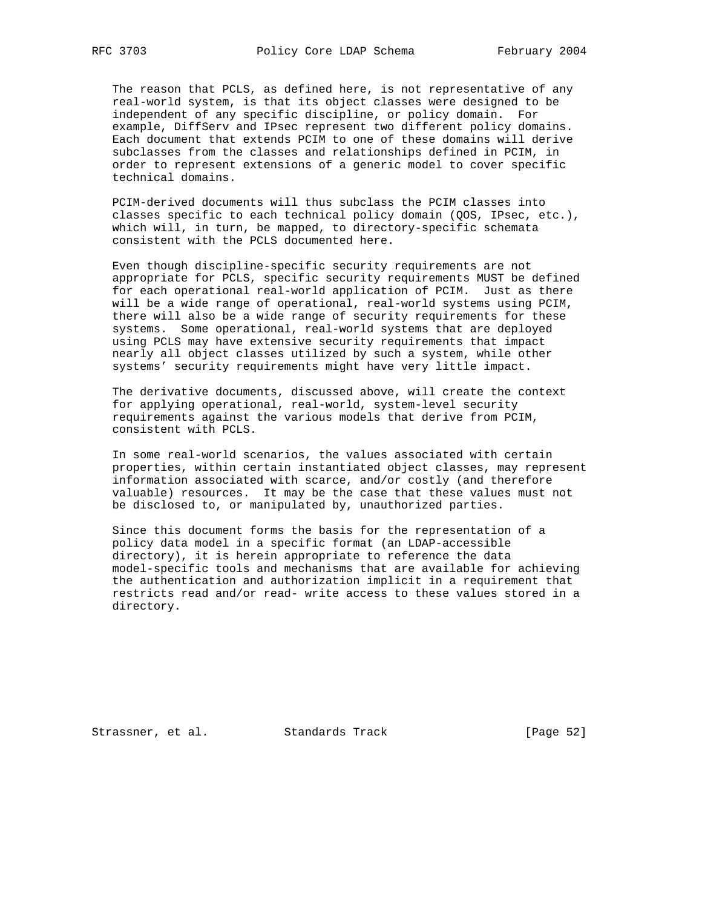The reason that PCLS, as defined here, is not representative of any real-world system, is that its object classes were designed to be independent of any specific discipline, or policy domain. For example, DiffServ and IPsec represent two different policy domains. Each document that extends PCIM to one of these domains will derive subclasses from the classes and relationships defined in PCIM, in order to represent extensions of a generic model to cover specific technical domains.

 PCIM-derived documents will thus subclass the PCIM classes into classes specific to each technical policy domain (QOS, IPsec, etc.), which will, in turn, be mapped, to directory-specific schemata consistent with the PCLS documented here.

 Even though discipline-specific security requirements are not appropriate for PCLS, specific security requirements MUST be defined for each operational real-world application of PCIM. Just as there will be a wide range of operational, real-world systems using PCIM, there will also be a wide range of security requirements for these systems. Some operational, real-world systems that are deployed using PCLS may have extensive security requirements that impact nearly all object classes utilized by such a system, while other systems' security requirements might have very little impact.

 The derivative documents, discussed above, will create the context for applying operational, real-world, system-level security requirements against the various models that derive from PCIM, consistent with PCLS.

 In some real-world scenarios, the values associated with certain properties, within certain instantiated object classes, may represent information associated with scarce, and/or costly (and therefore valuable) resources. It may be the case that these values must not be disclosed to, or manipulated by, unauthorized parties.

 Since this document forms the basis for the representation of a policy data model in a specific format (an LDAP-accessible directory), it is herein appropriate to reference the data model-specific tools and mechanisms that are available for achieving the authentication and authorization implicit in a requirement that restricts read and/or read- write access to these values stored in a directory.

Strassner, et al. Standards Track [Page 52]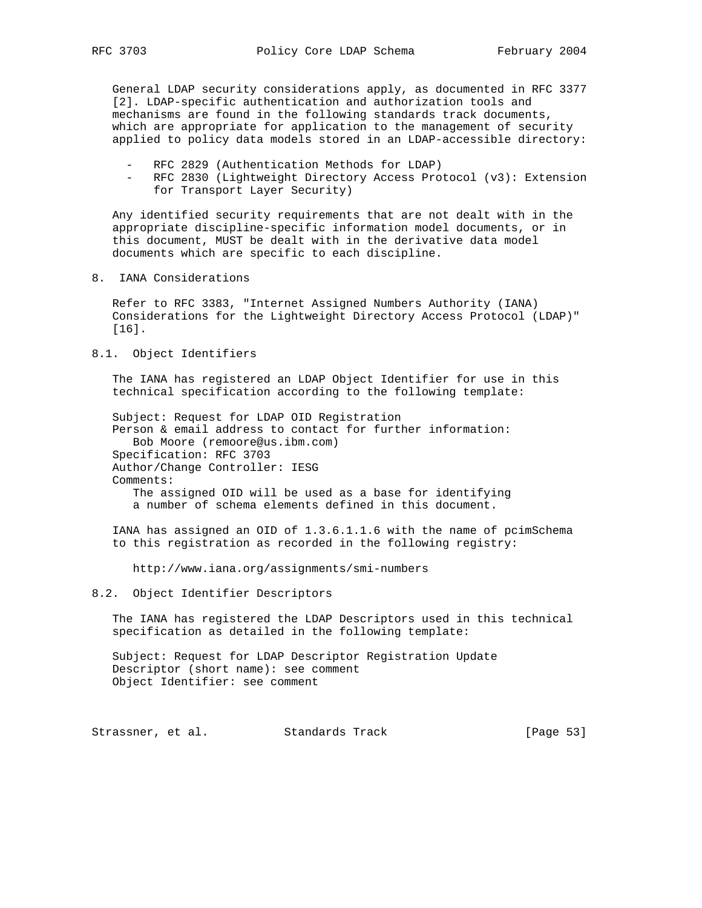General LDAP security considerations apply, as documented in RFC 3377 [2]. LDAP-specific authentication and authorization tools and mechanisms are found in the following standards track documents, which are appropriate for application to the management of security applied to policy data models stored in an LDAP-accessible directory:

- RFC 2829 (Authentication Methods for LDAP)
- RFC 2830 (Lightweight Directory Access Protocol (v3): Extension for Transport Layer Security)

 Any identified security requirements that are not dealt with in the appropriate discipline-specific information model documents, or in this document, MUST be dealt with in the derivative data model documents which are specific to each discipline.

8. IANA Considerations

 Refer to RFC 3383, "Internet Assigned Numbers Authority (IANA) Considerations for the Lightweight Directory Access Protocol (LDAP)" [16].

8.1. Object Identifiers

 The IANA has registered an LDAP Object Identifier for use in this technical specification according to the following template:

 Subject: Request for LDAP OID Registration Person & email address to contact for further information: Bob Moore (remoore@us.ibm.com) Specification: RFC 3703 Author/Change Controller: IESG Comments: The assigned OID will be used as a base for identifying a number of schema elements defined in this document.

 IANA has assigned an OID of 1.3.6.1.1.6 with the name of pcimSchema to this registration as recorded in the following registry:

http://www.iana.org/assignments/smi-numbers

## 8.2. Object Identifier Descriptors

 The IANA has registered the LDAP Descriptors used in this technical specification as detailed in the following template:

 Subject: Request for LDAP Descriptor Registration Update Descriptor (short name): see comment Object Identifier: see comment

Strassner, et al. Standards Track [Page 53]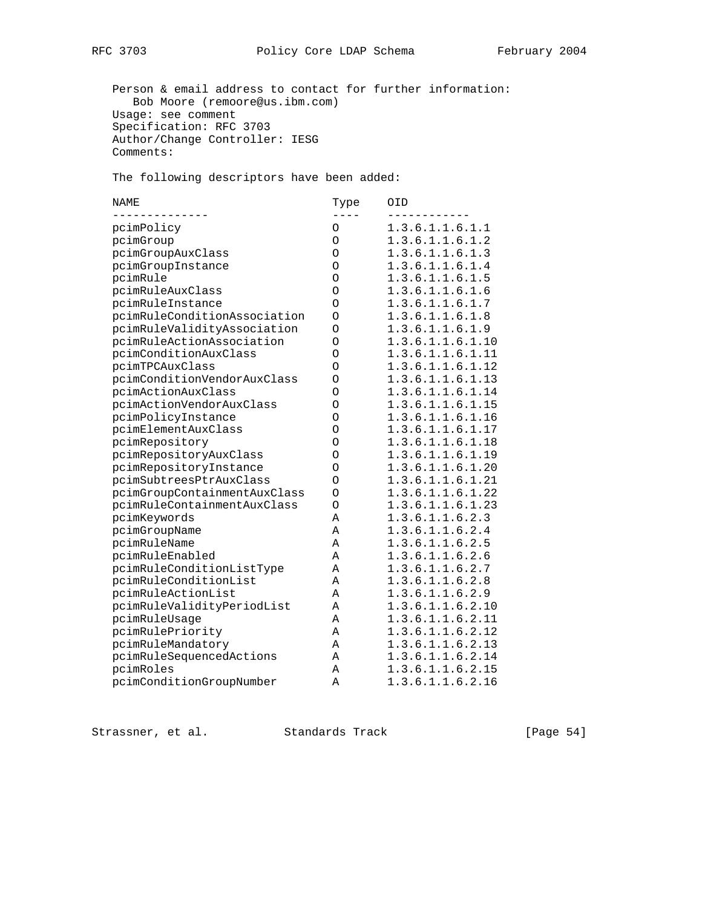Person & email address to contact for further information: Bob Moore (remoore@us.ibm.com) Usage: see comment Specification: RFC 3703 Author/Change Controller: IESG Comments:

The following descriptors have been added:

| <b>NAME</b>                  | Type     | OID              |
|------------------------------|----------|------------------|
| pcimPolicy                   | $\Omega$ | 1.3.6.1.1.6.1.1  |
| pcimGroup                    | $\circ$  | 1.3.6.1.1.6.1.2  |
| pcimGroupAuxClass            | O        | 1.3.6.1.1.6.1.3  |
| pcimGroupInstance            | $\circ$  | 1.3.6.1.1.6.1.4  |
| pcimRule                     | $\circ$  | 1.3.6.1.1.6.1.5  |
| pcimRuleAuxClass             | O        | 1.3.6.1.1.6.1.6  |
| pcimRuleInstance             | O        | 1.3.6.1.1.6.1.7  |
| pcimRuleConditionAssociation | $\Omega$ | 1.3.6.1.1.6.1.8  |
| pcimRuleValidityAssociation  | O        | 1.3.6.1.1.6.1.9  |
| pcimRuleActionAssociation    | Ο        | 1.3.6.1.1.6.1.10 |
| pcimConditionAuxClass        | O        | 1.3.6.1.1.6.1.11 |
| pcimTPCAuxClass              | O        | 1.3.6.1.1.6.1.12 |
| pcimConditionVendorAuxClass  | O        | 1.3.6.1.1.6.1.13 |
| pcimActionAuxClass           | Ο        | 1.3.6.1.1.6.1.14 |
| pcimActionVendorAuxClass     | $\circ$  | 1.3.6.1.1.6.1.15 |
| pcimPolicyInstance           | O        | 1.3.6.1.1.6.1.16 |
| pcimElementAuxClass          | O        | 1.3.6.1.1.6.1.17 |
| pcimRepository               | O        | 1.3.6.1.1.6.1.18 |
| pcimRepositoryAuxClass       | O        | 1.3.6.1.1.6.1.19 |
| pcimRepositoryInstance       | O        | 1.3.6.1.1.6.1.20 |
| pcimSubtreesPtrAuxClass      | Ο        | 1.3.6.1.1.6.1.21 |
| pcimGroupContainmentAuxClass | O        | 1.3.6.1.1.6.1.22 |
| pcimRuleContainmentAuxClass  | $\Omega$ | 1.3.6.1.1.6.1.23 |
| pcimKeywords                 | Α        | 1.3.6.1.1.6.2.3  |
| pcimGroupName                | A        | 1.3.6.1.1.6.2.4  |
| pcimRuleName                 | Α        | 1.3.6.1.1.6.2.5  |
| pcimRuleEnabled              | Α        | 1.3.6.1.1.6.2.6  |
| pcimRuleConditionListType    | Α        | 1.3.6.1.1.6.2.7  |
| pcimRuleConditionList        | Α        | 1.3.6.1.1.6.2.8  |
| pcimRuleActionList           | Α        | 1.3.6.1.1.6.2.9  |
| pcimRuleValidityPeriodList   | Α        | 1.3.6.1.1.6.2.10 |
| pcimRuleUsage                | Α        | 1.3.6.1.1.6.2.11 |
| pcimRulePriority             | Α        | 1.3.6.1.1.6.2.12 |
| pcimRuleMandatory            | Α        | 1.3.6.1.1.6.2.13 |
| pcimRuleSequencedActions     | Α        | 1.3.6.1.1.6.2.14 |
| pcimRoles                    | Α        | 1.3.6.1.1.6.2.15 |
| pcimConditionGroupNumber     | A        | 1.3.6.1.1.6.2.16 |

Strassner, et al. Standards Track [Page 54]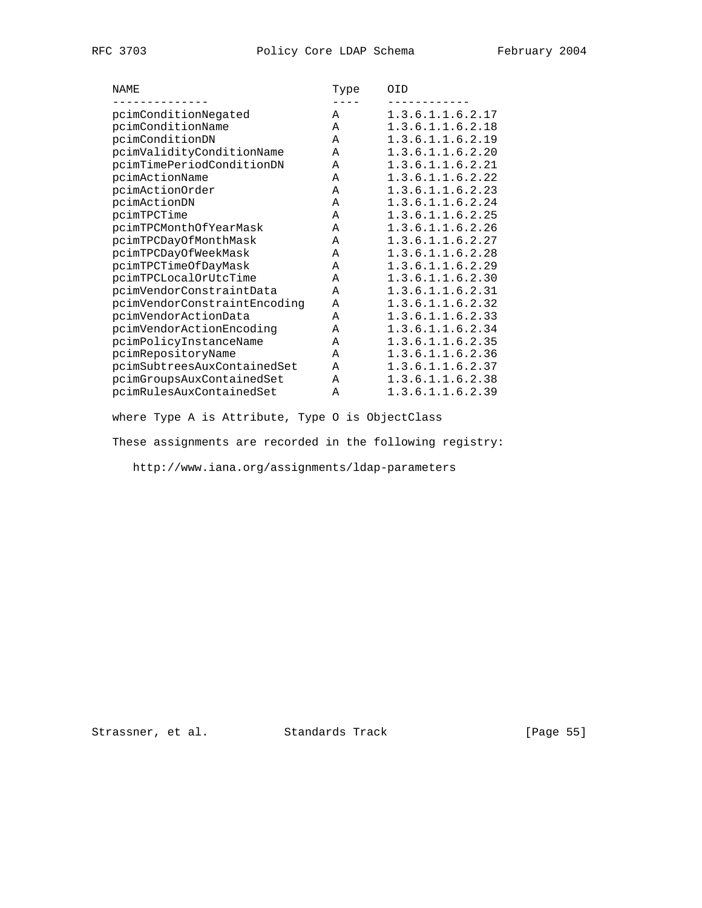| NAME                         | Type | OID              |
|------------------------------|------|------------------|
|                              |      |                  |
| pcimConditionNegated         | A    | 1.3.6.1.1.6.2.17 |
| pcimConditionName            | Α    | 1.3.6.1.1.6.2.18 |
| pcimConditionDN              | Α    | 1.3.6.1.1.6.2.19 |
| pcimValidityConditionName    | A    | 1.3.6.1.1.6.2.20 |
| pcimTimePeriodConditionDN    | A    | 1.3.6.1.1.6.2.21 |
| pcimActionName               | Α    | 1.3.6.1.1.6.2.22 |
| pcimActionOrder              | Α    | 1.3.6.1.1.6.2.23 |
| pcimActionDN                 | A    | 1.3.6.1.1.6.2.24 |
| pcimTPCTime                  | Α    | 1.3.6.1.1.6.2.25 |
| pcimTPCMonthOfYearMask       | A    | 1.3.6.1.1.6.2.26 |
| pcimTPCDayOfMonthMask        | A    | 1.3.6.1.1.6.2.27 |
| pcimTPCDayOfWeekMask         | Α    | 1.3.6.1.1.6.2.28 |
| pcimTPCTimeOfDayMask         | Α    | 1.3.6.1.1.6.2.29 |
| pcimTPCLocalOrUtcTime        | Α    | 1.3.6.1.1.6.2.30 |
| pcimVendorConstraintData     | A    | 1.3.6.1.1.6.2.31 |
| pcimVendorConstraintEncoding | Α    | 1.3.6.1.1.6.2.32 |
| pcimVendorActionData         | Α    | 1.3.6.1.1.6.2.33 |
| pcimVendorActionEncoding     | Α    | 1.3.6.1.1.6.2.34 |
| pcimPolicyInstanceName       | Α    | 1.3.6.1.1.6.2.35 |
| pcimRepositoryName           | Α    | 1.3.6.1.1.6.2.36 |
| pcimSubtreesAuxContainedSet  | A    | 1.3.6.1.1.6.2.37 |
| pcimGroupsAuxContainedSet    | A    | 1.3.6.1.1.6.2.38 |
| pcimRulesAuxContainedSet     | Α    | 1.3.6.1.1.6.2.39 |

where Type A is Attribute, Type O is ObjectClass

These assignments are recorded in the following registry:

http://www.iana.org/assignments/ldap-parameters

Strassner, et al. Standards Track [Page 55]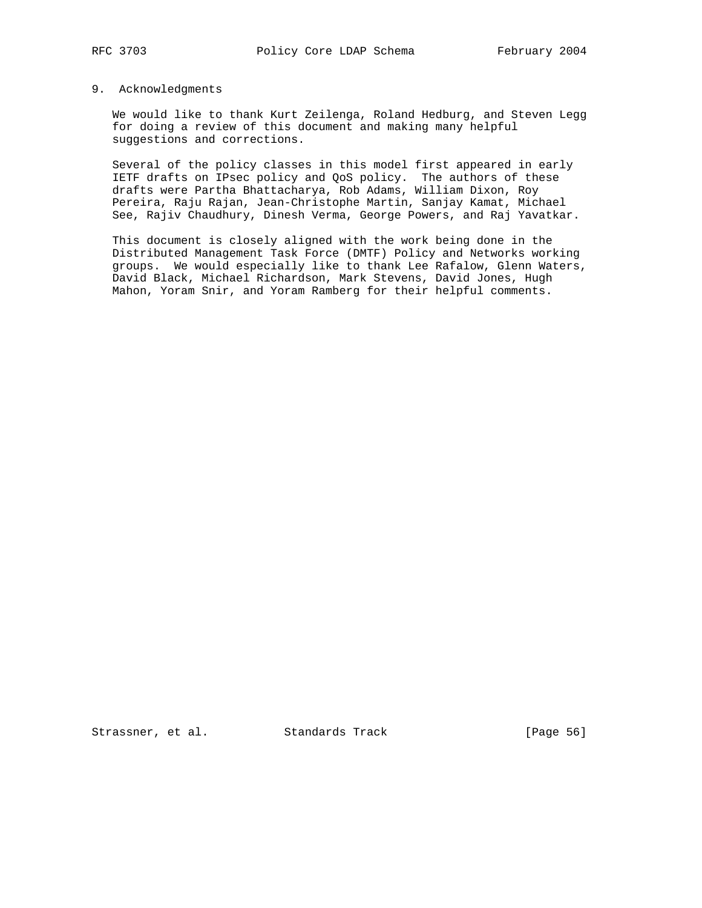## 9. Acknowledgments

 We would like to thank Kurt Zeilenga, Roland Hedburg, and Steven Legg for doing a review of this document and making many helpful suggestions and corrections.

 Several of the policy classes in this model first appeared in early IETF drafts on IPsec policy and QoS policy. The authors of these drafts were Partha Bhattacharya, Rob Adams, William Dixon, Roy Pereira, Raju Rajan, Jean-Christophe Martin, Sanjay Kamat, Michael See, Rajiv Chaudhury, Dinesh Verma, George Powers, and Raj Yavatkar.

 This document is closely aligned with the work being done in the Distributed Management Task Force (DMTF) Policy and Networks working groups. We would especially like to thank Lee Rafalow, Glenn Waters, David Black, Michael Richardson, Mark Stevens, David Jones, Hugh Mahon, Yoram Snir, and Yoram Ramberg for their helpful comments.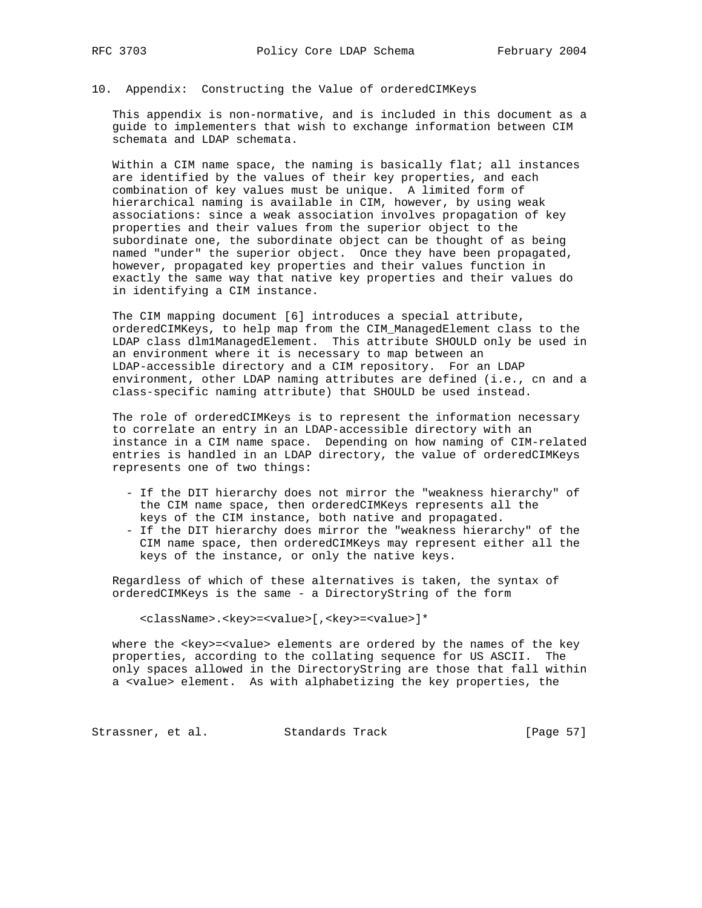## 10. Appendix: Constructing the Value of orderedCIMKeys

 This appendix is non-normative, and is included in this document as a guide to implementers that wish to exchange information between CIM schemata and LDAP schemata.

 Within a CIM name space, the naming is basically flat; all instances are identified by the values of their key properties, and each combination of key values must be unique. A limited form of hierarchical naming is available in CIM, however, by using weak associations: since a weak association involves propagation of key properties and their values from the superior object to the subordinate one, the subordinate object can be thought of as being named "under" the superior object. Once they have been propagated, however, propagated key properties and their values function in exactly the same way that native key properties and their values do in identifying a CIM instance.

 The CIM mapping document [6] introduces a special attribute, orderedCIMKeys, to help map from the CIM\_ManagedElement class to the LDAP class dlm1ManagedElement. This attribute SHOULD only be used in an environment where it is necessary to map between an LDAP-accessible directory and a CIM repository. For an LDAP environment, other LDAP naming attributes are defined (i.e., cn and a class-specific naming attribute) that SHOULD be used instead.

 The role of orderedCIMKeys is to represent the information necessary to correlate an entry in an LDAP-accessible directory with an instance in a CIM name space. Depending on how naming of CIM-related entries is handled in an LDAP directory, the value of orderedCIMKeys represents one of two things:

- If the DIT hierarchy does not mirror the "weakness hierarchy" of the CIM name space, then orderedCIMKeys represents all the keys of the CIM instance, both native and propagated.
- If the DIT hierarchy does mirror the "weakness hierarchy" of the CIM name space, then orderedCIMKeys may represent either all the keys of the instance, or only the native keys.

 Regardless of which of these alternatives is taken, the syntax of orderedCIMKeys is the same - a DirectoryString of the form

<className>.<key>=<value>[,<key>=<value>]\*

where the <key> =< value> elements are ordered by the names of the key properties, according to the collating sequence for US ASCII. The only spaces allowed in the DirectoryString are those that fall within a <value> element. As with alphabetizing the key properties, the

Strassner, et al. Standards Track [Page 57]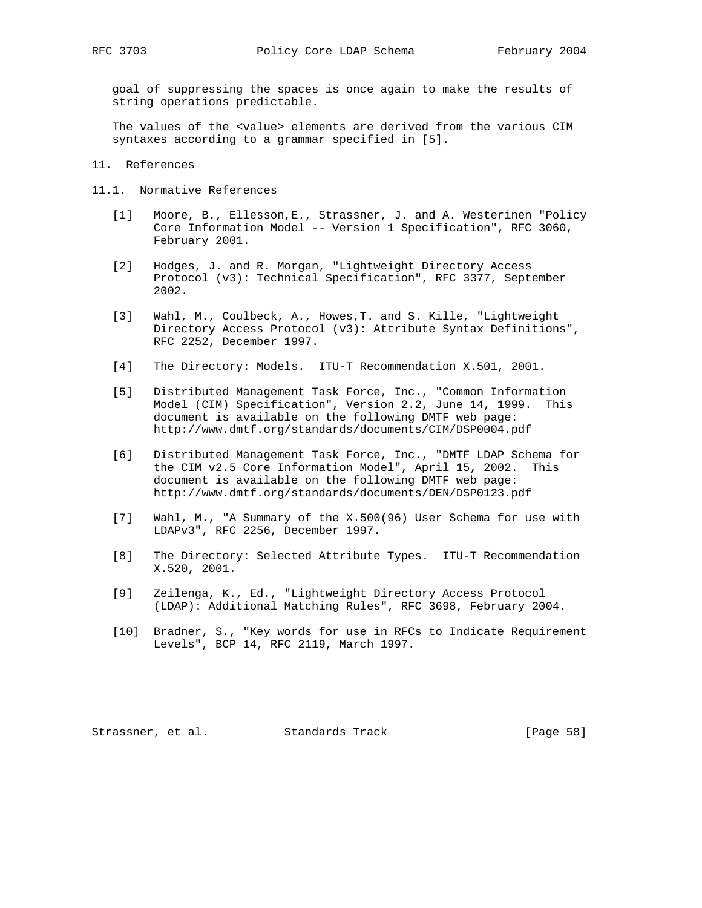goal of suppressing the spaces is once again to make the results of string operations predictable.

 The values of the <value> elements are derived from the various CIM syntaxes according to a grammar specified in [5].

11. References

- 11.1. Normative References
	- [1] Moore, B., Ellesson,E., Strassner, J. and A. Westerinen "Policy Core Information Model -- Version 1 Specification", RFC 3060, February 2001.
	- [2] Hodges, J. and R. Morgan, "Lightweight Directory Access Protocol (v3): Technical Specification", RFC 3377, September 2002.
	- [3] Wahl, M., Coulbeck, A., Howes,T. and S. Kille, "Lightweight Directory Access Protocol (v3): Attribute Syntax Definitions", RFC 2252, December 1997.
	- [4] The Directory: Models. ITU-T Recommendation X.501, 2001.
	- [5] Distributed Management Task Force, Inc., "Common Information Model (CIM) Specification", Version 2.2, June 14, 1999. This document is available on the following DMTF web page: http://www.dmtf.org/standards/documents/CIM/DSP0004.pdf
	- [6] Distributed Management Task Force, Inc., "DMTF LDAP Schema for the CIM v2.5 Core Information Model", April 15, 2002. This document is available on the following DMTF web page: http://www.dmtf.org/standards/documents/DEN/DSP0123.pdf
	- [7] Wahl, M., "A Summary of the X.500(96) User Schema for use with LDAPv3", RFC 2256, December 1997.
	- [8] The Directory: Selected Attribute Types. ITU-T Recommendation X.520, 2001.
	- [9] Zeilenga, K., Ed., "Lightweight Directory Access Protocol (LDAP): Additional Matching Rules", RFC 3698, February 2004.
	- [10] Bradner, S., "Key words for use in RFCs to Indicate Requirement Levels", BCP 14, RFC 2119, March 1997.

Strassner, et al. Standards Track [Page 58]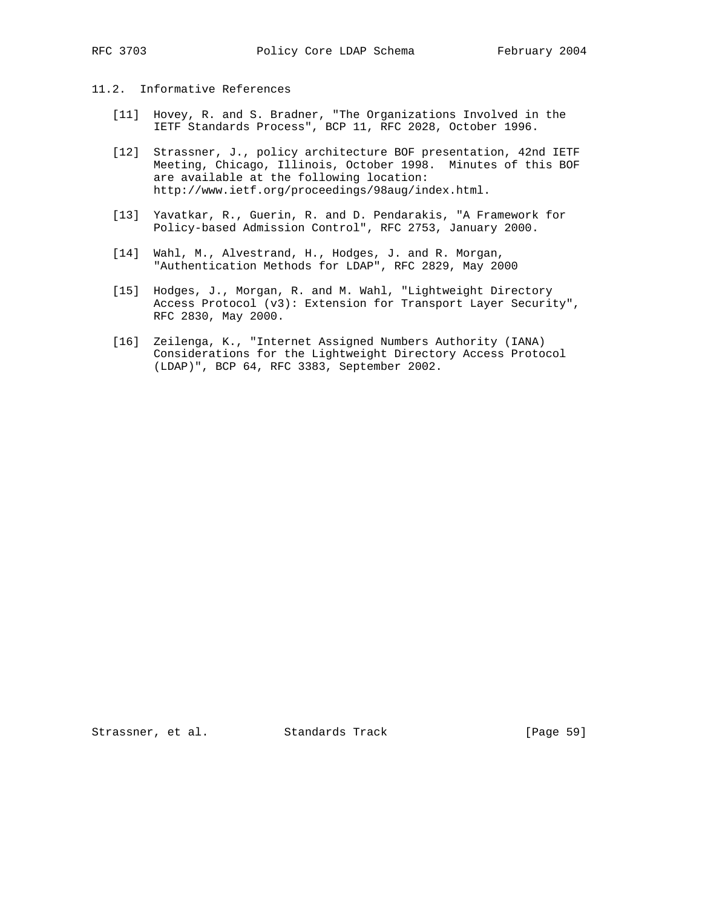## 11.2. Informative References

- [11] Hovey, R. and S. Bradner, "The Organizations Involved in the IETF Standards Process", BCP 11, RFC 2028, October 1996.
- [12] Strassner, J., policy architecture BOF presentation, 42nd IETF Meeting, Chicago, Illinois, October 1998. Minutes of this BOF are available at the following location: http://www.ietf.org/proceedings/98aug/index.html.
- [13] Yavatkar, R., Guerin, R. and D. Pendarakis, "A Framework for Policy-based Admission Control", RFC 2753, January 2000.
- [14] Wahl, M., Alvestrand, H., Hodges, J. and R. Morgan, "Authentication Methods for LDAP", RFC 2829, May 2000
- [15] Hodges, J., Morgan, R. and M. Wahl, "Lightweight Directory Access Protocol (v3): Extension for Transport Layer Security", RFC 2830, May 2000.
- [16] Zeilenga, K., "Internet Assigned Numbers Authority (IANA) Considerations for the Lightweight Directory Access Protocol (LDAP)", BCP 64, RFC 3383, September 2002.

Strassner, et al. Standards Track [Page 59]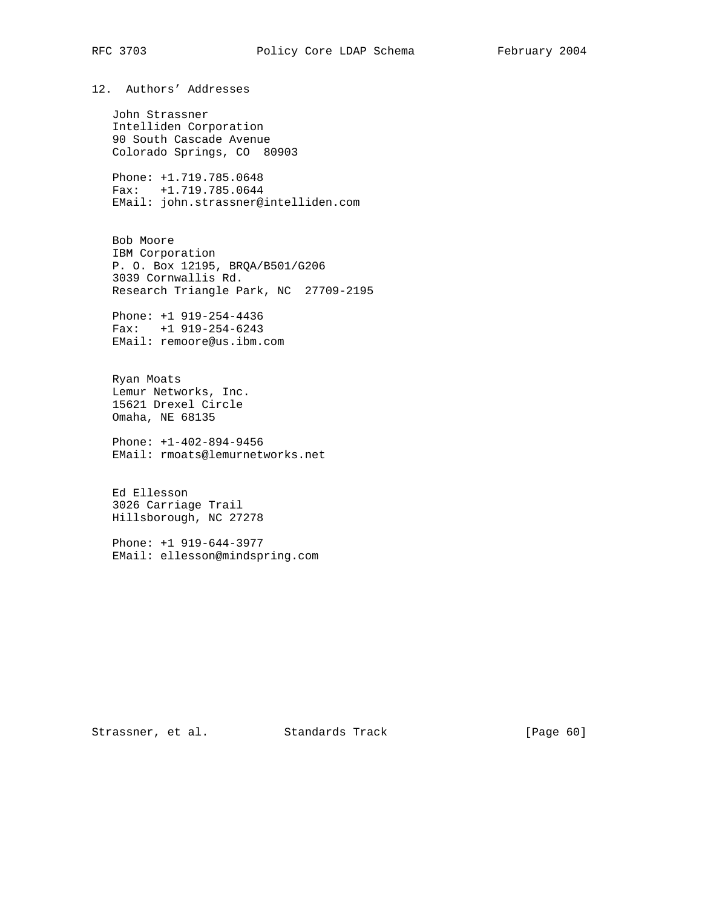12. Authors' Addresses

 John Strassner Intelliden Corporation 90 South Cascade Avenue Colorado Springs, CO 80903

 Phone: +1.719.785.0648 Fax: +1.719.785.0644 EMail: john.strassner@intelliden.com

 Bob Moore IBM Corporation P. O. Box 12195, BRQA/B501/G206 3039 Cornwallis Rd. Research Triangle Park, NC 27709-2195

 Phone: +1 919-254-4436 Fax: +1 919-254-6243 EMail: remoore@us.ibm.com

 Ryan Moats Lemur Networks, Inc. 15621 Drexel Circle Omaha, NE 68135

 Phone: +1-402-894-9456 EMail: rmoats@lemurnetworks.net

 Ed Ellesson 3026 Carriage Trail Hillsborough, NC 27278

 Phone: +1 919-644-3977 EMail: ellesson@mindspring.com

Strassner, et al. Standards Track [Page 60]